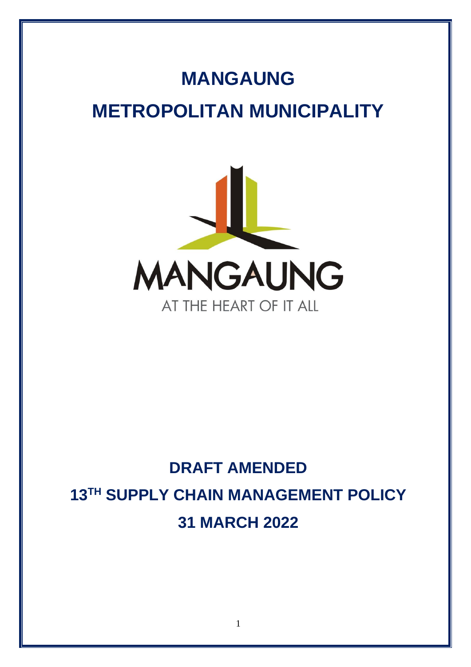# **MANGAUNG METROPOLITAN MUNICIPALITY**



# **DRAFT AMENDED 13 TH SUPPLY CHAIN MANAGEMENT POLICY 31 MARCH 2022**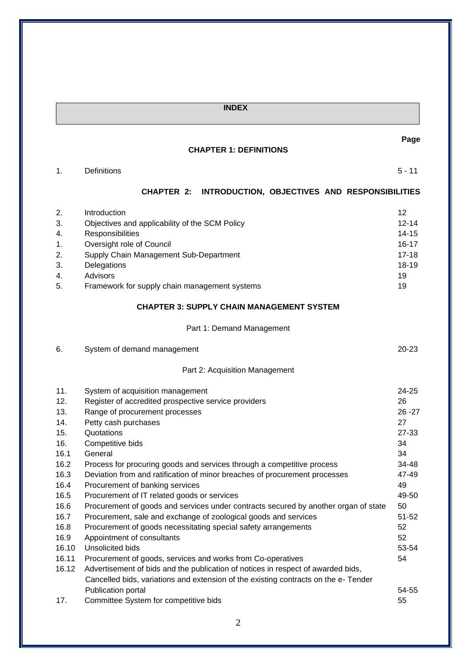# **INDEX**

### **CHAPTER 1: DEFINITIONS**

| 1. | Definitions | 44<br>. . |
|----|-------------|-----------|
|    |             |           |

# **CHAPTER 2: INTRODUCTION, OBJECTIVES AND RESPONSIBILITIES**

**Page**

| 2. | Introduction                                   | 12        |
|----|------------------------------------------------|-----------|
| 3. | Objectives and applicability of the SCM Policy | $12 - 14$ |
| 4. | Responsibilities                               | $14 - 15$ |
| 1. | Oversight role of Council                      | 16-17     |
| 2. | Supply Chain Management Sub-Department         | $17 - 18$ |
| 3. | Delegations                                    | $18-19$   |
| 4. | Advisors                                       | 19        |
| 5. | Framework for supply chain management systems  | 19        |
|    |                                                |           |

# **CHAPTER 3: SUPPLY CHAIN MANAGEMENT SYSTEM**

# Part 1: Demand Management

| 6.    | System of demand management                                                         | $20 - 23$ |
|-------|-------------------------------------------------------------------------------------|-----------|
|       | Part 2: Acquisition Management                                                      |           |
| 11.   | System of acquisition management                                                    | $24 - 25$ |
| 12.   | Register of accredited prospective service providers                                | 26        |
| 13.   | Range of procurement processes                                                      |           |
| 14.   | Petty cash purchases                                                                |           |
| 15.   | Quotations                                                                          | $27 - 33$ |
| 16.   | Competitive bids                                                                    | 34        |
| 16.1  | General                                                                             | 34        |
| 16.2  | Process for procuring goods and services through a competitive process              | 34-48     |
| 16.3  | Deviation from and ratification of minor breaches of procurement processes          | 47-49     |
| 16.4  | Procurement of banking services                                                     | 49        |
| 16.5  | Procurement of IT related goods or services                                         | 49-50     |
| 16.6  | Procurement of goods and services under contracts secured by another organ of state | 50        |
| 16.7  | Procurement, sale and exchange of zoological goods and services                     | $51 - 52$ |
| 16.8  | Procurement of goods necessitating special safety arrangements                      | 52        |
| 16.9  | Appointment of consultants                                                          | 52        |
| 16.10 | Unsolicited bids                                                                    | 53-54     |
| 16.11 | Procurement of goods, services and works from Co-operatives                         | 54        |
| 16.12 | Advertisement of bids and the publication of notices in respect of awarded bids,    |           |
|       | Cancelled bids, variations and extension of the existing contracts on the e-Tender  |           |
|       | Publication portal                                                                  | 54-55     |
| 17.   | Committee System for competitive bids                                               | 55        |

2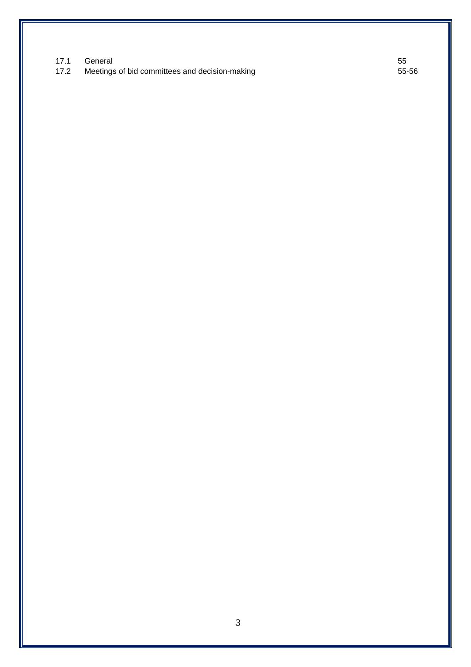|      | 17.1 General                                   | 55    |
|------|------------------------------------------------|-------|
| 17.2 | Meetings of bid committees and decision-making | 55-56 |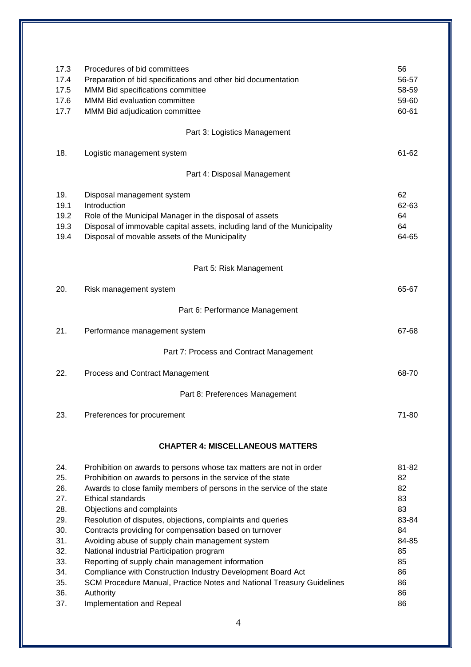| 17.3<br>17.4<br>17.5<br>17.6<br>17.7                                                           | Procedures of bid committees<br>Preparation of bid specifications and other bid documentation<br>MMM Bid specifications committee<br>MMM Bid evaluation committee<br>MMM Bid adjudication committee                                                                                                                                                                                                                                                                                                                                                                                                                                                                                                                           | 56<br>56-57<br>58-59<br>59-60<br>60-61                                                    |
|------------------------------------------------------------------------------------------------|-------------------------------------------------------------------------------------------------------------------------------------------------------------------------------------------------------------------------------------------------------------------------------------------------------------------------------------------------------------------------------------------------------------------------------------------------------------------------------------------------------------------------------------------------------------------------------------------------------------------------------------------------------------------------------------------------------------------------------|-------------------------------------------------------------------------------------------|
|                                                                                                | Part 3: Logistics Management                                                                                                                                                                                                                                                                                                                                                                                                                                                                                                                                                                                                                                                                                                  |                                                                                           |
| 18.                                                                                            | Logistic management system                                                                                                                                                                                                                                                                                                                                                                                                                                                                                                                                                                                                                                                                                                    | 61-62                                                                                     |
|                                                                                                | Part 4: Disposal Management                                                                                                                                                                                                                                                                                                                                                                                                                                                                                                                                                                                                                                                                                                   |                                                                                           |
| 19.<br>19.1<br>19.2<br>19.3<br>19.4                                                            | Disposal management system<br>Introduction<br>Role of the Municipal Manager in the disposal of assets<br>Disposal of immovable capital assets, including land of the Municipality<br>Disposal of movable assets of the Municipality                                                                                                                                                                                                                                                                                                                                                                                                                                                                                           | 62<br>62-63<br>64<br>64<br>64-65                                                          |
|                                                                                                | Part 5: Risk Management                                                                                                                                                                                                                                                                                                                                                                                                                                                                                                                                                                                                                                                                                                       |                                                                                           |
| 20.                                                                                            | Risk management system                                                                                                                                                                                                                                                                                                                                                                                                                                                                                                                                                                                                                                                                                                        | 65-67                                                                                     |
|                                                                                                | Part 6: Performance Management                                                                                                                                                                                                                                                                                                                                                                                                                                                                                                                                                                                                                                                                                                |                                                                                           |
| 21.                                                                                            | Performance management system                                                                                                                                                                                                                                                                                                                                                                                                                                                                                                                                                                                                                                                                                                 | 67-68                                                                                     |
|                                                                                                | Part 7: Process and Contract Management                                                                                                                                                                                                                                                                                                                                                                                                                                                                                                                                                                                                                                                                                       |                                                                                           |
| 22.                                                                                            | <b>Process and Contract Management</b>                                                                                                                                                                                                                                                                                                                                                                                                                                                                                                                                                                                                                                                                                        | 68-70                                                                                     |
|                                                                                                | Part 8: Preferences Management                                                                                                                                                                                                                                                                                                                                                                                                                                                                                                                                                                                                                                                                                                |                                                                                           |
| 23.                                                                                            | Preferences for procurement                                                                                                                                                                                                                                                                                                                                                                                                                                                                                                                                                                                                                                                                                                   | 71-80                                                                                     |
|                                                                                                | <b>CHAPTER 4: MISCELLANEOUS MATTERS</b>                                                                                                                                                                                                                                                                                                                                                                                                                                                                                                                                                                                                                                                                                       |                                                                                           |
| 24.<br>25.<br>26.<br>27.<br>28.<br>29.<br>30.<br>31.<br>32.<br>33.<br>34.<br>35.<br>36.<br>37. | Prohibition on awards to persons whose tax matters are not in order<br>Prohibition on awards to persons in the service of the state<br>Awards to close family members of persons in the service of the state<br>Ethical standards<br>Objections and complaints<br>Resolution of disputes, objections, complaints and queries<br>Contracts providing for compensation based on turnover<br>Avoiding abuse of supply chain management system<br>National industrial Participation program<br>Reporting of supply chain management information<br>Compliance with Construction Industry Development Board Act<br>SCM Procedure Manual, Practice Notes and National Treasury Guidelines<br>Authority<br>Implementation and Repeal | 81-82<br>82<br>82<br>83<br>83<br>83-84<br>84<br>84-85<br>85<br>85<br>86<br>86<br>86<br>86 |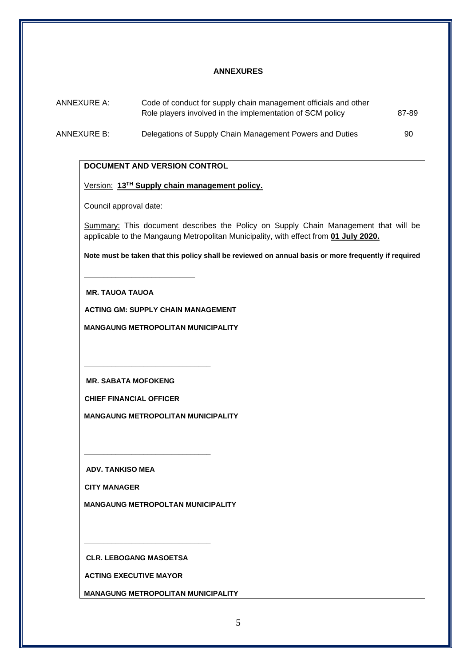#### **ANNEXURES**

| ANNEXURE A:<br>Code of conduct for supply chain management officials and other<br>Role players involved in the implementation of SCM policy |                                                          | 87-89 |  |
|---------------------------------------------------------------------------------------------------------------------------------------------|----------------------------------------------------------|-------|--|
| ANNEXURE B:                                                                                                                                 | Delegations of Supply Chain Management Powers and Duties | 90    |  |

### **DOCUMENT AND VERSION CONTROL**

#### Version: **13 TH Supply chain management policy.**

Council approval date:

Summary: This document describes the Policy on Supply Chain Management that will be applicable to the Mangaung Metropolitan Municipality, with effect from **01 July 2020.**

**Note must be taken that this policy shall be reviewed on annual basis or more frequently if required**

**MR. TAUOA TAUOA**

**\_\_\_\_\_\_\_\_\_\_\_\_\_\_\_\_\_\_\_\_\_\_\_\_\_\_\_\_**

**ACTING GM: SUPPLY CHAIN MANAGEMENT**

**MANGAUNG METROPOLITAN MUNICIPALITY**

**MR. SABATA MOFOKENG**

**\_\_\_\_\_\_\_\_\_\_\_\_\_\_\_\_\_\_\_\_\_\_\_\_\_\_\_\_\_\_\_\_**

**\_\_\_\_\_\_\_\_\_\_\_\_\_\_\_\_\_\_\_\_\_\_\_\_\_\_\_\_\_\_\_\_**

**CHIEF FINANCIAL OFFICER**

**MANGAUNG METROPOLITAN MUNICIPALITY**

**ADV. TANKISO MEA**

**CITY MANAGER**

**MANGAUNG METROPOLTAN MUNICIPALITY**

**CLR. LEBOGANG MASOETSA**

**\_\_\_\_\_\_\_\_\_\_\_\_\_\_\_\_\_\_\_\_\_\_\_\_\_\_\_\_\_\_\_\_**

**ACTING EXECUTIVE MAYOR**

**MANAGUNG METROPOLITAN MUNICIPALITY**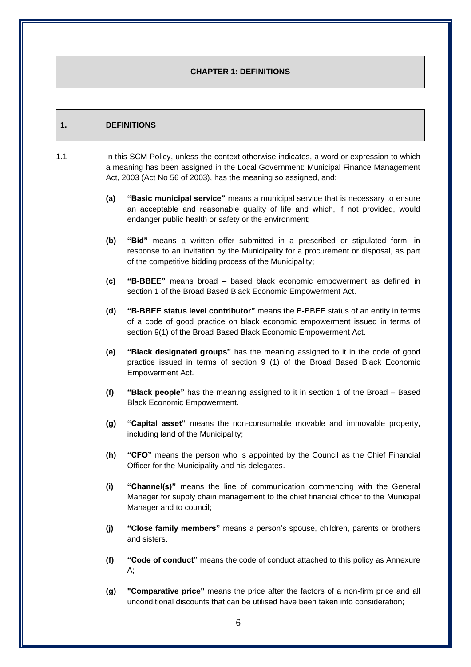#### **CHAPTER 1: DEFINITIONS**

#### **1. DEFINITIONS**

1.1 In this SCM Policy, unless the context otherwise indicates, a word or expression to which a meaning has been assigned in the Local Government: Municipal Finance Management Act, 2003 (Act No 56 of 2003), has the meaning so assigned, and:

- **(a) "Basic municipal service"** means a municipal service that is necessary to ensure an acceptable and reasonable quality of life and which, if not provided, would endanger public health or safety or the environment;
- **(b) "Bid"** means a written offer submitted in a prescribed or stipulated form, in response to an invitation by the Municipality for a procurement or disposal, as part of the competitive bidding process of the Municipality;
- **(c) "B-BBEE"** means broad based black economic empowerment as defined in section 1 of the Broad Based Black Economic Empowerment Act.
- **(d) "B-BBEE status level contributor"** means the B-BBEE status of an entity in terms of a code of good practice on black economic empowerment issued in terms of section 9(1) of the Broad Based Black Economic Empowerment Act.
- **(e) "Black designated groups"** has the meaning assigned to it in the code of good practice issued in terms of section 9 (1) of the Broad Based Black Economic Empowerment Act.
- **(f) "Black people"** has the meaning assigned to it in section 1 of the Broad Based Black Economic Empowerment.
- **(g) "Capital asset"** means the non-consumable movable and immovable property, including land of the Municipality;
- **(h) "CFO"** means the person who is appointed by the Council as the Chief Financial Officer for the Municipality and his delegates.
- **(i) "Channel(s)"** means the line of communication commencing with the General Manager for supply chain management to the chief financial officer to the Municipal Manager and to council;
- **(j) "Close family members"** means a person's spouse, children, parents or brothers and sisters.
- **(f) "Code of conduct"** means the code of conduct attached to this policy as Annexure A;
- **(g) "Comparative price"** means the price after the factors of a non-firm price and all unconditional discounts that can be utilised have been taken into consideration;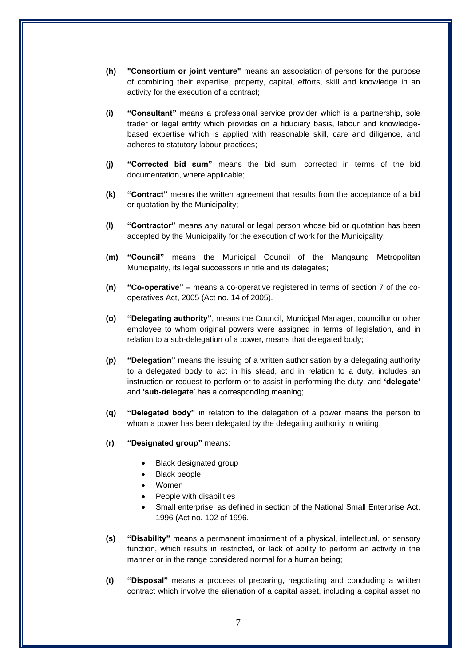- **(h) "Consortium or joint venture"** means an association of persons for the purpose of combining their expertise, property, capital, efforts, skill and knowledge in an activity for the execution of a contract;
- **(i) "Consultant"** means a professional service provider which is a partnership, sole trader or legal entity which provides on a fiduciary basis, labour and knowledgebased expertise which is applied with reasonable skill, care and diligence, and adheres to statutory labour practices;
- **(j) "Corrected bid sum"** means the bid sum, corrected in terms of the bid documentation, where applicable;
- **(k) "Contract"** means the written agreement that results from the acceptance of a bid or quotation by the Municipality;
- **(l) "Contractor"** means any natural or legal person whose bid or quotation has been accepted by the Municipality for the execution of work for the Municipality;
- **(m) "Council"** means the Municipal Council of the Mangaung Metropolitan Municipality, its legal successors in title and its delegates;
- **(n) "Co-operative" –** means a co-operative registered in terms of section 7 of the cooperatives Act, 2005 (Act no. 14 of 2005).
- **(o) "Delegating authority"**, means the Council, Municipal Manager, councillor or other employee to whom original powers were assigned in terms of legislation, and in relation to a sub-delegation of a power, means that delegated body;
- **(p) "Delegation"** means the issuing of a written authorisation by a delegating authority to a delegated body to act in his stead, and in relation to a duty, includes an instruction or request to perform or to assist in performing the duty, and **'delegate'**  and **'sub-delegate**' has a corresponding meaning;
- **(q) "Delegated body"** in relation to the delegation of a power means the person to whom a power has been delegated by the delegating authority in writing;
- **(r) "Designated group"** means:
	- Black designated group
	- Black people
	- Women
	- People with disabilities
	- Small enterprise, as defined in section of the National Small Enterprise Act, 1996 (Act no. 102 of 1996.
- **(s) "Disability"** means a permanent impairment of a physical, intellectual, or sensory function, which results in restricted, or lack of ability to perform an activity in the manner or in the range considered normal for a human being;
- **(t) "Disposal"** means a process of preparing, negotiating and concluding a written contract which involve the alienation of a capital asset, including a capital asset no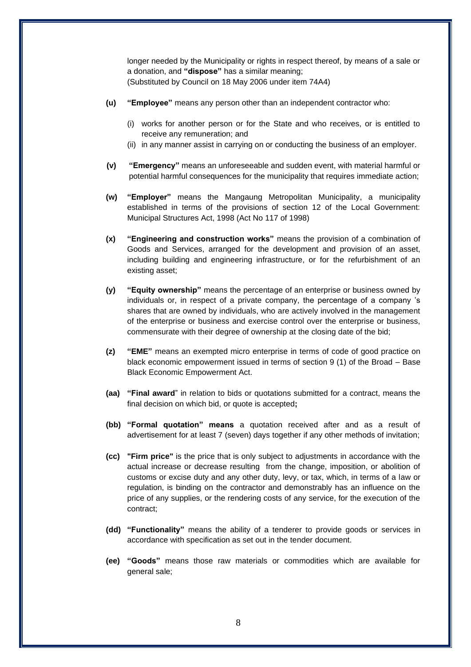longer needed by the Municipality or rights in respect thereof, by means of a sale or a donation, and **"dispose"** has a similar meaning; (Substituted by Council on 18 May 2006 under item 74A4)

- **(u) "Employee"** means any person other than an independent contractor who:
	- (i) works for another person or for the State and who receives, or is entitled to receive any remuneration; and
	- (ii) in any manner assist in carrying on or conducting the business of an employer.
- **(v) "Emergency"** means an unforeseeable and sudden event, with material harmful or potential harmful consequences for the municipality that requires immediate action;
- **(w) "Employer"** means the Mangaung Metropolitan Municipality, a municipality established in terms of the provisions of section 12 of the Local Government: Municipal Structures Act, 1998 (Act No 117 of 1998)
- **(x) "Engineering and construction works"** means the provision of a combination of Goods and Services, arranged for the development and provision of an asset, including building and engineering infrastructure, or for the refurbishment of an existing asset;
- **(y) "Equity ownership"** means the percentage of an enterprise or business owned by individuals or, in respect of a private company, the percentage of a company 's shares that are owned by individuals, who are actively involved in the management of the enterprise or business and exercise control over the enterprise or business, commensurate with their degree of ownership at the closing date of the bid;
- **(z) "EME"** means an exempted micro enterprise in terms of code of good practice on black economic empowerment issued in terms of section 9 (1) of the Broad – Base Black Economic Empowerment Act.
- **(aa) "Final award**" in relation to bids or quotations submitted for a contract, means the final decision on which bid, or quote is accepted**;**
- **(bb) "Formal quotation" means** a quotation received after and as a result of advertisement for at least 7 (seven) days together if any other methods of invitation;
- **(cc) "Firm price"** is the price that is only subject to adjustments in accordance with the actual increase or decrease resulting from the change, imposition, or abolition of customs or excise duty and any other duty, levy, or tax, which, in terms of a law or regulation, is binding on the contractor and demonstrably has an influence on the price of any supplies, or the rendering costs of any service, for the execution of the contract;
- **(dd) "Functionality"** means the ability of a tenderer to provide goods or services in accordance with specification as set out in the tender document.
- **(ee) "Goods"** means those raw materials or commodities which are available for general sale;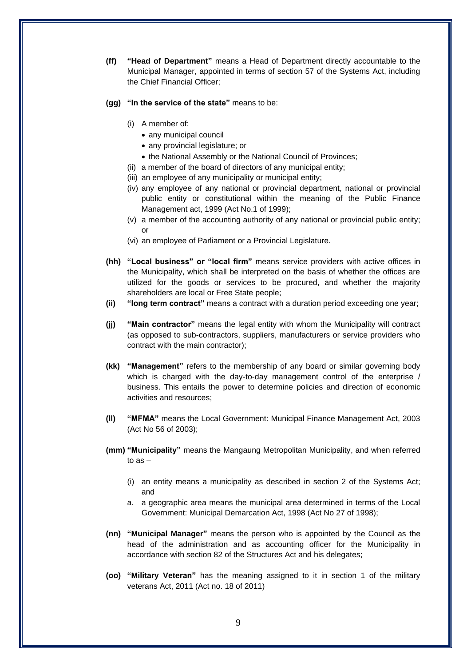- **(ff) "Head of Department"** means a Head of Department directly accountable to the Municipal Manager, appointed in terms of section 57 of the Systems Act, including the Chief Financial Officer;
- **(gg) "In the service of the state"** means to be:
	- (i) A member of:
		- any municipal council
		- any provincial legislature; or
		- the National Assembly or the National Council of Provinces;
	- (ii) a member of the board of directors of any municipal entity;
	- (iii) an employee of any municipality or municipal entity;
	- (iv) any employee of any national or provincial department, national or provincial public entity or constitutional within the meaning of the Public Finance Management act, 1999 (Act No.1 of 1999);
	- (v) a member of the accounting authority of any national or provincial public entity; or
	- (vi) an employee of Parliament or a Provincial Legislature.
- **(hh) "Local business" or "local firm"** means service providers with active offices in the Municipality, which shall be interpreted on the basis of whether the offices are utilized for the goods or services to be procured, and whether the majority shareholders are local or Free State people;
- **(ii) "long term contract"** means a contract with a duration period exceeding one year;
- **(jj) "Main contractor"** means the legal entity with whom the Municipality will contract (as opposed to sub-contractors, suppliers, manufacturers or service providers who contract with the main contractor);
- **(kk) "Management"** refers to the membership of any board or similar governing body which is charged with the day-to-day management control of the enterprise / business. This entails the power to determine policies and direction of economic activities and resources;
- **(ll) "MFMA"** means the Local Government: Municipal Finance Management Act, 2003 (Act No 56 of 2003);
- **(mm) "Municipality"** means the Mangaung Metropolitan Municipality, and when referred to as –
	- (i) an entity means a municipality as described in section 2 of the Systems Act; and
	- a. a geographic area means the municipal area determined in terms of the Local Government: Municipal Demarcation Act, 1998 (Act No 27 of 1998);
- **(nn) "Municipal Manager"** means the person who is appointed by the Council as the head of the administration and as accounting officer for the Municipality in accordance with section 82 of the Structures Act and his delegates;
- **(oo) "Military Veteran"** has the meaning assigned to it in section 1 of the military veterans Act, 2011 (Act no. 18 of 2011)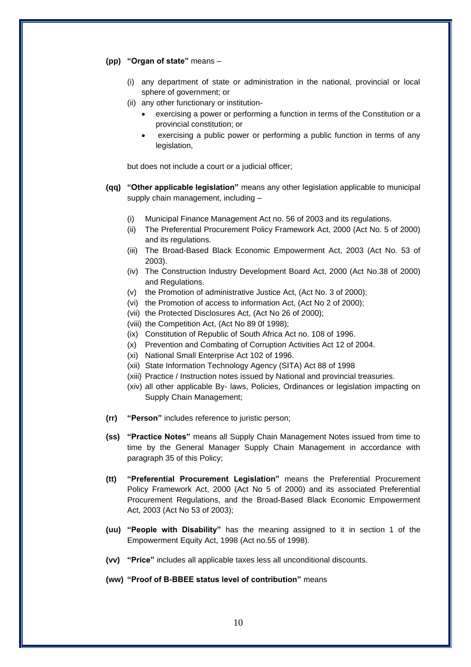#### **(pp) "Organ of state"** means –

- (i) any department of state or administration in the national, provincial or local sphere of government; or
- (ii) any other functionary or institution
	- exercising a power or performing a function in terms of the Constitution or a provincial constitution; or
	- exercising a public power or performing a public function in terms of any legislation,

but does not include a court or a judicial officer;

- **(qq) "Other applicable legislation"** means any other legislation applicable to municipal supply chain management, including –
	- (i) Municipal Finance Management Act no. 56 of 2003 and its regulations.
	- (ii) The Preferential Procurement Policy Framework Act, 2000 (Act No. 5 of 2000) and its regulations.
	- (iii) The Broad-Based Black Economic Empowerment Act, 2003 (Act No. 53 of 2003).
	- (iv) The Construction Industry Development Board Act, 2000 (Act No.38 of 2000) and Regulations.
	- (v) the Promotion of administrative Justice Act, (Act No. 3 of 2000);
	- (vi) the Promotion of access to information Act, (Act No 2 of 2000);
	- (vii) the Protected Disclosures Act, (Act No 26 of 2000);
	- (viii) the Competition Act, (Act No 89 0f 1998);
	- (ix) Constitution of Republic of South Africa Act no. 108 of 1996.
	- (x) Prevention and Combating of Corruption Activities Act 12 of 2004.
	- (xi) National Small Enterprise Act 102 of 1996.
	- (xii) State Information Technology Agency (SITA) Act 88 of 1998
	- (xiii) Practice / Instruction notes issued by National and provincial treasuries.
	- (xiv) all other applicable By- laws, Policies, Ordinances or legislation impacting on Supply Chain Management;
- **(rr) "Person"** includes reference to juristic person;
- **(ss) "Practice Notes"** means all Supply Chain Management Notes issued from time to time by the General Manager Supply Chain Management in accordance with paragraph 35 of this Policy;
- **(tt) "Preferential Procurement Legislation"** means the Preferential Procurement Policy Framework Act, 2000 (Act No 5 of 2000) and its associated Preferential Procurement Regulations, and the Broad-Based Black Economic Empowerment Act, 2003 (Act No 53 of 2003);
- **(uu) "People with Disability"** has the meaning assigned to it in section 1 of the Empowerment Equity Act, 1998 (Act no.55 of 1998).
- **(vv) "Price"** includes all applicable taxes less all unconditional discounts.

**(ww) "Proof of B-BBEE status level of contribution"** means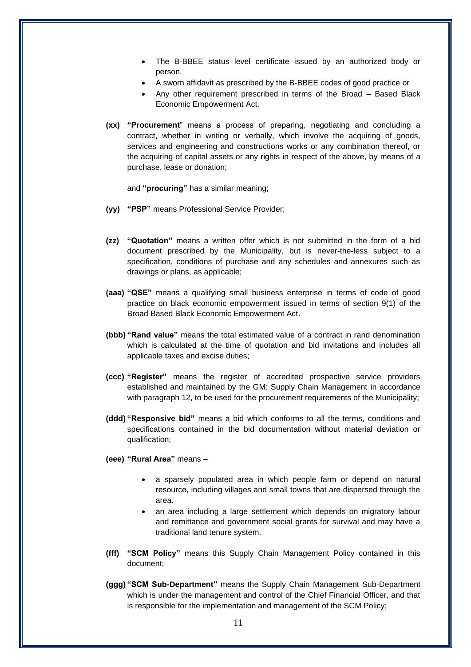- The B-BBEE status level certificate issued by an authorized body or person.
- A sworn affidavit as prescribed by the B-BBEE codes of good practice or
- Any other requirement prescribed in terms of the Broad Based Black Economic Empowerment Act.
- **(xx) "Procurement**" means a process of preparing, negotiating and concluding a contract, whether in writing or verbally, which involve the acquiring of goods, services and engineering and constructions works or any combination thereof, or the acquiring of capital assets or any rights in respect of the above, by means of a purchase, lease or donation;

and **"procuring"** has a similar meaning;

- **(yy) "PSP"** means Professional Service Provider;
- **(zz) "Quotation"** means a written offer which is not submitted in the form of a bid document prescribed by the Municipality, but is never-the-less subject to a specification, conditions of purchase and any schedules and annexures such as drawings or plans, as applicable;
- **(aaa) "QSE"** means a qualifying small business enterprise in terms of code of good practice on black economic empowerment issued in terms of section 9(1) of the Broad Based Black Economic Empowerment Act.
- **(bbb) "Rand value"** means the total estimated value of a contract in rand denomination which is calculated at the time of quotation and bid invitations and includes all applicable taxes and excise duties;
- **(ccc) "Register"** means the register of accredited prospective service providers established and maintained by the GM: Supply Chain Management in accordance with paragraph 12, to be used for the procurement requirements of the Municipality;
- **(ddd) "Responsive bid"** means a bid which conforms to all the terms, conditions and specifications contained in the bid documentation without material deviation or qualification;
- **(eee) "Rural Area"** means
	- a sparsely populated area in which people farm or depend on natural resource, including villages and small towns that are dispersed through the area.
	- an area including a large settlement which depends on migratory labour and remittance and government social grants for survival and may have a traditional land tenure system.
- **(fff) "SCM Policy"** means this Supply Chain Management Policy contained in this document;
- **(ggg) "SCM Sub-Department"** means the Supply Chain Management Sub-Department which is under the management and control of the Chief Financial Officer, and that is responsible for the implementation and management of the SCM Policy;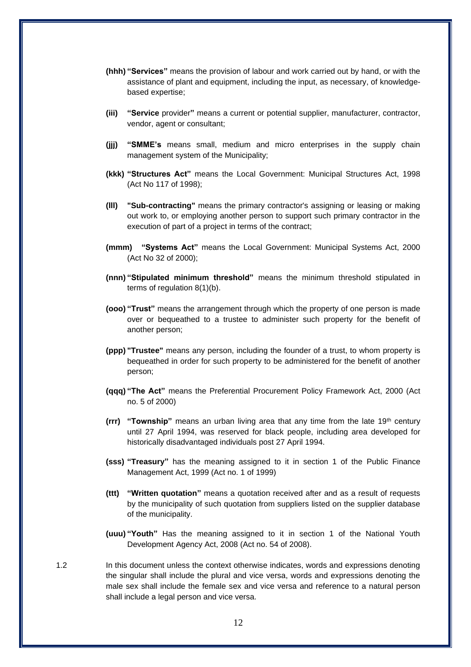- **(hhh) "Services"** means the provision of labour and work carried out by hand, or with the assistance of plant and equipment, including the input, as necessary, of knowledgebased expertise;
- **(iii) "Service** provider**"** means a current or potential supplier, manufacturer, contractor, vendor, agent or consultant;
- **(jjj) "SMME's** means small, medium and micro enterprises in the supply chain management system of the Municipality;
- **(kkk) "Structures Act"** means the Local Government: Municipal Structures Act, 1998 (Act No 117 of 1998);
- **(lll) "Sub-contracting"** means the primary contractor's assigning or leasing or making out work to, or employing another person to support such primary contractor in the execution of part of a project in terms of the contract;
- **(mmm) "Systems Act"** means the Local Government: Municipal Systems Act, 2000 (Act No 32 of 2000);
- **(nnn) "Stipulated minimum threshold"** means the minimum threshold stipulated in terms of regulation 8(1)(b).
- **(ooo) "Trust"** means the arrangement through which the property of one person is made over or bequeathed to a trustee to administer such property for the benefit of another person;
- **(ppp) "Trustee"** means any person, including the founder of a trust, to whom property is bequeathed in order for such property to be administered for the benefit of another person;
- **(qqq) "The Act"** means the Preferential Procurement Policy Framework Act, 2000 (Act no. 5 of 2000)
- **(rrr) "Township"** means an urban living area that any time from the late 19th century until 27 April 1994, was reserved for black people, including area developed for historically disadvantaged individuals post 27 April 1994.
- **(sss) "Treasury"** has the meaning assigned to it in section 1 of the Public Finance Management Act, 1999 (Act no. 1 of 1999)
- **(ttt) "Written quotation"** means a quotation received after and as a result of requests by the municipality of such quotation from suppliers listed on the supplier database of the municipality.
- **(uuu) "Youth"** Has the meaning assigned to it in section 1 of the National Youth Development Agency Act, 2008 (Act no. 54 of 2008).
- 1.2 In this document unless the context otherwise indicates, words and expressions denoting the singular shall include the plural and vice versa, words and expressions denoting the male sex shall include the female sex and vice versa and reference to a natural person shall include a legal person and vice versa.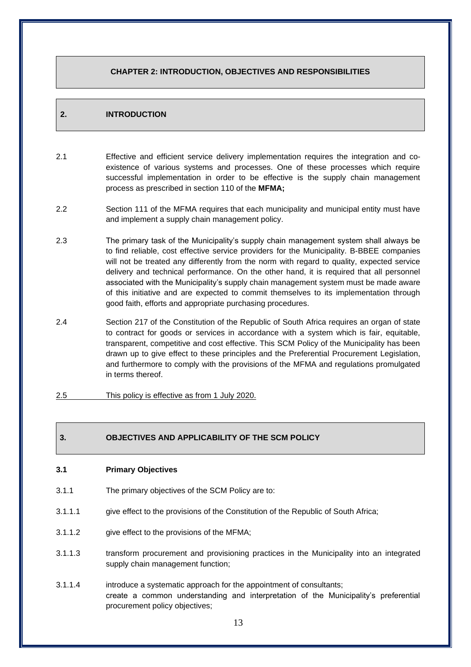# **CHAPTER 2: INTRODUCTION, OBJECTIVES AND RESPONSIBILITIES**

# **2. INTRODUCTION**

- 2.1 Effective and efficient service delivery implementation requires the integration and coexistence of various systems and processes. One of these processes which require successful implementation in order to be effective is the supply chain management process as prescribed in section 110 of the **MFMA;**
- 2.2 Section 111 of the MFMA requires that each municipality and municipal entity must have and implement a supply chain management policy.
- 2.3 The primary task of the Municipality's supply chain management system shall always be to find reliable, cost effective service providers for the Municipality. B-BBEE companies will not be treated any differently from the norm with regard to quality, expected service delivery and technical performance. On the other hand, it is required that all personnel associated with the Municipality's supply chain management system must be made aware of this initiative and are expected to commit themselves to its implementation through good faith, efforts and appropriate purchasing procedures.
- 2.4 Section 217 of the Constitution of the Republic of South Africa requires an organ of state to contract for goods or services in accordance with a system which is fair, equitable, transparent, competitive and cost effective. This SCM Policy of the Municipality has been drawn up to give effect to these principles and the Preferential Procurement Legislation, and furthermore to comply with the provisions of the MFMA and regulations promulgated in terms thereof.
- 2.5 This policy is effective as from 1 July 2020.

# **3. OBJECTIVES AND APPLICABILITY OF THE SCM POLICY**

#### **3.1 Primary Objectives**

- 3.1.1 The primary objectives of the SCM Policy are to:
- 3.1.1.1 give effect to the provisions of the Constitution of the Republic of South Africa;
- 3.1.1.2 give effect to the provisions of the MFMA;
- 3.1.1.3 transform procurement and provisioning practices in the Municipality into an integrated supply chain management function;
- 3.1.1.4 introduce a systematic approach for the appointment of consultants; create a common understanding and interpretation of the Municipality's preferential procurement policy objectives;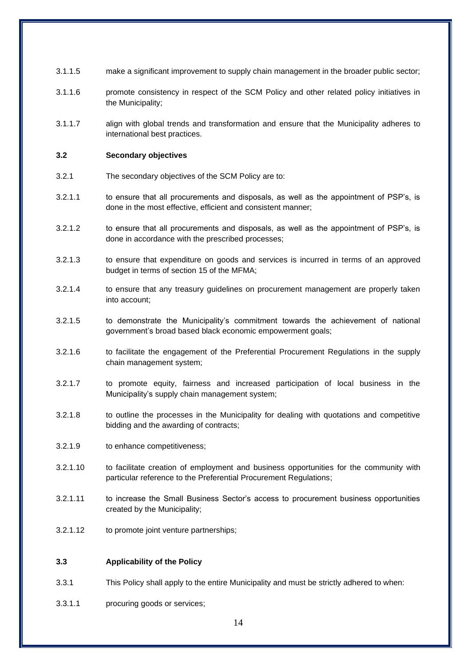- 3.1.1.5 make a significant improvement to supply chain management in the broader public sector;
- 3.1.1.6 promote consistency in respect of the SCM Policy and other related policy initiatives in the Municipality;
- 3.1.1.7 align with global trends and transformation and ensure that the Municipality adheres to international best practices.

#### **3.2 Secondary objectives**

- 3.2.1 The secondary objectives of the SCM Policy are to:
- 3.2.1.1 to ensure that all procurements and disposals, as well as the appointment of PSP's, is done in the most effective, efficient and consistent manner;
- 3.2.1.2 to ensure that all procurements and disposals, as well as the appointment of PSP's, is done in accordance with the prescribed processes;
- 3.2.1.3 to ensure that expenditure on goods and services is incurred in terms of an approved budget in terms of section 15 of the MFMA;
- 3.2.1.4 to ensure that any treasury guidelines on procurement management are properly taken into account;
- 3.2.1.5 to demonstrate the Municipality's commitment towards the achievement of national government's broad based black economic empowerment goals;
- 3.2.1.6 to facilitate the engagement of the Preferential Procurement Regulations in the supply chain management system;
- 3.2.1.7 to promote equity, fairness and increased participation of local business in the Municipality's supply chain management system;
- 3.2.1.8 to outline the processes in the Municipality for dealing with quotations and competitive bidding and the awarding of contracts;
- 3.2.1.9 to enhance competitiveness;
- 3.2.1.10 to facilitate creation of employment and business opportunities for the community with particular reference to the Preferential Procurement Regulations;
- 3.2.1.11 to increase the Small Business Sector's access to procurement business opportunities created by the Municipality;
- 3.2.1.12 to promote joint venture partnerships;

#### **3.3 Applicability of the Policy**

- 3.3.1 This Policy shall apply to the entire Municipality and must be strictly adhered to when:
- 3.3.1.1 procuring goods or services;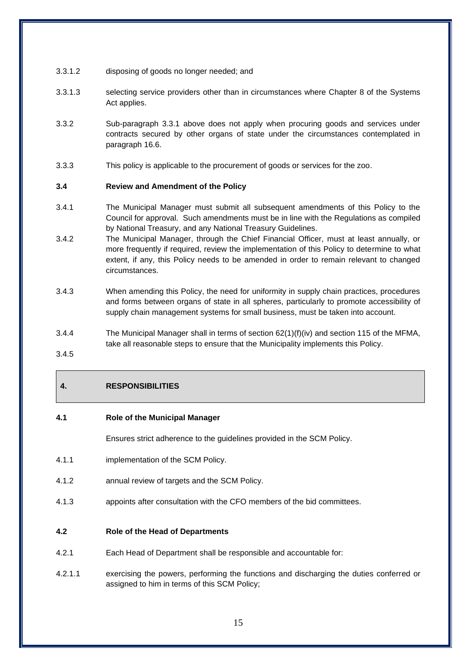- 3.3.1.2 disposing of goods no longer needed; and
- 3.3.1.3 selecting service providers other than in circumstances where Chapter 8 of the Systems Act applies.
- 3.3.2 Sub-paragraph 3.3.1 above does not apply when procuring goods and services under contracts secured by other organs of state under the circumstances contemplated in paragraph 16.6.
- 3.3.3 This policy is applicable to the procurement of goods or services for the zoo.

#### **3.4 Review and Amendment of the Policy**

- 3.4.1 The Municipal Manager must submit all subsequent amendments of this Policy to the Council for approval. Such amendments must be in line with the Regulations as compiled by National Treasury, and any National Treasury Guidelines.
- 3.4.2 The Municipal Manager, through the Chief Financial Officer, must at least annually, or more frequently if required, review the implementation of this Policy to determine to what extent, if any, this Policy needs to be amended in order to remain relevant to changed circumstances.
- 3.4.3 When amending this Policy, the need for uniformity in supply chain practices, procedures and forms between organs of state in all spheres, particularly to promote accessibility of supply chain management systems for small business, must be taken into account.
- 3.4.4 The Municipal Manager shall in terms of section 62(1)(f)(iv) and section 115 of the MFMA, take all reasonable steps to ensure that the Municipality implements this Policy.

3.4.5

# **4. RESPONSIBILITIES**

#### **4.1 Role of the Municipal Manager**

Ensures strict adherence to the guidelines provided in the SCM Policy.

- 4.1.1 implementation of the SCM Policy.
- 4.1.2 annual review of targets and the SCM Policy.
- 4.1.3 appoints after consultation with the CFO members of the bid committees.

#### **4.2 Role of the Head of Departments**

- 4.2.1 Each Head of Department shall be responsible and accountable for:
- 4.2.1.1 exercising the powers, performing the functions and discharging the duties conferred or assigned to him in terms of this SCM Policy;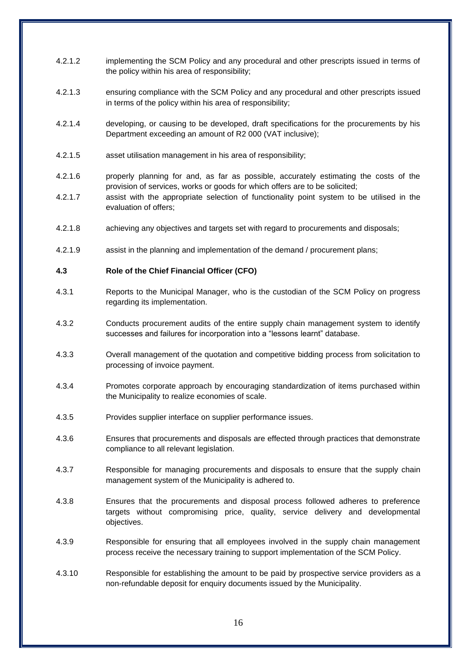- 4.2.1.2 implementing the SCM Policy and any procedural and other prescripts issued in terms of the policy within his area of responsibility;
- 4.2.1.3 ensuring compliance with the SCM Policy and any procedural and other prescripts issued in terms of the policy within his area of responsibility;
- 4.2.1.4 developing, or causing to be developed, draft specifications for the procurements by his Department exceeding an amount of R2 000 (VAT inclusive);
- 4.2.1.5 asset utilisation management in his area of responsibility;
- 4.2.1.6 properly planning for and, as far as possible, accurately estimating the costs of the provision of services, works or goods for which offers are to be solicited;
- 4.2.1.7 assist with the appropriate selection of functionality point system to be utilised in the evaluation of offers;
- 4.2.1.8 achieving any objectives and targets set with regard to procurements and disposals;
- 4.2.1.9 assist in the planning and implementation of the demand / procurement plans;

#### **4.3 Role of the Chief Financial Officer (CFO)**

- 4.3.1 Reports to the Municipal Manager, who is the custodian of the SCM Policy on progress regarding its implementation.
- 4.3.2 Conducts procurement audits of the entire supply chain management system to identify successes and failures for incorporation into a "lessons learnt" database.
- 4.3.3 Overall management of the quotation and competitive bidding process from solicitation to processing of invoice payment.
- 4.3.4 Promotes corporate approach by encouraging standardization of items purchased within the Municipality to realize economies of scale.
- 4.3.5 Provides supplier interface on supplier performance issues.
- 4.3.6 Ensures that procurements and disposals are effected through practices that demonstrate compliance to all relevant legislation.
- 4.3.7 Responsible for managing procurements and disposals to ensure that the supply chain management system of the Municipality is adhered to.
- 4.3.8 Ensures that the procurements and disposal process followed adheres to preference targets without compromising price, quality, service delivery and developmental objectives.
- 4.3.9 Responsible for ensuring that all employees involved in the supply chain management process receive the necessary training to support implementation of the SCM Policy.
- 4.3.10 Responsible for establishing the amount to be paid by prospective service providers as a non-refundable deposit for enquiry documents issued by the Municipality.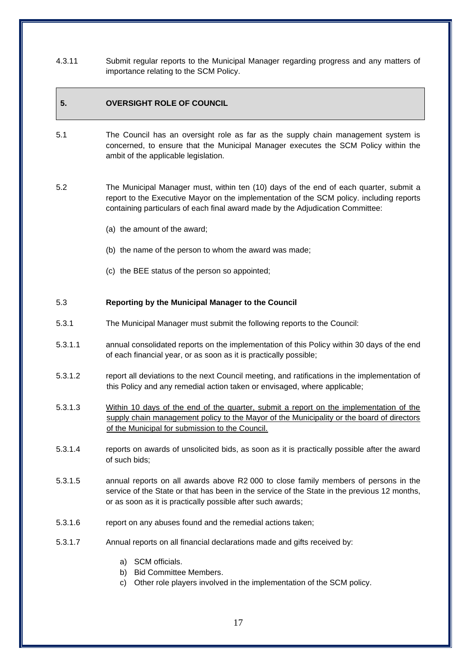4.3.11 Submit regular reports to the Municipal Manager regarding progress and any matters of importance relating to the SCM Policy.

# **5. OVERSIGHT ROLE OF COUNCIL**

- 5.1 The Council has an oversight role as far as the supply chain management system is concerned, to ensure that the Municipal Manager executes the SCM Policy within the ambit of the applicable legislation.
- 5.2 The Municipal Manager must, within ten (10) days of the end of each quarter, submit a report to the Executive Mayor on the implementation of the SCM policy. including reports containing particulars of each final award made by the Adjudication Committee:
	- (a) the amount of the award;
	- (b) the name of the person to whom the award was made;
	- (c) the BEE status of the person so appointed;

#### 5.3 **Reporting by the Municipal Manager to the Council**

- 5.3.1 The Municipal Manager must submit the following reports to the Council:
- 5.3.1.1 annual consolidated reports on the implementation of this Policy within 30 days of the end of each financial year, or as soon as it is practically possible;
- 5.3.1.2 report all deviations to the next Council meeting, and ratifications in the implementation of this Policy and any remedial action taken or envisaged, where applicable;
- 5.3.1.3 Within 10 days of the end of the quarter, submit a report on the implementation of the supply chain management policy to the Mayor of the Municipality or the board of directors of the Municipal for submission to the Council.
- 5.3.1.4 reports on awards of unsolicited bids, as soon as it is practically possible after the award of such bids;
- 5.3.1.5 annual reports on all awards above R2 000 to close family members of persons in the service of the State or that has been in the service of the State in the previous 12 months, or as soon as it is practically possible after such awards;
- 5.3.1.6 report on any abuses found and the remedial actions taken;
- 5.3.1.7 Annual reports on all financial declarations made and gifts received by:
	- a) SCM officials.
	- b) Bid Committee Members.
	- c) Other role players involved in the implementation of the SCM policy.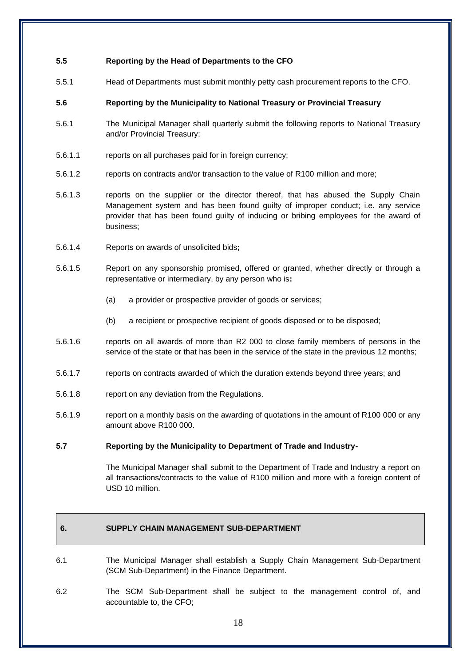### **5.5 Reporting by the Head of Departments to the CFO**

5.5.1 Head of Departments must submit monthly petty cash procurement reports to the CFO.

#### **5.6 Reporting by the Municipality to National Treasury or Provincial Treasury**

- 5.6.1 The Municipal Manager shall quarterly submit the following reports to National Treasury and/or Provincial Treasury:
- 5.6.1.1 reports on all purchases paid for in foreign currency;
- 5.6.1.2 reports on contracts and/or transaction to the value of R100 million and more;
- 5.6.1.3 reports on the supplier or the director thereof, that has abused the Supply Chain Management system and has been found guilty of improper conduct; i.e. any service provider that has been found guilty of inducing or bribing employees for the award of business;
- 5.6.1.4 Reports on awards of unsolicited bids**;**
- 5.6.1.5 Report on any sponsorship promised, offered or granted, whether directly or through a representative or intermediary, by any person who is**:**
	- (a) a provider or prospective provider of goods or services;
	- (b) a recipient or prospective recipient of goods disposed or to be disposed;
- 5.6.1.6 reports on all awards of more than R2 000 to close family members of persons in the service of the state or that has been in the service of the state in the previous 12 months;
- 5.6.1.7 reports on contracts awarded of which the duration extends beyond three years; and
- 5.6.1.8 report on any deviation from the Regulations.
- 5.6.1.9 report on a monthly basis on the awarding of quotations in the amount of R100 000 or any amount above R100 000.

#### **5.7 Reporting by the Municipality to Department of Trade and Industry-**

The Municipal Manager shall submit to the Department of Trade and Industry a report on all transactions/contracts to the value of R100 million and more with a foreign content of USD 10 million.

# **6. SUPPLY CHAIN MANAGEMENT SUB-DEPARTMENT**

- 6.1 The Municipal Manager shall establish a Supply Chain Management Sub-Department (SCM Sub-Department) in the Finance Department.
- 6.2 The SCM Sub-Department shall be subject to the management control of, and accountable to, the CFO;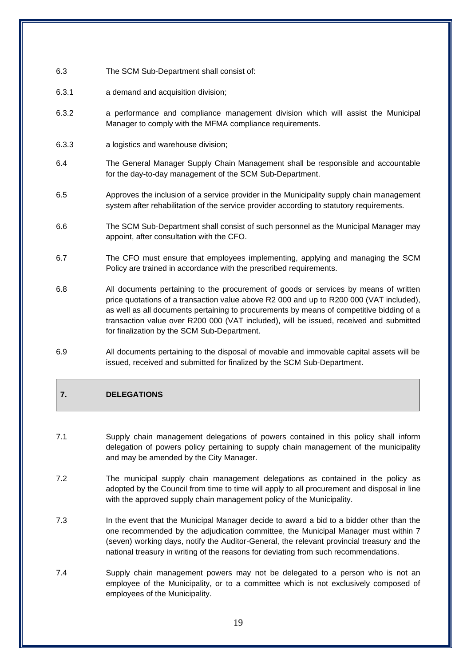- 6.3 The SCM Sub-Department shall consist of:
- 6.3.1 a demand and acquisition division;
- 6.3.2 a performance and compliance management division which will assist the Municipal Manager to comply with the MFMA compliance requirements.
- 6.3.3 a logistics and warehouse division;
- 6.4 The General Manager Supply Chain Management shall be responsible and accountable for the day-to-day management of the SCM Sub-Department.
- 6.5 Approves the inclusion of a service provider in the Municipality supply chain management system after rehabilitation of the service provider according to statutory requirements.
- 6.6 The SCM Sub-Department shall consist of such personnel as the Municipal Manager may appoint, after consultation with the CFO.
- 6.7 The CFO must ensure that employees implementing, applying and managing the SCM Policy are trained in accordance with the prescribed requirements.
- 6.8 All documents pertaining to the procurement of goods or services by means of written price quotations of a transaction value above R2 000 and up to R200 000 (VAT included), as well as all documents pertaining to procurements by means of competitive bidding of a transaction value over R200 000 (VAT included), will be issued, received and submitted for finalization by the SCM Sub-Department.
- 6.9 All documents pertaining to the disposal of movable and immovable capital assets will be issued, received and submitted for finalized by the SCM Sub-Department.

# **7. DELEGATIONS**

- 7.1 Supply chain management delegations of powers contained in this policy shall inform delegation of powers policy pertaining to supply chain management of the municipality and may be amended by the City Manager.
- 7.2 The municipal supply chain management delegations as contained in the policy as adopted by the Council from time to time will apply to all procurement and disposal in line with the approved supply chain management policy of the Municipality.
- 7.3 In the event that the Municipal Manager decide to award a bid to a bidder other than the one recommended by the adjudication committee, the Municipal Manager must within 7 (seven) working days, notify the Auditor-General, the relevant provincial treasury and the national treasury in writing of the reasons for deviating from such recommendations.
- 7.4 Supply chain management powers may not be delegated to a person who is not an employee of the Municipality, or to a committee which is not exclusively composed of employees of the Municipality.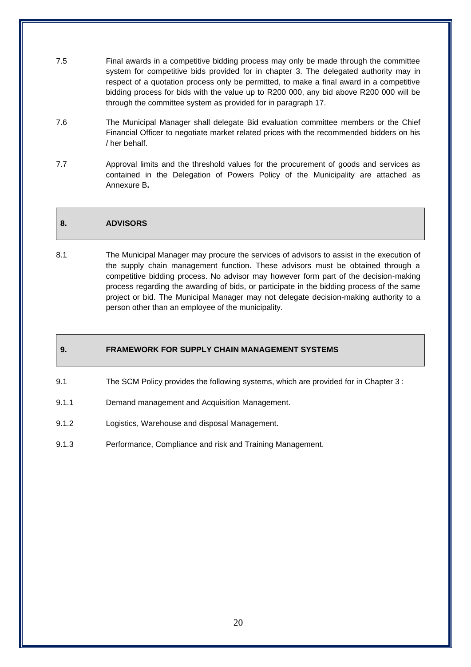- 7.5 Final awards in a competitive bidding process may only be made through the committee system for competitive bids provided for in chapter 3. The delegated authority may in respect of a quotation process only be permitted, to make a final award in a competitive bidding process for bids with the value up to R200 000, any bid above R200 000 will be through the committee system as provided for in paragraph 17.
- 7.6 The Municipal Manager shall delegate Bid evaluation committee members or the Chief Financial Officer to negotiate market related prices with the recommended bidders on his / her behalf.
- 7.7 Approval limits and the threshold values for the procurement of goods and services as contained in the Delegation of Powers Policy of the Municipality are attached as Annexure B**.**

# **8. ADVISORS**

8.1 The Municipal Manager may procure the services of advisors to assist in the execution of the supply chain management function. These advisors must be obtained through a competitive bidding process. No advisor may however form part of the decision-making process regarding the awarding of bids, or participate in the bidding process of the same project or bid. The Municipal Manager may not delegate decision-making authority to a person other than an employee of the municipality.

# **9. FRAMEWORK FOR SUPPLY CHAIN MANAGEMENT SYSTEMS**

- 9.1 The SCM Policy provides the following systems, which are provided for in Chapter 3 :
- 9.1.1 Demand management and Acquisition Management.
- 9.1.2 Logistics, Warehouse and disposal Management.
- 9.1.3 Performance, Compliance and risk and Training Management.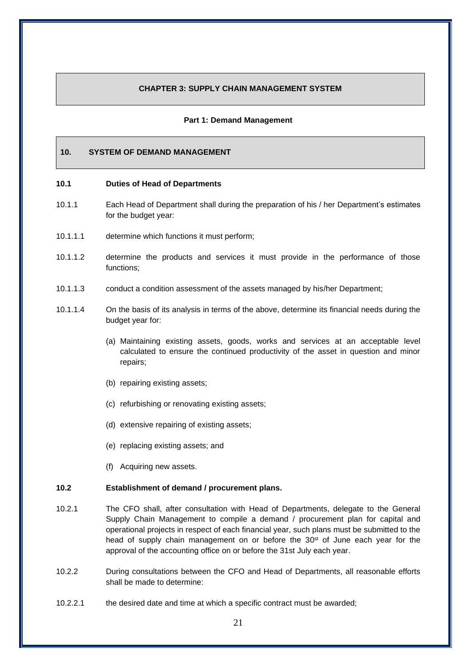#### **CHAPTER 3: SUPPLY CHAIN MANAGEMENT SYSTEM**

#### **Part 1: Demand Management**

# **10. SYSTEM OF DEMAND MANAGEMENT**

#### **10.1 Duties of Head of Departments**

- 10.1.1 Each Head of Department shall during the preparation of his / her Department's estimates for the budget year:
- 10.1.1.1 determine which functions it must perform;
- 10.1.1.2 determine the products and services it must provide in the performance of those functions;
- 10.1.1.3 conduct a condition assessment of the assets managed by his/her Department;
- 10.1.1.4 On the basis of its analysis in terms of the above, determine its financial needs during the budget year for:
	- (a) Maintaining existing assets, goods, works and services at an acceptable level calculated to ensure the continued productivity of the asset in question and minor repairs;
	- (b) repairing existing assets;
	- (c) refurbishing or renovating existing assets;
	- (d) extensive repairing of existing assets;
	- (e) replacing existing assets; and
	- (f) Acquiring new assets.

### **10.2 Establishment of demand / procurement plans.**

- 10.2.1 The CFO shall, after consultation with Head of Departments, delegate to the General Supply Chain Management to compile a demand / procurement plan for capital and operational projects in respect of each financial year, such plans must be submitted to the head of supply chain management on or before the  $30<sup>st</sup>$  of June each year for the approval of the accounting office on or before the 31st July each year.
- 10.2.2 During consultations between the CFO and Head of Departments, all reasonable efforts shall be made to determine:
- 10.2.2.1 the desired date and time at which a specific contract must be awarded;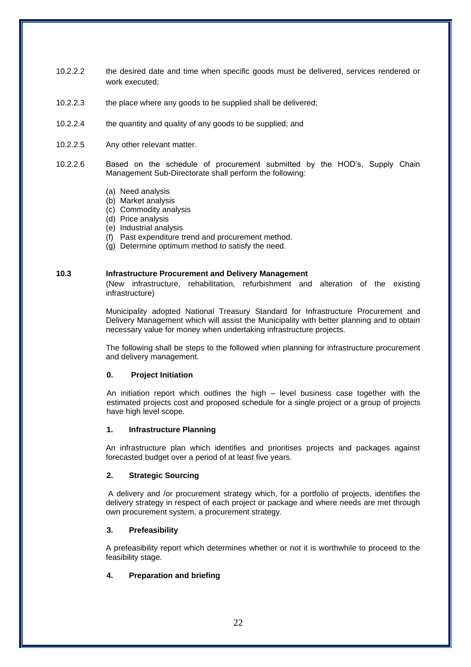- 10.2.2.2 the desired date and time when specific goods must be delivered, services rendered or work executed;
- 10.2.2.3 the place where any goods to be supplied shall be delivered;
- 10.2.2.4 the quantity and quality of any goods to be supplied; and
- 10.2.2.5 Any other relevant matter.
- 10.2.2.6 Based on the schedule of procurement submitted by the HOD's, Supply Chain Management Sub-Directorate shall perform the following:
	- (a) Need analysis
	- (b) Market analysis
	- (c) Commodity analysis
	- (d) Price analysis
	- (e) Industrial analysis
	- (f) Past expenditure trend and procurement method.
	- (g) Determine optimum method to satisfy the need.

#### **10.3 Infrastructure Procurement and Delivery Management**

(New infrastructure, rehabilitation, refurbishment and alteration of the existing infrastructure)

Municipality adopted National Treasury Standard for Infrastructure Procurement and Delivery Management which will assist the Municipality with better planning and to obtain necessary value for money when undertaking infrastructure projects.

The following shall be steps to the followed when planning for infrastructure procurement and delivery management.

#### **0. Project Initiation**

An initiation report which outlines the high – level business case together with the estimated projects cost and proposed schedule for a single project or a group of projects have high level scope.

#### **1. Infrastructure Planning**

An infrastructure plan which identifies and prioritises projects and packages against forecasted budget over a period of at least five years.

#### **2. Strategic Sourcing**

A delivery and /or procurement strategy which, for a portfolio of projects, identifies the delivery strategy in respect of each project or package and where needs are met through own procurement system, a procurement strategy.

#### **3. Prefeasibility**

A prefeasibility report which determines whether or not it is worthwhile to proceed to the feasibility stage.

#### **4. Preparation and briefing**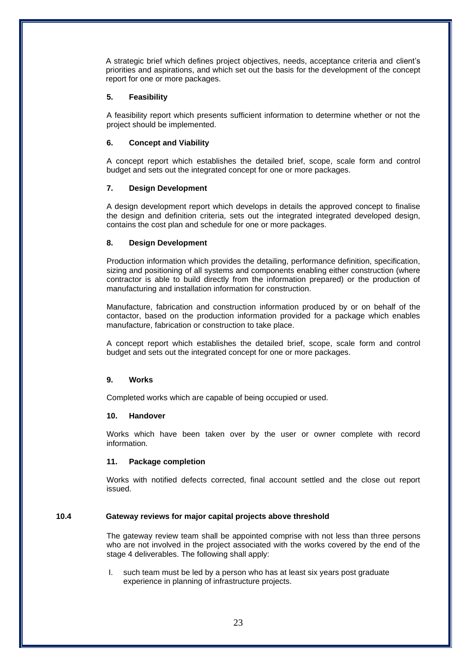A strategic brief which defines project objectives, needs, acceptance criteria and client's priorities and aspirations, and which set out the basis for the development of the concept report for one or more packages.

#### **5. Feasibility**

A feasibility report which presents sufficient information to determine whether or not the project should be implemented.

### **6. Concept and Viability**

A concept report which establishes the detailed brief, scope, scale form and control budget and sets out the integrated concept for one or more packages.

#### **7. Design Development**

A design development report which develops in details the approved concept to finalise the design and definition criteria, sets out the integrated integrated developed design, contains the cost plan and schedule for one or more packages.

#### **8. Design Development**

Production information which provides the detailing, performance definition, specification, sizing and positioning of all systems and components enabling either construction (where contractor is able to build directly from the information prepared) or the production of manufacturing and installation information for construction.

Manufacture, fabrication and construction information produced by or on behalf of the contactor, based on the production information provided for a package which enables manufacture, fabrication or construction to take place.

A concept report which establishes the detailed brief, scope, scale form and control budget and sets out the integrated concept for one or more packages.

#### **9. Works**

Completed works which are capable of being occupied or used.

#### **10. Handover**

Works which have been taken over by the user or owner complete with record information.

#### **11. Package completion**

Works with notified defects corrected, final account settled and the close out report issued.

# **10.4 Gateway reviews for major capital projects above threshold**

The gateway review team shall be appointed comprise with not less than three persons who are not involved in the project associated with the works covered by the end of the stage 4 deliverables. The following shall apply:

I. such team must be led by a person who has at least six years post graduate experience in planning of infrastructure projects.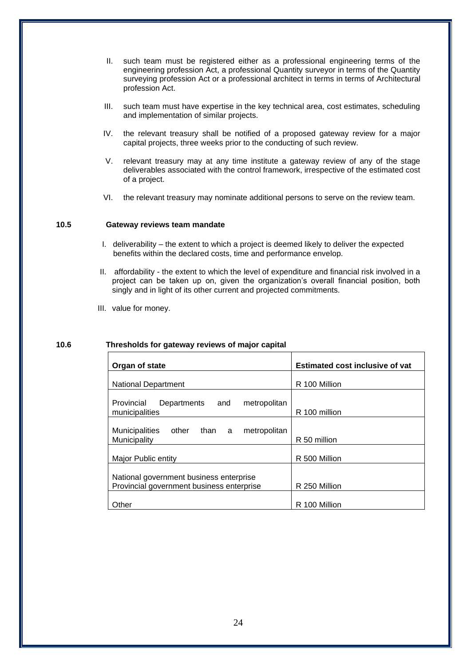- II. such team must be registered either as a professional engineering terms of the engineering profession Act, a professional Quantity surveyor in terms of the Quantity surveying profession Act or a professional architect in terms in terms of Architectural profession Act.
- III. such team must have expertise in the key technical area, cost estimates, scheduling and implementation of similar projects.
- IV. the relevant treasury shall be notified of a proposed gateway review for a major capital projects, three weeks prior to the conducting of such review.
- V. relevant treasury may at any time institute a gateway review of any of the stage deliverables associated with the control framework, irrespective of the estimated cost of a project.
- VI. the relevant treasury may nominate additional persons to serve on the review team.

#### **10.5 Gateway reviews team mandate**

- I. deliverability the extent to which a project is deemed likely to deliver the expected benefits within the declared costs, time and performance envelop.
- II. affordability the extent to which the level of expenditure and financial risk involved in a project can be taken up on, given the organization's overall financial position, both singly and in light of its other current and projected commitments.
- III. value for money.

#### **10.6 Thresholds for gateway reviews of major capital**

| Organ of state                                                                       | <b>Estimated cost inclusive of vat</b> |
|--------------------------------------------------------------------------------------|----------------------------------------|
| National Department                                                                  | R 100 Million                          |
| Provincial<br>metropolitan<br>and<br>Departments                                     |                                        |
| municipalities                                                                       | R 100 million                          |
| than a<br><b>Municipalities</b><br>other<br>metropolitan<br>Municipality             | R 50 million                           |
| Major Public entity                                                                  | R 500 Million                          |
| National government business enterprise<br>Provincial government business enterprise | R 250 Million                          |
| Other                                                                                | R 100 Million                          |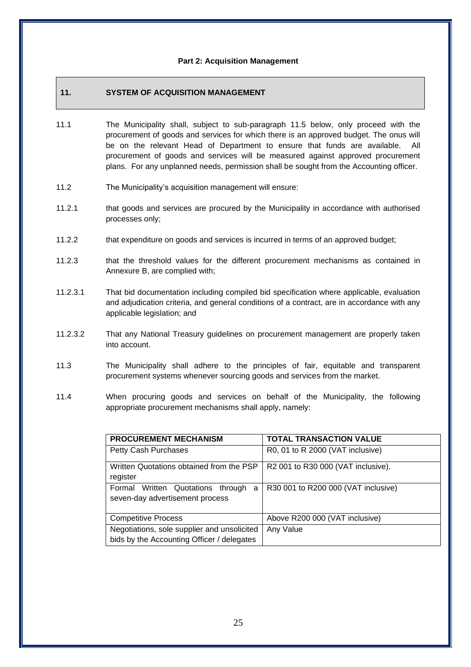#### **Part 2: Acquisition Management**

# **11. SYSTEM OF ACQUISITION MANAGEMENT**

- 11.1 The Municipality shall, subject to sub-paragraph 11.5 below, only proceed with the procurement of goods and services for which there is an approved budget. The onus will be on the relevant Head of Department to ensure that funds are available. All procurement of goods and services will be measured against approved procurement plans. For any unplanned needs, permission shall be sought from the Accounting officer.
- 11.2 The Municipality's acquisition management will ensure:
- 11.2.1 that goods and services are procured by the Municipality in accordance with authorised processes only;
- 11.2.2 that expenditure on goods and services is incurred in terms of an approved budget;
- 11.2.3 that the threshold values for the different procurement mechanisms as contained in Annexure B, are complied with;
- 11.2.3.1 That bid documentation including compiled bid specification where applicable, evaluation and adjudication criteria, and general conditions of a contract, are in accordance with any applicable legislation; and
- 11.2.3.2 That any National Treasury guidelines on procurement management are properly taken into account.
- 11.3 The Municipality shall adhere to the principles of fair, equitable and transparent procurement systems whenever sourcing goods and services from the market.
- 11.4 When procuring goods and services on behalf of the Municipality, the following appropriate procurement mechanisms shall apply, namely:

| PROCUREMENT MECHANISM                                                                     | <b>TOTAL TRANSACTION VALUE</b>      |
|-------------------------------------------------------------------------------------------|-------------------------------------|
| Petty Cash Purchases                                                                      | R0, 01 to R 2000 (VAT inclusive)    |
| Written Quotations obtained from the PSP<br>register                                      | R2 001 to R30 000 (VAT inclusive).  |
| Formal Written Quotations through<br>a<br>seven-day advertisement process                 | R30 001 to R200 000 (VAT inclusive) |
| <b>Competitive Process</b>                                                                | Above R200 000 (VAT inclusive)      |
| Negotiations, sole supplier and unsolicited<br>bids by the Accounting Officer / delegates | Any Value                           |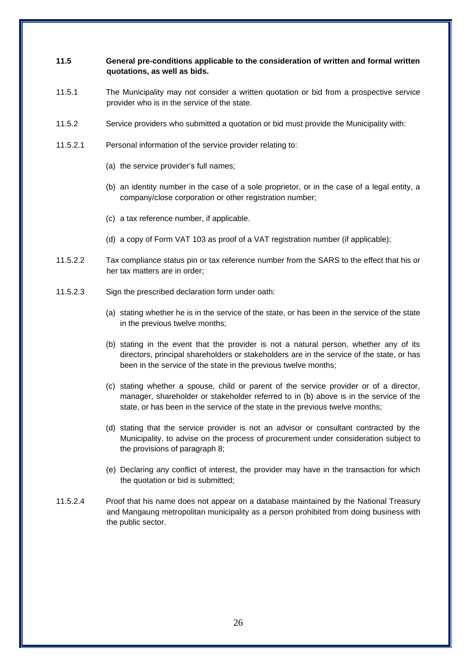# **11.5 General pre-conditions applicable to the consideration of written and formal written quotations, as well as bids.**

- 11.5.1 The Municipality may not consider a written quotation or bid from a prospective service provider who is in the service of the state.
- 11.5.2 Service providers who submitted a quotation or bid must provide the Municipality with:
- 11.5.2.1 Personal information of the service provider relating to:
	- (a) the service provider's full names;
	- (b) an identity number in the case of a sole proprietor, or in the case of a legal entity, a company/close corporation or other registration number;
	- (c) a tax reference number, if applicable.
	- (d) a copy of Form VAT 103 as proof of a VAT registration number (if applicable);
- 11.5.2.2 Tax compliance status pin or tax reference number from the SARS to the effect that his or her tax matters are in order;
- 11.5.2.3 Sign the prescribed declaration form under oath:
	- (a) stating whether he is in the service of the state, or has been in the service of the state in the previous twelve months;
	- (b) stating in the event that the provider is not a natural person, whether any of its directors, principal shareholders or stakeholders are in the service of the state, or has been in the service of the state in the previous twelve months;
	- (c) stating whether a spouse, child or parent of the service provider or of a director, manager, shareholder or stakeholder referred to in (b) above is in the service of the state, or has been in the service of the state in the previous twelve months;
	- (d) stating that the service provider is not an advisor or consultant contracted by the Municipality, to advise on the process of procurement under consideration subject to the provisions of paragraph 8;
	- (e) Declaring any conflict of interest, the provider may have in the transaction for which the quotation or bid is submitted;
- 11.5.2.4 Proof that his name does not appear on a database maintained by the National Treasury and Mangaung metropolitan municipality as a person prohibited from doing business with the public sector.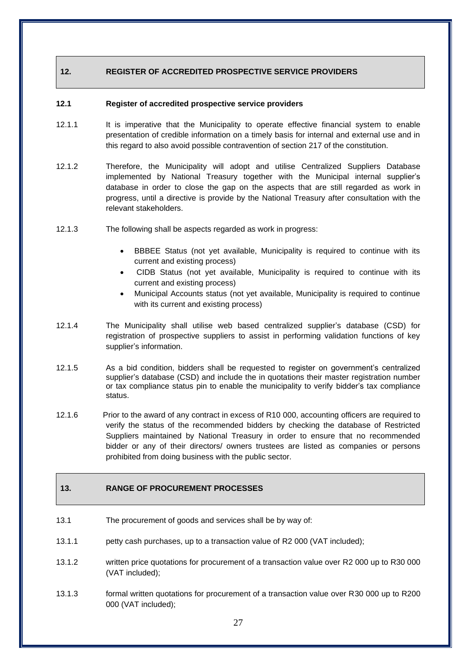# **12. REGISTER OF ACCREDITED PROSPECTIVE SERVICE PROVIDERS**

#### **12.1 Register of accredited prospective service providers**

- 12.1.1 It is imperative that the Municipality to operate effective financial system to enable presentation of credible information on a timely basis for internal and external use and in this regard to also avoid possible contravention of section 217 of the constitution.
- 12.1.2 Therefore, the Municipality will adopt and utilise Centralized Suppliers Database implemented by National Treasury together with the Municipal internal supplier's database in order to close the gap on the aspects that are still regarded as work in progress, until a directive is provide by the National Treasury after consultation with the relevant stakeholders.
- 12.1.3 The following shall be aspects regarded as work in progress:
	- BBBEE Status (not yet available, Municipality is required to continue with its current and existing process)
	- CIDB Status (not yet available, Municipality is required to continue with its current and existing process)
	- Municipal Accounts status (not yet available, Municipality is required to continue with its current and existing process)
- 12.1.4 The Municipality shall utilise web based centralized supplier's database (CSD) for registration of prospective suppliers to assist in performing validation functions of key supplier's information.
- 12.1.5 As a bid condition, bidders shall be requested to register on government's centralized supplier's database (CSD) and include the in quotations their master registration number or tax compliance status pin to enable the municipality to verify bidder's tax compliance status.
- 12.1.6 Prior to the award of any contract in excess of R10 000, accounting officers are required to verify the status of the recommended bidders by checking the database of Restricted Suppliers maintained by National Treasury in order to ensure that no recommended bidder or any of their directors/ owners trustees are listed as companies or persons prohibited from doing business with the public sector.

# **13. RANGE OF PROCUREMENT PROCESSES**

- 13.1 The procurement of goods and services shall be by way of:
- 13.1.1 petty cash purchases, up to a transaction value of R2 000 (VAT included);
- 13.1.2 written price quotations for procurement of a transaction value over R2 000 up to R30 000 (VAT included);
- 13.1.3 formal written quotations for procurement of a transaction value over R30 000 up to R200 000 (VAT included);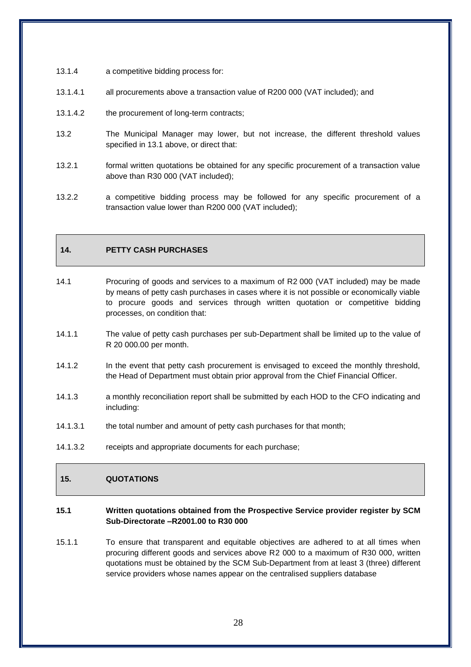- 13.1.4 a competitive bidding process for:
- 13.1.4.1 all procurements above a transaction value of R200 000 (VAT included); and
- 13.1.4.2 the procurement of long-term contracts;
- 13.2 The Municipal Manager may lower, but not increase, the different threshold values specified in 13.1 above, or direct that:
- 13.2.1 formal written quotations be obtained for any specific procurement of a transaction value above than R30 000 (VAT included);
- 13.2.2 a competitive bidding process may be followed for any specific procurement of a transaction value lower than R200 000 (VAT included);

# **14. PETTY CASH PURCHASES**

- 14.1 Procuring of goods and services to a maximum of R2 000 (VAT included) may be made by means of petty cash purchases in cases where it is not possible or economically viable to procure goods and services through written quotation or competitive bidding processes, on condition that:
- 14.1.1 The value of petty cash purchases per sub-Department shall be limited up to the value of R 20 000.00 per month.
- 14.1.2 In the event that petty cash procurement is envisaged to exceed the monthly threshold, the Head of Department must obtain prior approval from the Chief Financial Officer.
- 14.1.3 a monthly reconciliation report shall be submitted by each HOD to the CFO indicating and including:
- 14.1.3.1 the total number and amount of petty cash purchases for that month;
- 14.1.3.2 receipts and appropriate documents for each purchase;

# **15. QUOTATIONS**

#### **15.1 Written quotations obtained from the Prospective Service provider register by SCM Sub-Directorate –R2001.00 to R30 000**

15.1.1 To ensure that transparent and equitable objectives are adhered to at all times when procuring different goods and services above R2 000 to a maximum of R30 000, written quotations must be obtained by the SCM Sub-Department from at least 3 (three) different service providers whose names appear on the centralised suppliers database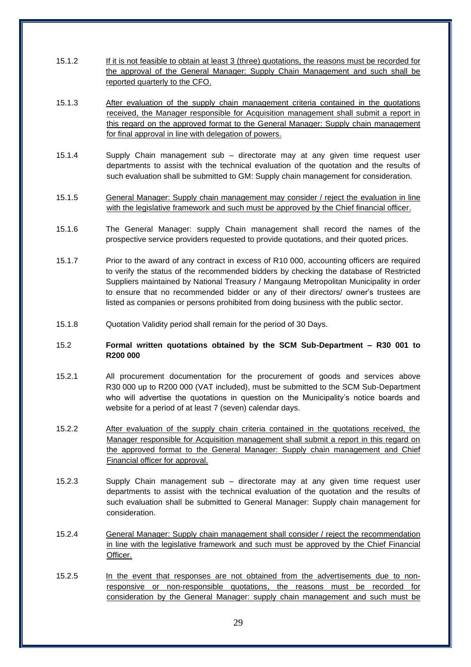- 15.1.2 If it is not feasible to obtain at least 3 (three) quotations, the reasons must be recorded for the approval of the General Manager: Supply Chain Management and such shall be reported quarterly to the CFO.
- 15.1.3 After evaluation of the supply chain management criteria contained in the quotations received, the Manager responsible for Acquisition management shall submit a report in this regard on the approved format to the General Manager: Supply chain management for final approval in line with delegation of powers.
- 15.1.4 Supply Chain management sub directorate may at any given time request user departments to assist with the technical evaluation of the quotation and the results of such evaluation shall be submitted to GM: Supply chain management for consideration.
- 15.1.5 General Manager: Supply chain management may consider / reject the evaluation in line with the legislative framework and such must be approved by the Chief financial officer.
- 15.1.6 The General Manager: supply Chain management shall record the names of the prospective service providers requested to provide quotations, and their quoted prices.
- 15.1.7 Prior to the award of any contract in excess of R10 000, accounting officers are required to verify the status of the recommended bidders by checking the database of Restricted Suppliers maintained by National Treasury / Mangaung Metropolitan Municipality in order to ensure that no recommended bidder or any of their directors/ owner's trustees are listed as companies or persons prohibited from doing business with the public sector.
- 15.1.8 Quotation Validity period shall remain for the period of 30 Days.

# 15.2 **Formal written quotations obtained by the SCM Sub-Department – R30 001 to R200 000**

- 15.2.1 All procurement documentation for the procurement of goods and services above R30 000 up to R200 000 (VAT included), must be submitted to the SCM Sub-Department who will advertise the quotations in question on the Municipality's notice boards and website for a period of at least 7 (seven) calendar days.
- 15.2.2 After evaluation of the supply chain criteria contained in the quotations received, the Manager responsible for Acquisition management shall submit a report in this regard on the approved format to the General Manager: Supply chain management and Chief Financial officer for approval.
- 15.2.3 Supply Chain management sub directorate may at any given time request user departments to assist with the technical evaluation of the quotation and the results of such evaluation shall be submitted to General Manager: Supply chain management for consideration.
- 15.2.4 General Manager: Supply chain management shall consider / reject the recommendation in line with the legislative framework and such must be approved by the Chief Financial Officer.
- 15.2.5 In the event that responses are not obtained from the advertisements due to nonresponsive or non-responsible quotations, the reasons must be recorded for consideration by the General Manager: supply chain management and such must be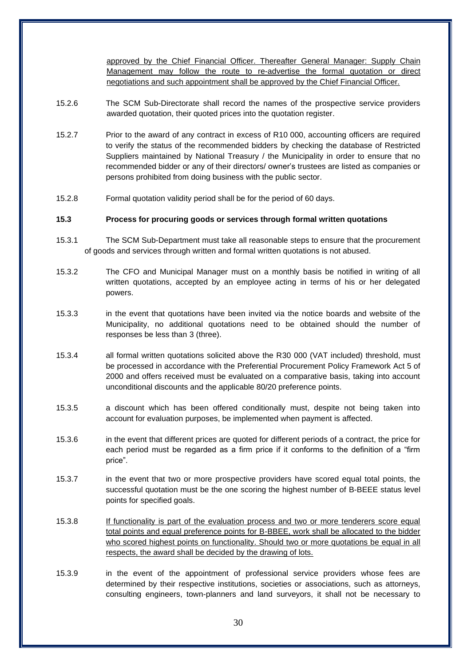approved by the Chief Financial Officer. Thereafter General Manager: Supply Chain Management may follow the route to re-advertise the formal quotation or direct negotiations and such appointment shall be approved by the Chief Financial Officer.

- 15.2.6 The SCM Sub-Directorate shall record the names of the prospective service providers awarded quotation, their quoted prices into the quotation register.
- 15.2.7 Prior to the award of any contract in excess of R10 000, accounting officers are required to verify the status of the recommended bidders by checking the database of Restricted Suppliers maintained by National Treasury / the Municipality in order to ensure that no recommended bidder or any of their directors/ owner's trustees are listed as companies or persons prohibited from doing business with the public sector.
- 15.2.8 Formal quotation validity period shall be for the period of 60 days.

# **15.3 Process for procuring goods or services through formal written quotations**

- 15.3.1 The SCM Sub-Department must take all reasonable steps to ensure that the procurement of goods and services through written and formal written quotations is not abused.
- 15.3.2 The CFO and Municipal Manager must on a monthly basis be notified in writing of all written quotations, accepted by an employee acting in terms of his or her delegated powers.
- 15.3.3 in the event that quotations have been invited via the notice boards and website of the Municipality, no additional quotations need to be obtained should the number of responses be less than 3 (three).
- 15.3.4 all formal written quotations solicited above the R30 000 (VAT included) threshold, must be processed in accordance with the Preferential Procurement Policy Framework Act 5 of 2000 and offers received must be evaluated on a comparative basis, taking into account unconditional discounts and the applicable 80/20 preference points.
- 15.3.5 a discount which has been offered conditionally must, despite not being taken into account for evaluation purposes, be implemented when payment is affected.
- 15.3.6 in the event that different prices are quoted for different periods of a contract, the price for each period must be regarded as a firm price if it conforms to the definition of a "firm price".
- 15.3.7 in the event that two or more prospective providers have scored equal total points, the successful quotation must be the one scoring the highest number of B-BEEE status level points for specified goals.
- 15.3.8 If functionality is part of the evaluation process and two or more tenderers score equal total points and equal preference points for B-BBEE, work shall be allocated to the bidder who scored highest points on functionality. Should two or more quotations be equal in all respects, the award shall be decided by the drawing of lots.
- 15.3.9 in the event of the appointment of professional service providers whose fees are determined by their respective institutions, societies or associations, such as attorneys, consulting engineers, town-planners and land surveyors, it shall not be necessary to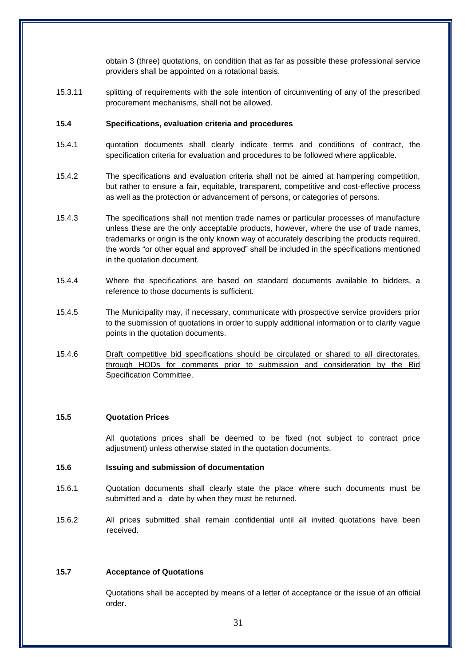obtain 3 (three) quotations, on condition that as far as possible these professional service providers shall be appointed on a rotational basis.

15.3.11 splitting of requirements with the sole intention of circumventing of any of the prescribed procurement mechanisms, shall not be allowed.

#### **15.4 Specifications, evaluation criteria and procedures**

- 15.4.1 quotation documents shall clearly indicate terms and conditions of contract, the specification criteria for evaluation and procedures to be followed where applicable.
- 15.4.2 The specifications and evaluation criteria shall not be aimed at hampering competition, but rather to ensure a fair, equitable, transparent, competitive and cost-effective process as well as the protection or advancement of persons, or categories of persons.
- 15.4.3 The specifications shall not mention trade names or particular processes of manufacture unless these are the only acceptable products, however, where the use of trade names, trademarks or origin is the only known way of accurately describing the products required, the words "or other equal and approved" shall be included in the specifications mentioned in the quotation document.
- 15.4.4 Where the specifications are based on standard documents available to bidders, a reference to those documents is sufficient.
- 15.4.5 The Municipality may, if necessary, communicate with prospective service providers prior to the submission of quotations in order to supply additional information or to clarify vague points in the quotation documents.
- 15.4.6 Draft competitive bid specifications should be circulated or shared to all directorates, through HODs for comments prior to submission and consideration by the Bid Specification Committee.

# **15.5 Quotation Prices**

All quotations prices shall be deemed to be fixed (not subject to contract price adjustment) unless otherwise stated in the quotation documents.

# **15.6 Issuing and submission of documentation**

- 15.6.1 Quotation documents shall clearly state the place where such documents must be submitted and a date by when they must be returned.
- 15.6.2 All prices submitted shall remain confidential until all invited quotations have been received.

#### **15.7 Acceptance of Quotations**

Quotations shall be accepted by means of a letter of acceptance or the issue of an official order.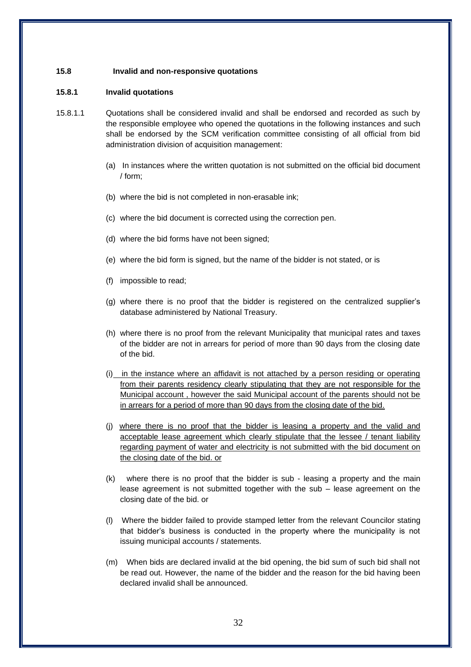#### **15.8 Invalid and non-responsive quotations**

#### **15.8.1 Invalid quotations**

- 15.8.1.1 Quotations shall be considered invalid and shall be endorsed and recorded as such by the responsible employee who opened the quotations in the following instances and such shall be endorsed by the SCM verification committee consisting of all official from bid administration division of acquisition management:
	- (a) In instances where the written quotation is not submitted on the official bid document / form;
	- (b) where the bid is not completed in non-erasable ink;
	- (c) where the bid document is corrected using the correction pen.
	- (d) where the bid forms have not been signed;
	- (e) where the bid form is signed, but the name of the bidder is not stated, or is
	- (f) impossible to read;
	- (g) where there is no proof that the bidder is registered on the centralized supplier's database administered by National Treasury.
	- (h) where there is no proof from the relevant Municipality that municipal rates and taxes of the bidder are not in arrears for period of more than 90 days from the closing date of the bid.
	- (i) in the instance where an affidavit is not attached by a person residing or operating from their parents residency clearly stipulating that they are not responsible for the Municipal account , however the said Municipal account of the parents should not be in arrears for a period of more than 90 days from the closing date of the bid.
	- (j) where there is no proof that the bidder is leasing a property and the valid and acceptable lease agreement which clearly stipulate that the lessee / tenant liability regarding payment of water and electricity is not submitted with the bid document on the closing date of the bid. or
	- (k) where there is no proof that the bidder is sub leasing a property and the main lease agreement is not submitted together with the sub – lease agreement on the closing date of the bid. or
	- (l) Where the bidder failed to provide stamped letter from the relevant Councilor stating that bidder's business is conducted in the property where the municipality is not issuing municipal accounts / statements.
	- (m) When bids are declared invalid at the bid opening, the bid sum of such bid shall not be read out. However, the name of the bidder and the reason for the bid having been declared invalid shall be announced.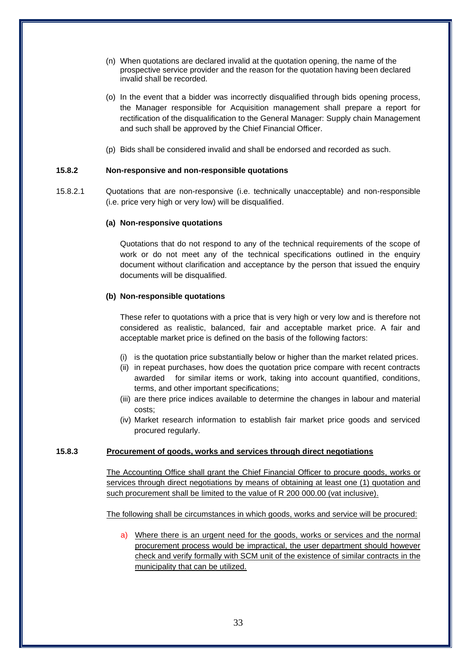- (n) When quotations are declared invalid at the quotation opening, the name of the prospective service provider and the reason for the quotation having been declared invalid shall be recorded.
- (o) In the event that a bidder was incorrectly disqualified through bids opening process, the Manager responsible for Acquisition management shall prepare a report for rectification of the disqualification to the General Manager: Supply chain Management and such shall be approved by the Chief Financial Officer.
- (p) Bids shall be considered invalid and shall be endorsed and recorded as such.

# **15.8.2 Non-responsive and non-responsible quotations**

15.8.2.1 Quotations that are non-responsive (i.e. technically unacceptable) and non-responsible (i.e. price very high or very low) will be disqualified.

#### **(a) Non-responsive quotations**

Quotations that do not respond to any of the technical requirements of the scope of work or do not meet any of the technical specifications outlined in the enquiry document without clarification and acceptance by the person that issued the enquiry documents will be disqualified.

#### **(b) Non-responsible quotations**

These refer to quotations with a price that is very high or very low and is therefore not considered as realistic, balanced, fair and acceptable market price. A fair and acceptable market price is defined on the basis of the following factors:

- (i) is the quotation price substantially below or higher than the market related prices.
- (ii) in repeat purchases, how does the quotation price compare with recent contracts awarded for similar items or work, taking into account quantified, conditions, terms, and other important specifications;
- (iii) are there price indices available to determine the changes in labour and material costs;
- (iv) Market research information to establish fair market price goods and serviced procured regularly.

# **15.8.3 Procurement of goods, works and services through direct negotiations**

The Accounting Office shall grant the Chief Financial Officer to procure goods, works or services through direct negotiations by means of obtaining at least one (1) quotation and such procurement shall be limited to the value of R 200 000.00 (vat inclusive).

The following shall be circumstances in which goods, works and service will be procured:

a) Where there is an urgent need for the goods, works or services and the normal procurement process would be impractical, the user department should however check and verify formally with SCM unit of the existence of similar contracts in the municipality that can be utilized.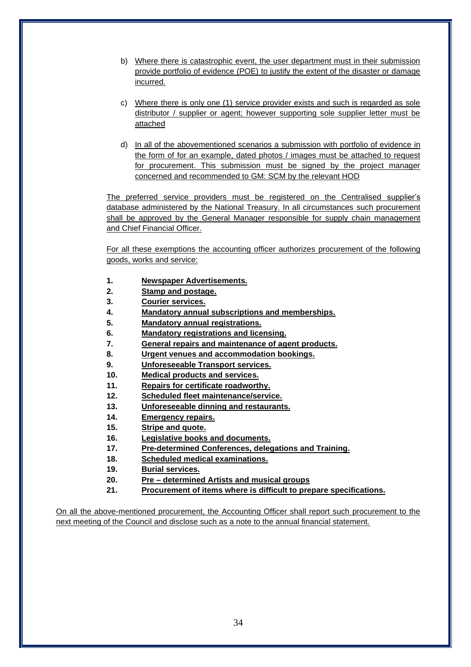- b) Where there is catastrophic event, the user department must in their submission provide portfolio of evidence (POE) to justify the extent of the disaster or damage incurred.
- c) Where there is only one (1) service provider exists and such is regarded as sole distributor / supplier or agent; however supporting sole supplier letter must be attached
- d) In all of the abovementioned scenarios a submission with portfolio of evidence in the form of for an example, dated photos / images must be attached to request for procurement. This submission must be signed by the project manager concerned and recommended to GM: SCM by the relevant HOD

The preferred service providers must be registered on the Centralised supplier's database administered by the National Treasury. In all circumstances such procurement shall be approved by the General Manager responsible for supply chain management and Chief Financial Officer.

For all these exemptions the accounting officer authorizes procurement of the following goods, works and service:

- **1. Newspaper Advertisements.**
- **2. Stamp and postage.**
- **3. Courier services.**
- **4. Mandatory annual subscriptions and memberships.**
- **5. Mandatory annual registrations.**
- **6. Mandatory registrations and licensing.**
- **7. General repairs and maintenance of agent products.**
- **8. Urgent venues and accommodation bookings.**
- **9. Unforeseeable Transport services.**
- **10. Medical products and services.**
- **11. Repairs for certificate roadworthy.**
- **12. Scheduled fleet maintenance/service.**
- **13. Unforeseeable dinning and restaurants.**
- **14. Emergency repairs.**
- **15. Stripe and quote.**
- **16. Legislative books and documents.**
- **17. Pre-determined Conferences, delegations and Training.**
- **18. Scheduled medical examinations.**
- **19. Burial services.**
- **20. Pre – determined Artists and musical groups**
- **21. Procurement of items where is difficult to prepare specifications.**

On all the above-mentioned procurement, the Accounting Officer shall report such procurement to the next meeting of the Council and disclose such as a note to the annual financial statement.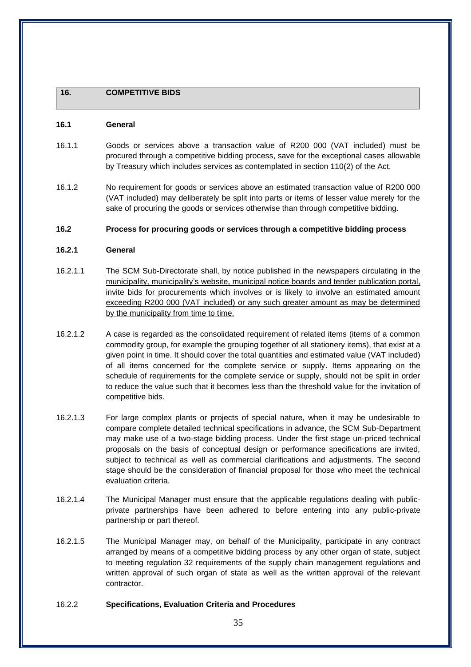# **16. COMPETITIVE BIDS**

#### **16.1 General**

- 16.1.1 Goods or services above a transaction value of R200 000 (VAT included) must be procured through a competitive bidding process, save for the exceptional cases allowable by Treasury which includes services as contemplated in section 110(2) of the Act.
- 16.1.2 No requirement for goods or services above an estimated transaction value of R200 000 (VAT included) may deliberately be split into parts or items of lesser value merely for the sake of procuring the goods or services otherwise than through competitive bidding.

#### **16.2 Process for procuring goods or services through a competitive bidding process**

### **16.2.1 General**

- 16.2.1.1 The SCM Sub-Directorate shall, by notice published in the newspapers circulating in the municipality, municipality's website, municipal notice boards and tender publication portal, invite bids for procurements which involves or is likely to involve an estimated amount exceeding R200 000 (VAT included) or any such greater amount as may be determined by the municipality from time to time.
- 16.2.1.2 A case is regarded as the consolidated requirement of related items (items of a common commodity group, for example the grouping together of all stationery items), that exist at a given point in time. It should cover the total quantities and estimated value (VAT included) of all items concerned for the complete service or supply. Items appearing on the schedule of requirements for the complete service or supply, should not be split in order to reduce the value such that it becomes less than the threshold value for the invitation of competitive bids.
- 16.2.1.3 For large complex plants or projects of special nature, when it may be undesirable to compare complete detailed technical specifications in advance, the SCM Sub-Department may make use of a two-stage bidding process. Under the first stage un-priced technical proposals on the basis of conceptual design or performance specifications are invited, subject to technical as well as commercial clarifications and adjustments. The second stage should be the consideration of financial proposal for those who meet the technical evaluation criteria.
- 16.2.1.4 The Municipal Manager must ensure that the applicable regulations dealing with publicprivate partnerships have been adhered to before entering into any public-private partnership or part thereof.
- 16.2.1.5 The Municipal Manager may, on behalf of the Municipality, participate in any contract arranged by means of a competitive bidding process by any other organ of state, subject to meeting regulation 32 requirements of the supply chain management regulations and written approval of such organ of state as well as the written approval of the relevant contractor.

# 16.2.2 **Specifications, Evaluation Criteria and Procedures**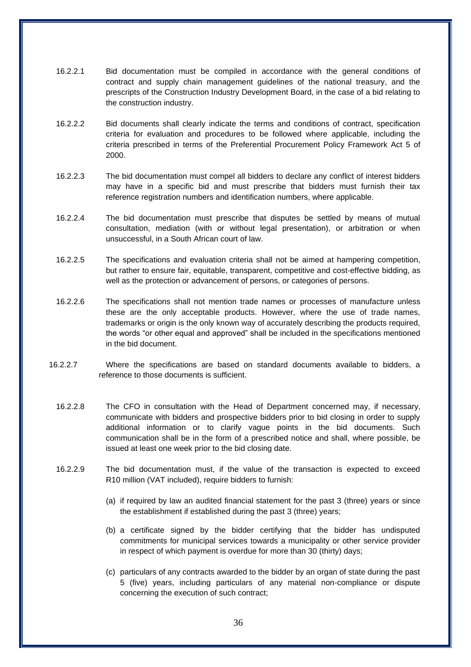- 16.2.2.1 Bid documentation must be compiled in accordance with the general conditions of contract and supply chain management guidelines of the national treasury, and the prescripts of the Construction Industry Development Board, in the case of a bid relating to the construction industry.
- 16.2.2.2 Bid documents shall clearly indicate the terms and conditions of contract, specification criteria for evaluation and procedures to be followed where applicable, including the criteria prescribed in terms of the Preferential Procurement Policy Framework Act 5 of 2000.
- 16.2.2.3 The bid documentation must compel all bidders to declare any conflict of interest bidders may have in a specific bid and must prescribe that bidders must furnish their tax reference registration numbers and identification numbers, where applicable.
- 16.2.2.4 The bid documentation must prescribe that disputes be settled by means of mutual consultation, mediation (with or without legal presentation), or arbitration or when unsuccessful, in a South African court of law.
- 16.2.2.5 The specifications and evaluation criteria shall not be aimed at hampering competition, but rather to ensure fair, equitable, transparent, competitive and cost-effective bidding, as well as the protection or advancement of persons, or categories of persons.
- 16.2.2.6 The specifications shall not mention trade names or processes of manufacture unless these are the only acceptable products. However, where the use of trade names, trademarks or origin is the only known way of accurately describing the products required, the words "or other equal and approved" shall be included in the specifications mentioned in the bid document.
- 16.2.2.7 Where the specifications are based on standard documents available to bidders, a reference to those documents is sufficient.
	- 16.2.2.8 The CFO in consultation with the Head of Department concerned may, if necessary, communicate with bidders and prospective bidders prior to bid closing in order to supply additional information or to clarify vague points in the bid documents. Such communication shall be in the form of a prescribed notice and shall, where possible, be issued at least one week prior to the bid closing date.
	- 16.2.2.9 The bid documentation must, if the value of the transaction is expected to exceed R10 million (VAT included), require bidders to furnish:
		- (a) if required by law an audited financial statement for the past 3 (three) years or since the establishment if established during the past 3 (three) years;
		- (b) a certificate signed by the bidder certifying that the bidder has undisputed commitments for municipal services towards a municipality or other service provider in respect of which payment is overdue for more than 30 (thirty) days;
		- (c) particulars of any contracts awarded to the bidder by an organ of state during the past 5 (five) years, including particulars of any material non-compliance or dispute concerning the execution of such contract;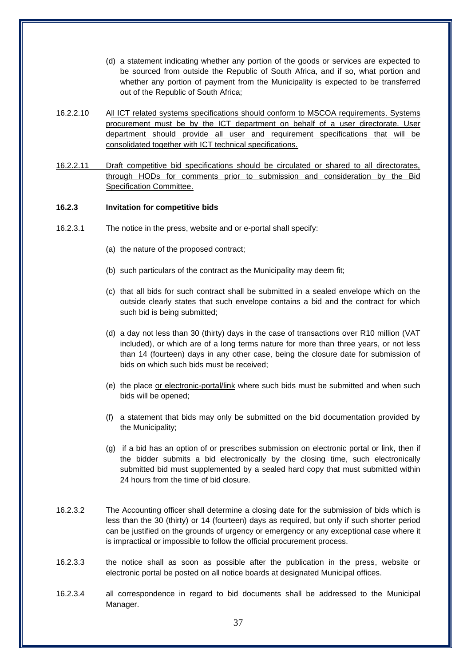- (d) a statement indicating whether any portion of the goods or services are expected to be sourced from outside the Republic of South Africa, and if so, what portion and whether any portion of payment from the Municipality is expected to be transferred out of the Republic of South Africa;
- 16.2.2.10 All ICT related systems specifications should conform to MSCOA requirements. Systems procurement must be by the ICT department on behalf of a user directorate. User department should provide all user and requirement specifications that will be consolidated together with ICT technical specifications.
- 16.2.2.11 Draft competitive bid specifications should be circulated or shared to all directorates, through HODs for comments prior to submission and consideration by the Bid Specification Committee.

## **16.2.3 Invitation for competitive bids**

- 16.2.3.1 The notice in the press, website and or e-portal shall specify:
	- (a) the nature of the proposed contract;
	- (b) such particulars of the contract as the Municipality may deem fit;
	- (c) that all bids for such contract shall be submitted in a sealed envelope which on the outside clearly states that such envelope contains a bid and the contract for which such bid is being submitted;
	- (d) a day not less than 30 (thirty) days in the case of transactions over R10 million (VAT included), or which are of a long terms nature for more than three years, or not less than 14 (fourteen) days in any other case, being the closure date for submission of bids on which such bids must be received;
	- (e) the place or electronic-portal/link where such bids must be submitted and when such bids will be opened;
	- (f) a statement that bids may only be submitted on the bid documentation provided by the Municipality;
	- (g) if a bid has an option of or prescribes submission on electronic portal or link, then if the bidder submits a bid electronically by the closing time, such electronically submitted bid must supplemented by a sealed hard copy that must submitted within 24 hours from the time of bid closure.
- 16.2.3.2 The Accounting officer shall determine a closing date for the submission of bids which is less than the 30 (thirty) or 14 (fourteen) days as required, but only if such shorter period can be justified on the grounds of urgency or emergency or any exceptional case where it is impractical or impossible to follow the official procurement process.
- 16.2.3.3 the notice shall as soon as possible after the publication in the press, website or electronic portal be posted on all notice boards at designated Municipal offices.
- 16.2.3.4 all correspondence in regard to bid documents shall be addressed to the Municipal Manager.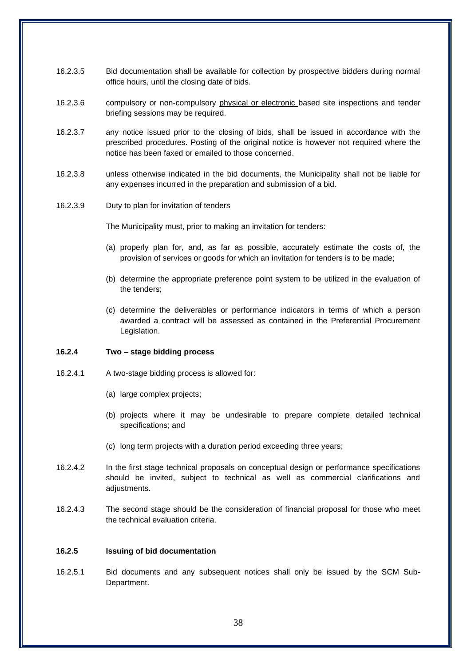- 16.2.3.5 Bid documentation shall be available for collection by prospective bidders during normal office hours, until the closing date of bids.
- 16.2.3.6 compulsory or non-compulsory physical or electronic based site inspections and tender briefing sessions may be required.
- 16.2.3.7 any notice issued prior to the closing of bids, shall be issued in accordance with the prescribed procedures. Posting of the original notice is however not required where the notice has been faxed or emailed to those concerned.
- 16.2.3.8 unless otherwise indicated in the bid documents, the Municipality shall not be liable for any expenses incurred in the preparation and submission of a bid.
- 16.2.3.9 Duty to plan for invitation of tenders

The Municipality must, prior to making an invitation for tenders:

- (a) properly plan for, and, as far as possible, accurately estimate the costs of, the provision of services or goods for which an invitation for tenders is to be made;
- (b) determine the appropriate preference point system to be utilized in the evaluation of the tenders;
- (c) determine the deliverables or performance indicators in terms of which a person awarded a contract will be assessed as contained in the Preferential Procurement Legislation.

### **16.2.4 Two – stage bidding process**

- 16.2.4.1 A two-stage bidding process is allowed for:
	- (a) large complex projects;
	- (b) projects where it may be undesirable to prepare complete detailed technical specifications; and
	- (c) long term projects with a duration period exceeding three years;
- 16.2.4.2 In the first stage technical proposals on conceptual design or performance specifications should be invited, subject to technical as well as commercial clarifications and adjustments.
- 16.2.4.3 The second stage should be the consideration of financial proposal for those who meet the technical evaluation criteria.

#### **16.2.5 Issuing of bid documentation**

16.2.5.1 Bid documents and any subsequent notices shall only be issued by the SCM Sub-Department.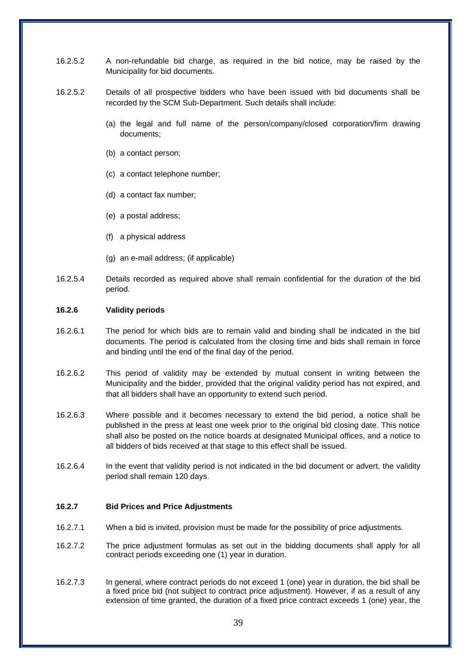- 16.2.5.2 A non-refundable bid charge, as required in the bid notice, may be raised by the Municipality for bid documents.
- 16.2.5.2 Details of all prospective bidders who have been issued with bid documents shall be recorded by the SCM Sub-Department. Such details shall include:
	- (a) the legal and full name of the person/company/closed corporation/firm drawing documents;
	- (b) a contact person;
	- (c) a contact telephone number;
	- (d) a contact fax number;
	- (e) a postal address;
	- (f) a physical address
	- (g) an e-mail address; (if applicable)
- 16.2.5.4 Details recorded as required above shall remain confidential for the duration of the bid period.

## **16.2.6 Validity periods**

- 16.2.6.1 The period for which bids are to remain valid and binding shall be indicated in the bid documents. The period is calculated from the closing time and bids shall remain in force and binding until the end of the final day of the period.
- 16.2.6.2 This period of validity may be extended by mutual consent in writing between the Municipality and the bidder, provided that the original validity period has not expired, and that all bidders shall have an opportunity to extend such period.
- 16.2.6.3 Where possible and it becomes necessary to extend the bid period, a notice shall be published in the press at least one week prior to the original bid closing date. This notice shall also be posted on the notice boards at designated Municipal offices, and a notice to all bidders of bids received at that stage to this effect shall be issued.
- 16.2.6.4 In the event that validity period is not indicated in the bid document or advert, the validity period shall remain 120 days.

### **16.2.7 Bid Prices and Price Adjustments**

- 16.2.7.1 When a bid is invited, provision must be made for the possibility of price adjustments.
- 16.2.7.2 The price adjustment formulas as set out in the bidding documents shall apply for all contract periods exceeding one (1) year in duration.
- 16.2.7.3 In general, where contract periods do not exceed 1 (one) year in duration, the bid shall be a fixed price bid (not subject to contract price adjustment). However, if as a result of any extension of time granted, the duration of a fixed price contract exceeds 1 (one) year, the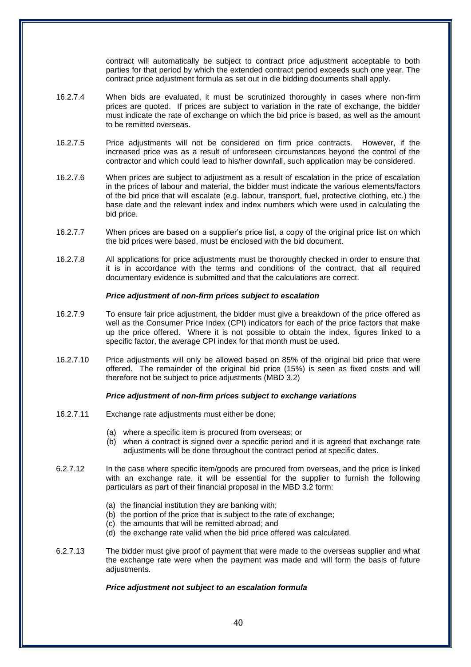contract will automatically be subject to contract price adjustment acceptable to both parties for that period by which the extended contract period exceeds such one year. The contract price adjustment formula as set out in die bidding documents shall apply.

- 16.2.7.4 When bids are evaluated, it must be scrutinized thoroughly in cases where non-firm prices are quoted. If prices are subject to variation in the rate of exchange, the bidder must indicate the rate of exchange on which the bid price is based, as well as the amount to be remitted overseas.
- 16.2.7.5 Price adjustments will not be considered on firm price contracts. However, if the increased price was as a result of unforeseen circumstances beyond the control of the contractor and which could lead to his/her downfall, such application may be considered.
- 16.2.7.6 When prices are subject to adjustment as a result of escalation in the price of escalation in the prices of labour and material, the bidder must indicate the various elements/factors of the bid price that will escalate (e.g. labour, transport, fuel, protective clothing, etc.) the base date and the relevant index and index numbers which were used in calculating the bid price.
- 16.2.7.7 When prices are based on a supplier's price list, a copy of the original price list on which the bid prices were based, must be enclosed with the bid document.
- 16.2.7.8 All applications for price adjustments must be thoroughly checked in order to ensure that it is in accordance with the terms and conditions of the contract, that all required documentary evidence is submitted and that the calculations are correct.

### *Price adjustment of non-firm prices subject to escalation*

- 16.2.7.9 To ensure fair price adjustment, the bidder must give a breakdown of the price offered as well as the Consumer Price Index (CPI) indicators for each of the price factors that make up the price offered. Where it is not possible to obtain the index, figures linked to a specific factor, the average CPI index for that month must be used.
- 16.2.7.10 Price adjustments will only be allowed based on 85% of the original bid price that were offered. The remainder of the original bid price (15%) is seen as fixed costs and will therefore not be subject to price adjustments (MBD 3.2)

## *Price adjustment of non-firm prices subject to exchange variations*

- 16.2.7.11 Exchange rate adjustments must either be done;
	- (a) where a specific item is procured from overseas; or
	- (b) when a contract is signed over a specific period and it is agreed that exchange rate adjustments will be done throughout the contract period at specific dates.
- 6.2.7.12 In the case where specific item/goods are procured from overseas, and the price is linked with an exchange rate, it will be essential for the supplier to furnish the following particulars as part of their financial proposal in the MBD 3.2 form:
	- (a) the financial institution they are banking with;
	- (b) the portion of the price that is subject to the rate of exchange;
	- (c) the amounts that will be remitted abroad; and
	- (d) the exchange rate valid when the bid price offered was calculated.
- 6.2.7.13 The bidder must give proof of payment that were made to the overseas supplier and what the exchange rate were when the payment was made and will form the basis of future adjustments.

## *Price adjustment not subject to an escalation formula*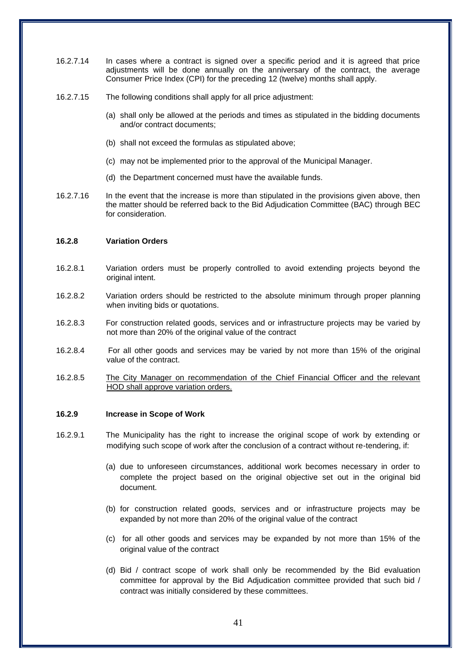- 16.2.7.14 In cases where a contract is signed over a specific period and it is agreed that price adjustments will be done annually on the anniversary of the contract, the average Consumer Price Index (CPI) for the preceding 12 (twelve) months shall apply.
- 16.2.7.15 The following conditions shall apply for all price adjustment:
	- (a) shall only be allowed at the periods and times as stipulated in the bidding documents and/or contract documents;
	- (b) shall not exceed the formulas as stipulated above;
	- (c) may not be implemented prior to the approval of the Municipal Manager.
	- (d) the Department concerned must have the available funds.
- 16.2.7.16 In the event that the increase is more than stipulated in the provisions given above, then the matter should be referred back to the Bid Adjudication Committee (BAC) through BEC for consideration.

#### **16.2.8 Variation Orders**

- 16.2.8.1 Variation orders must be properly controlled to avoid extending projects beyond the original intent.
- 16.2.8.2 Variation orders should be restricted to the absolute minimum through proper planning when inviting bids or quotations.
- 16.2.8.3 For construction related goods, services and or infrastructure projects may be varied by not more than 20% of the original value of the contract
- 16.2.8.4 For all other goods and services may be varied by not more than 15% of the original value of the contract.
- 16.2.8.5 The City Manager on recommendation of the Chief Financial Officer and the relevant HOD shall approve variation orders.

#### **16.2.9 Increase in Scope of Work**

- 16.2.9.1 The Municipality has the right to increase the original scope of work by extending or modifying such scope of work after the conclusion of a contract without re-tendering, if:
	- (a) due to unforeseen circumstances, additional work becomes necessary in order to complete the project based on the original objective set out in the original bid document.
	- (b) for construction related goods, services and or infrastructure projects may be expanded by not more than 20% of the original value of the contract
	- (c) for all other goods and services may be expanded by not more than 15% of the original value of the contract
	- (d) Bid / contract scope of work shall only be recommended by the Bid evaluation committee for approval by the Bid Adjudication committee provided that such bid / contract was initially considered by these committees.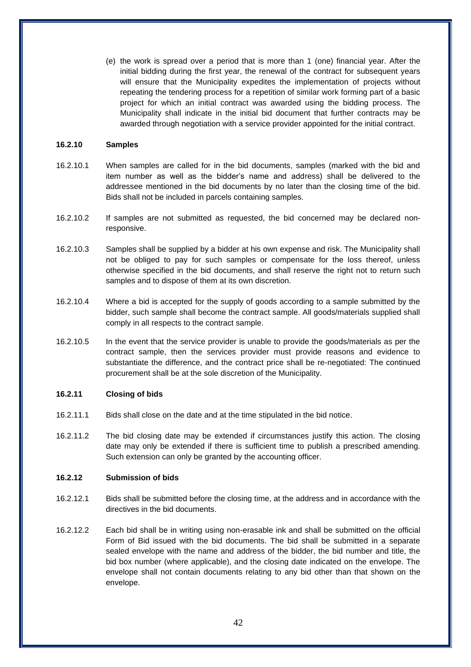(e) the work is spread over a period that is more than 1 (one) financial year. After the initial bidding during the first year, the renewal of the contract for subsequent years will ensure that the Municipality expedites the implementation of projects without repeating the tendering process for a repetition of similar work forming part of a basic project for which an initial contract was awarded using the bidding process. The Municipality shall indicate in the initial bid document that further contracts may be awarded through negotiation with a service provider appointed for the initial contract.

### **16.2.10 Samples**

- 16.2.10.1 When samples are called for in the bid documents, samples (marked with the bid and item number as well as the bidder's name and address) shall be delivered to the addressee mentioned in the bid documents by no later than the closing time of the bid. Bids shall not be included in parcels containing samples.
- 16.2.10.2 If samples are not submitted as requested, the bid concerned may be declared nonresponsive.
- 16.2.10.3 Samples shall be supplied by a bidder at his own expense and risk. The Municipality shall not be obliged to pay for such samples or compensate for the loss thereof, unless otherwise specified in the bid documents, and shall reserve the right not to return such samples and to dispose of them at its own discretion.
- 16.2.10.4 Where a bid is accepted for the supply of goods according to a sample submitted by the bidder, such sample shall become the contract sample. All goods/materials supplied shall comply in all respects to the contract sample.
- 16.2.10.5 In the event that the service provider is unable to provide the goods/materials as per the contract sample, then the services provider must provide reasons and evidence to substantiate the difference, and the contract price shall be re-negotiated: The continued procurement shall be at the sole discretion of the Municipality.

### **16.2.11 Closing of bids**

- 16.2.11.1 Bids shall close on the date and at the time stipulated in the bid notice.
- 16.2.11.2 The bid closing date may be extended if circumstances justify this action. The closing date may only be extended if there is sufficient time to publish a prescribed amending. Such extension can only be granted by the accounting officer.

#### **16.2.12 Submission of bids**

- 16.2.12.1 Bids shall be submitted before the closing time, at the address and in accordance with the directives in the bid documents.
- 16.2.12.2 Each bid shall be in writing using non-erasable ink and shall be submitted on the official Form of Bid issued with the bid documents. The bid shall be submitted in a separate sealed envelope with the name and address of the bidder, the bid number and title, the bid box number (where applicable), and the closing date indicated on the envelope. The envelope shall not contain documents relating to any bid other than that shown on the envelope.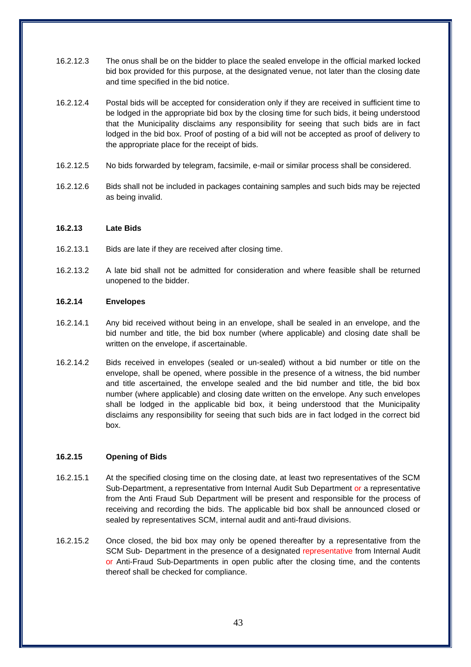- 16.2.12.3 The onus shall be on the bidder to place the sealed envelope in the official marked locked bid box provided for this purpose, at the designated venue, not later than the closing date and time specified in the bid notice.
- 16.2.12.4 Postal bids will be accepted for consideration only if they are received in sufficient time to be lodged in the appropriate bid box by the closing time for such bids, it being understood that the Municipality disclaims any responsibility for seeing that such bids are in fact lodged in the bid box. Proof of posting of a bid will not be accepted as proof of delivery to the appropriate place for the receipt of bids.
- 16.2.12.5 No bids forwarded by telegram, facsimile, e-mail or similar process shall be considered.
- 16.2.12.6 Bids shall not be included in packages containing samples and such bids may be rejected as being invalid.

### **16.2.13 Late Bids**

- 16.2.13.1 Bids are late if they are received after closing time.
- 16.2.13.2 A late bid shall not be admitted for consideration and where feasible shall be returned unopened to the bidder.

#### **16.2.14 Envelopes**

- 16.2.14.1 Any bid received without being in an envelope, shall be sealed in an envelope, and the bid number and title, the bid box number (where applicable) and closing date shall be written on the envelope, if ascertainable.
- 16.2.14.2 Bids received in envelopes (sealed or un-sealed) without a bid number or title on the envelope, shall be opened, where possible in the presence of a witness, the bid number and title ascertained, the envelope sealed and the bid number and title, the bid box number (where applicable) and closing date written on the envelope. Any such envelopes shall be lodged in the applicable bid box, it being understood that the Municipality disclaims any responsibility for seeing that such bids are in fact lodged in the correct bid box.

## **16.2.15 Opening of Bids**

- 16.2.15.1 At the specified closing time on the closing date, at least two representatives of the SCM Sub-Department, a representative from Internal Audit Sub Department or a representative from the Anti Fraud Sub Department will be present and responsible for the process of receiving and recording the bids. The applicable bid box shall be announced closed or sealed by representatives SCM, internal audit and anti-fraud divisions.
- 16.2.15.2 Once closed, the bid box may only be opened thereafter by a representative from the SCM Sub- Department in the presence of a designated representative from Internal Audit or Anti-Fraud Sub-Departments in open public after the closing time, and the contents thereof shall be checked for compliance.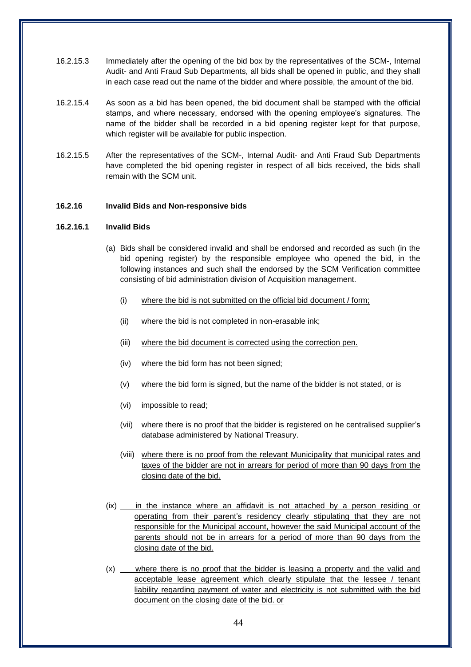- 16.2.15.3 Immediately after the opening of the bid box by the representatives of the SCM-, Internal Audit- and Anti Fraud Sub Departments, all bids shall be opened in public, and they shall in each case read out the name of the bidder and where possible, the amount of the bid.
- 16.2.15.4 As soon as a bid has been opened, the bid document shall be stamped with the official stamps, and where necessary, endorsed with the opening employee's signatures. The name of the bidder shall be recorded in a bid opening register kept for that purpose, which register will be available for public inspection.
- 16.2.15.5 After the representatives of the SCM-, Internal Audit- and Anti Fraud Sub Departments have completed the bid opening register in respect of all bids received, the bids shall remain with the SCM unit.

### **16.2.16 Invalid Bids and Non-responsive bids**

#### **16.2.16.1 Invalid Bids**

- (a) Bids shall be considered invalid and shall be endorsed and recorded as such (in the bid opening register) by the responsible employee who opened the bid, in the following instances and such shall the endorsed by the SCM Verification committee consisting of bid administration division of Acquisition management.
	- (i) where the bid is not submitted on the official bid document / form;
	- (ii) where the bid is not completed in non-erasable ink;
	- (iii) where the bid document is corrected using the correction pen.
	- (iv) where the bid form has not been signed;
	- (v) where the bid form is signed, but the name of the bidder is not stated, or is
	- (vi) impossible to read;
	- (vii) where there is no proof that the bidder is registered on he centralised supplier's database administered by National Treasury.
	- (viii) where there is no proof from the relevant Municipality that municipal rates and taxes of the bidder are not in arrears for period of more than 90 days from the closing date of the bid.
- (ix) in the instance where an affidavit is not attached by a person residing or operating from their parent's residency clearly stipulating that they are not responsible for the Municipal account, however the said Municipal account of the parents should not be in arrears for a period of more than 90 days from the closing date of the bid.
- (x) where there is no proof that the bidder is leasing a property and the valid and acceptable lease agreement which clearly stipulate that the lessee / tenant liability regarding payment of water and electricity is not submitted with the bid document on the closing date of the bid. or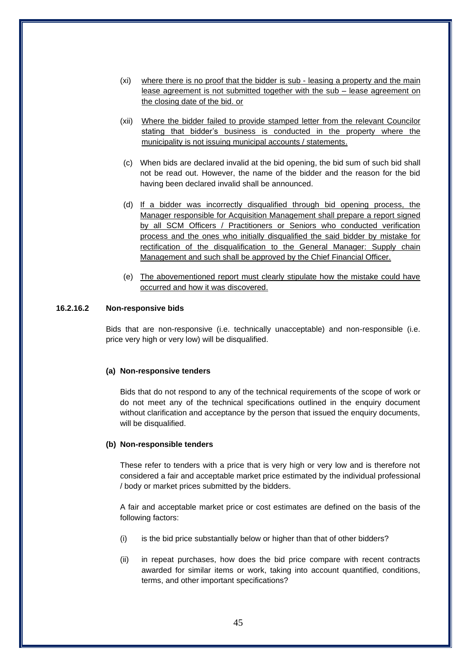- (xi) where there is no proof that the bidder is sub leasing a property and the main lease agreement is not submitted together with the sub – lease agreement on the closing date of the bid. or
- (xii) Where the bidder failed to provide stamped letter from the relevant Councilor stating that bidder's business is conducted in the property where the municipality is not issuing municipal accounts / statements.
- (c) When bids are declared invalid at the bid opening, the bid sum of such bid shall not be read out. However, the name of the bidder and the reason for the bid having been declared invalid shall be announced.
- (d) If a bidder was incorrectly disqualified through bid opening process, the Manager responsible for Acquisition Management shall prepare a report signed by all SCM Officers / Practitioners or Seniors who conducted verification process and the ones who initially disqualified the said bidder by mistake for rectification of the disqualification to the General Manager: Supply chain Management and such shall be approved by the Chief Financial Officer.
- (e) The abovementioned report must clearly stipulate how the mistake could have occurred and how it was discovered.

# **16.2.16.2 Non-responsive bids**

Bids that are non-responsive (i.e. technically unacceptable) and non-responsible (i.e. price very high or very low) will be disqualified.

#### **(a) Non-responsive tenders**

Bids that do not respond to any of the technical requirements of the scope of work or do not meet any of the technical specifications outlined in the enquiry document without clarification and acceptance by the person that issued the enquiry documents, will be disqualified.

#### **(b) Non-responsible tenders**

These refer to tenders with a price that is very high or very low and is therefore not considered a fair and acceptable market price estimated by the individual professional / body or market prices submitted by the bidders.

A fair and acceptable market price or cost estimates are defined on the basis of the following factors:

- (i) is the bid price substantially below or higher than that of other bidders?
- (ii) in repeat purchases, how does the bid price compare with recent contracts awarded for similar items or work, taking into account quantified, conditions, terms, and other important specifications?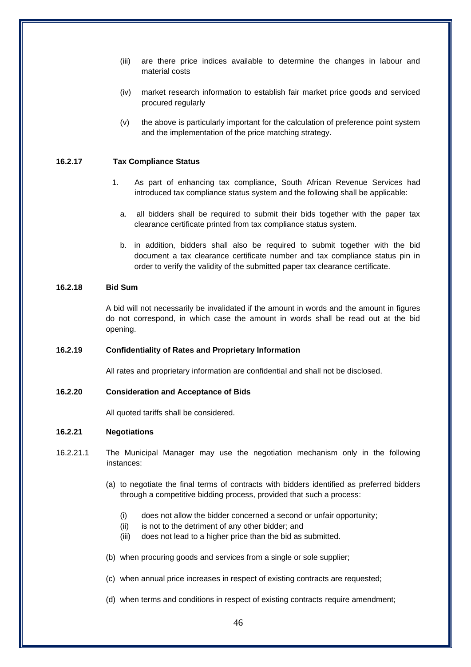- (iii) are there price indices available to determine the changes in labour and material costs
- (iv) market research information to establish fair market price goods and serviced procured regularly
- (v) the above is particularly important for the calculation of preference point system and the implementation of the price matching strategy.

### **16.2.17 Tax Compliance Status**

- 1. As part of enhancing tax compliance, South African Revenue Services had introduced tax compliance status system and the following shall be applicable:
	- a. all bidders shall be required to submit their bids together with the paper tax clearance certificate printed from tax compliance status system.
	- b. in addition, bidders shall also be required to submit together with the bid document a tax clearance certificate number and tax compliance status pin in order to verify the validity of the submitted paper tax clearance certificate.

#### **16.2.18 Bid Sum**

A bid will not necessarily be invalidated if the amount in words and the amount in figures do not correspond, in which case the amount in words shall be read out at the bid opening.

#### **16.2.19 Confidentiality of Rates and Proprietary Information**

All rates and proprietary information are confidential and shall not be disclosed.

#### **16.2.20 Consideration and Acceptance of Bids**

All quoted tariffs shall be considered.

### **16.2.21 Negotiations**

- 16.2.21.1 The Municipal Manager may use the negotiation mechanism only in the following instances:
	- (a) to negotiate the final terms of contracts with bidders identified as preferred bidders through a competitive bidding process, provided that such a process:
		- (i) does not allow the bidder concerned a second or unfair opportunity;
		- (ii) is not to the detriment of any other bidder; and
		- (iii) does not lead to a higher price than the bid as submitted.
	- (b) when procuring goods and services from a single or sole supplier;
	- (c) when annual price increases in respect of existing contracts are requested;
	- (d) when terms and conditions in respect of existing contracts require amendment;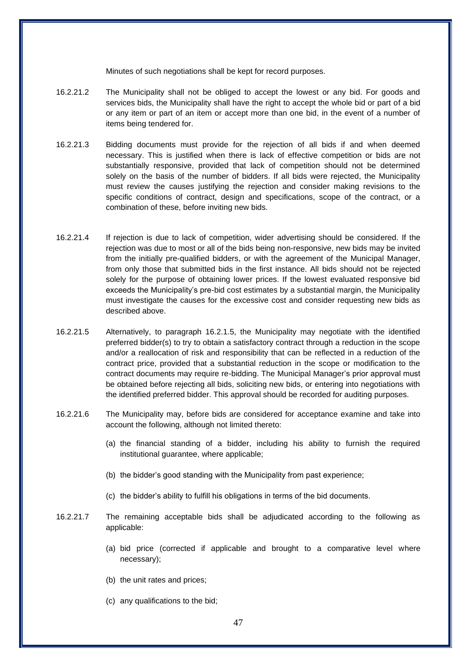Minutes of such negotiations shall be kept for record purposes.

- 16.2.21.2 The Municipality shall not be obliged to accept the lowest or any bid. For goods and services bids, the Municipality shall have the right to accept the whole bid or part of a bid or any item or part of an item or accept more than one bid, in the event of a number of items being tendered for.
- 16.2.21.3 Bidding documents must provide for the rejection of all bids if and when deemed necessary. This is justified when there is lack of effective competition or bids are not substantially responsive, provided that lack of competition should not be determined solely on the basis of the number of bidders. If all bids were rejected, the Municipality must review the causes justifying the rejection and consider making revisions to the specific conditions of contract, design and specifications, scope of the contract, or a combination of these, before inviting new bids.
- 16.2.21.4 If rejection is due to lack of competition, wider advertising should be considered. If the rejection was due to most or all of the bids being non-responsive, new bids may be invited from the initially pre-qualified bidders, or with the agreement of the Municipal Manager, from only those that submitted bids in the first instance. All bids should not be rejected solely for the purpose of obtaining lower prices. If the lowest evaluated responsive bid exceeds the Municipality's pre-bid cost estimates by a substantial margin, the Municipality must investigate the causes for the excessive cost and consider requesting new bids as described above.
- 16.2.21.5 Alternatively, to paragraph 16.2.1.5, the Municipality may negotiate with the identified preferred bidder(s) to try to obtain a satisfactory contract through a reduction in the scope and/or a reallocation of risk and responsibility that can be reflected in a reduction of the contract price, provided that a substantial reduction in the scope or modification to the contract documents may require re-bidding. The Municipal Manager's prior approval must be obtained before rejecting all bids, soliciting new bids, or entering into negotiations with the identified preferred bidder. This approval should be recorded for auditing purposes.
- 16.2.21.6 The Municipality may, before bids are considered for acceptance examine and take into account the following, although not limited thereto:
	- (a) the financial standing of a bidder, including his ability to furnish the required institutional guarantee, where applicable;
	- (b) the bidder's good standing with the Municipality from past experience;
	- (c) the bidder's ability to fulfill his obligations in terms of the bid documents.
- 16.2.21.7 The remaining acceptable bids shall be adjudicated according to the following as applicable:
	- (a) bid price (corrected if applicable and brought to a comparative level where necessary);
	- (b) the unit rates and prices;
	- (c) any qualifications to the bid;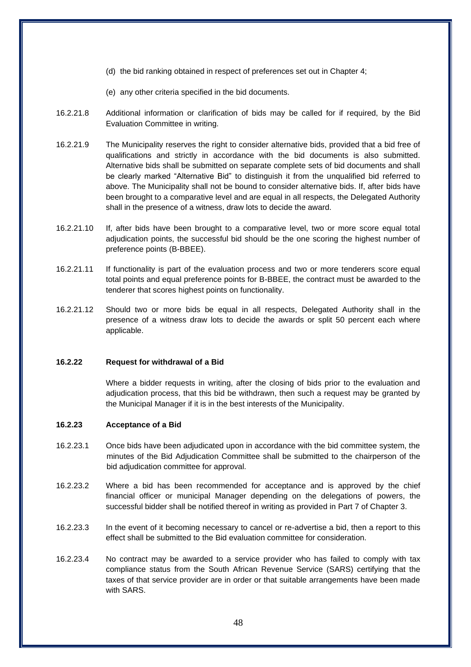- (d) the bid ranking obtained in respect of preferences set out in Chapter 4;
- (e) any other criteria specified in the bid documents.
- 16.2.21.8 Additional information or clarification of bids may be called for if required, by the Bid Evaluation Committee in writing.
- 16.2.21.9 The Municipality reserves the right to consider alternative bids, provided that a bid free of qualifications and strictly in accordance with the bid documents is also submitted. Alternative bids shall be submitted on separate complete sets of bid documents and shall be clearly marked "Alternative Bid" to distinguish it from the unqualified bid referred to above. The Municipality shall not be bound to consider alternative bids. If, after bids have been brought to a comparative level and are equal in all respects, the Delegated Authority shall in the presence of a witness, draw lots to decide the award.
- 16.2.21.10 If, after bids have been brought to a comparative level, two or more score equal total adjudication points, the successful bid should be the one scoring the highest number of preference points (B-BBEE).
- 16.2.21.11 If functionality is part of the evaluation process and two or more tenderers score equal total points and equal preference points for B-BBEE, the contract must be awarded to the tenderer that scores highest points on functionality.
- 16.2.21.12 Should two or more bids be equal in all respects, Delegated Authority shall in the presence of a witness draw lots to decide the awards or split 50 percent each where applicable.

### **16.2.22 Request for withdrawal of a Bid**

Where a bidder requests in writing, after the closing of bids prior to the evaluation and adjudication process, that this bid be withdrawn, then such a request may be granted by the Municipal Manager if it is in the best interests of the Municipality.

### **16.2.23 Acceptance of a Bid**

- 16.2.23.1 Once bids have been adjudicated upon in accordance with the bid committee system, the minutes of the Bid Adjudication Committee shall be submitted to the chairperson of the bid adjudication committee for approval.
- 16.2.23.2 Where a bid has been recommended for acceptance and is approved by the chief financial officer or municipal Manager depending on the delegations of powers, the successful bidder shall be notified thereof in writing as provided in Part 7 of Chapter 3.
- 16.2.23.3 In the event of it becoming necessary to cancel or re-advertise a bid, then a report to this effect shall be submitted to the Bid evaluation committee for consideration.
- 16.2.23.4 No contract may be awarded to a service provider who has failed to comply with tax compliance status from the South African Revenue Service (SARS) certifying that the taxes of that service provider are in order or that suitable arrangements have been made with SARS.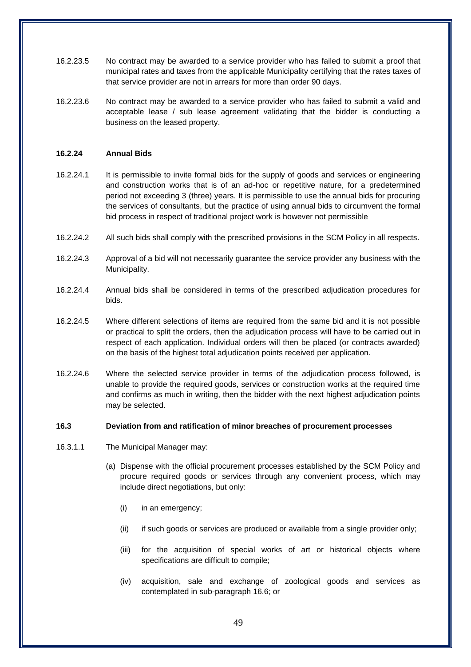- 16.2.23.5 No contract may be awarded to a service provider who has failed to submit a proof that municipal rates and taxes from the applicable Municipality certifying that the rates taxes of that service provider are not in arrears for more than order 90 days.
- 16.2.23.6 No contract may be awarded to a service provider who has failed to submit a valid and acceptable lease / sub lease agreement validating that the bidder is conducting a business on the leased property.

### **16.2.24 Annual Bids**

- 16.2.24.1 It is permissible to invite formal bids for the supply of goods and services or engineering and construction works that is of an ad-hoc or repetitive nature, for a predetermined period not exceeding 3 (three) years. It is permissible to use the annual bids for procuring the services of consultants, but the practice of using annual bids to circumvent the formal bid process in respect of traditional project work is however not permissible
- 16.2.24.2 All such bids shall comply with the prescribed provisions in the SCM Policy in all respects.
- 16.2.24.3 Approval of a bid will not necessarily guarantee the service provider any business with the Municipality.
- 16.2.24.4 Annual bids shall be considered in terms of the prescribed adjudication procedures for bids.
- 16.2.24.5 Where different selections of items are required from the same bid and it is not possible or practical to split the orders, then the adjudication process will have to be carried out in respect of each application. Individual orders will then be placed (or contracts awarded) on the basis of the highest total adjudication points received per application.
- 16.2.24.6 Where the selected service provider in terms of the adjudication process followed, is unable to provide the required goods, services or construction works at the required time and confirms as much in writing, then the bidder with the next highest adjudication points may be selected.

#### **16.3 Deviation from and ratification of minor breaches of procurement processes**

- 16.3.1.1 The Municipal Manager may:
	- (a) Dispense with the official procurement processes established by the SCM Policy and procure required goods or services through any convenient process, which may include direct negotiations, but only:
		- (i) in an emergency;
		- (ii) if such goods or services are produced or available from a single provider only;
		- (iii) for the acquisition of special works of art or historical objects where specifications are difficult to compile;
		- (iv) acquisition, sale and exchange of zoological goods and services as contemplated in sub-paragraph 16.6; or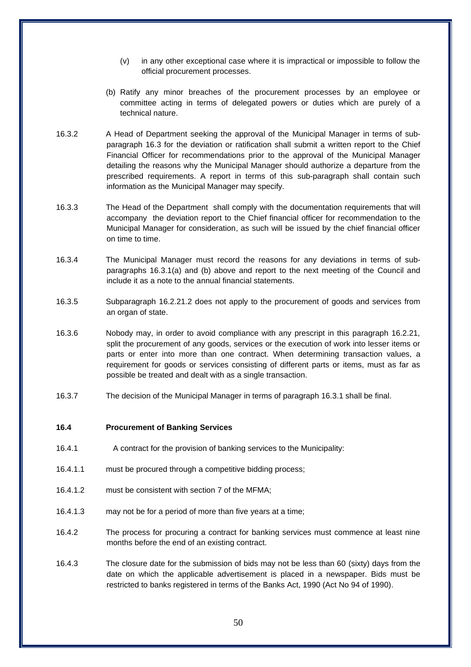- (v) in any other exceptional case where it is impractical or impossible to follow the official procurement processes.
- (b) Ratify any minor breaches of the procurement processes by an employee or committee acting in terms of delegated powers or duties which are purely of a technical nature.
- 16.3.2 A Head of Department seeking the approval of the Municipal Manager in terms of subparagraph 16.3 for the deviation or ratification shall submit a written report to the Chief Financial Officer for recommendations prior to the approval of the Municipal Manager detailing the reasons why the Municipal Manager should authorize a departure from the prescribed requirements. A report in terms of this sub-paragraph shall contain such information as the Municipal Manager may specify.
- 16.3.3 The Head of the Department shall comply with the documentation requirements that will accompany the deviation report to the Chief financial officer for recommendation to the Municipal Manager for consideration, as such will be issued by the chief financial officer on time to time.
- 16.3.4 The Municipal Manager must record the reasons for any deviations in terms of subparagraphs 16.3.1(a) and (b) above and report to the next meeting of the Council and include it as a note to the annual financial statements.
- 16.3.5 Subparagraph 16.2.21.2 does not apply to the procurement of goods and services from an organ of state.
- 16.3.6 Nobody may, in order to avoid compliance with any prescript in this paragraph 16.2.21, split the procurement of any goods, services or the execution of work into lesser items or parts or enter into more than one contract. When determining transaction values, a requirement for goods or services consisting of different parts or items, must as far as possible be treated and dealt with as a single transaction.
- 16.3.7 The decision of the Municipal Manager in terms of paragraph 16.3.1 shall be final.

#### **16.4 Procurement of Banking Services**

- 16.4.1 A contract for the provision of banking services to the Municipality:
- 16.4.1.1 must be procured through a competitive bidding process;
- 16.4.1.2 must be consistent with section 7 of the MFMA;
- 16.4.1.3 may not be for a period of more than five years at a time;
- 16.4.2 The process for procuring a contract for banking services must commence at least nine months before the end of an existing contract.
- 16.4.3 The closure date for the submission of bids may not be less than 60 (sixty) days from the date on which the applicable advertisement is placed in a newspaper. Bids must be restricted to banks registered in terms of the Banks Act, 1990 (Act No 94 of 1990).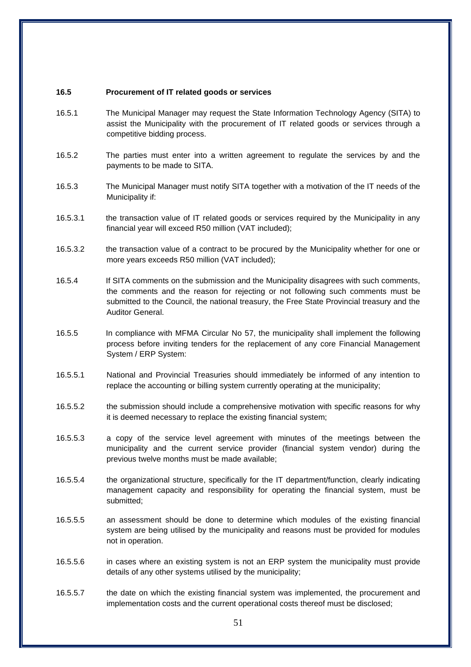### **16.5 Procurement of IT related goods or services**

- 16.5.1 The Municipal Manager may request the State Information Technology Agency (SITA) to assist the Municipality with the procurement of IT related goods or services through a competitive bidding process.
- 16.5.2 The parties must enter into a written agreement to regulate the services by and the payments to be made to SITA.
- 16.5.3 The Municipal Manager must notify SITA together with a motivation of the IT needs of the Municipality if:
- 16.5.3.1 the transaction value of IT related goods or services required by the Municipality in any financial year will exceed R50 million (VAT included);
- 16.5.3.2 the transaction value of a contract to be procured by the Municipality whether for one or more years exceeds R50 million (VAT included);
- 16.5.4 If SITA comments on the submission and the Municipality disagrees with such comments, the comments and the reason for rejecting or not following such comments must be submitted to the Council, the national treasury, the Free State Provincial treasury and the Auditor General.
- 16.5.5 In compliance with MFMA Circular No 57, the municipality shall implement the following process before inviting tenders for the replacement of any core Financial Management System / ERP System:
- 16.5.5.1 National and Provincial Treasuries should immediately be informed of any intention to replace the accounting or billing system currently operating at the municipality;
- 16.5.5.2 the submission should include a comprehensive motivation with specific reasons for why it is deemed necessary to replace the existing financial system;
- 16.5.5.3 a copy of the service level agreement with minutes of the meetings between the municipality and the current service provider (financial system vendor) during the previous twelve months must be made available;
- 16.5.5.4 the organizational structure, specifically for the IT department/function, clearly indicating management capacity and responsibility for operating the financial system, must be submitted;
- 16.5.5.5 an assessment should be done to determine which modules of the existing financial system are being utilised by the municipality and reasons must be provided for modules not in operation.
- 16.5.5.6 in cases where an existing system is not an ERP system the municipality must provide details of any other systems utilised by the municipality;
- 16.5.5.7 the date on which the existing financial system was implemented, the procurement and implementation costs and the current operational costs thereof must be disclosed;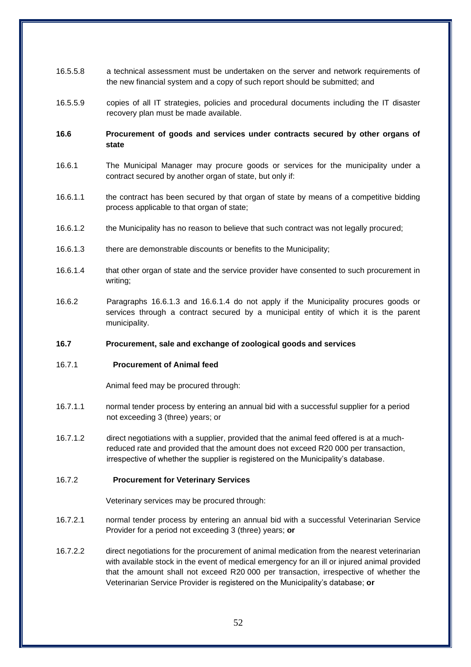- 16.5.5.8 a technical assessment must be undertaken on the server and network requirements of the new financial system and a copy of such report should be submitted; and
- 16.5.5.9 copies of all IT strategies, policies and procedural documents including the IT disaster recovery plan must be made available.
- **16.6 Procurement of goods and services under contracts secured by other organs of state**
- 16.6.1 The Municipal Manager may procure goods or services for the municipality under a contract secured by another organ of state, but only if:
- 16.6.1.1 the contract has been secured by that organ of state by means of a competitive bidding process applicable to that organ of state;
- 16.6.1.2 the Municipality has no reason to believe that such contract was not legally procured;
- 16.6.1.3 there are demonstrable discounts or benefits to the Municipality;
- 16.6.1.4 that other organ of state and the service provider have consented to such procurement in writing;
- 16.6.2 Paragraphs 16.6.1.3 and 16.6.1.4 do not apply if the Municipality procures goods or services through a contract secured by a municipal entity of which it is the parent municipality.

### **16.7 Procurement, sale and exchange of zoological goods and services**

#### 16.7.1 **Procurement of Animal feed**

Animal feed may be procured through:

- 16.7.1.1 normal tender process by entering an annual bid with a successful supplier for a period not exceeding 3 (three) years; or
- 16.7.1.2 direct negotiations with a supplier, provided that the animal feed offered is at a muchreduced rate and provided that the amount does not exceed R20 000 per transaction, irrespective of whether the supplier is registered on the Municipality's database.

#### 16.7.2 **Procurement for Veterinary Services**

Veterinary services may be procured through:

- 16.7.2.1 normal tender process by entering an annual bid with a successful Veterinarian Service Provider for a period not exceeding 3 (three) years; **or**
- 16.7.2.2 direct negotiations for the procurement of animal medication from the nearest veterinarian with available stock in the event of medical emergency for an ill or injured animal provided that the amount shall not exceed R20 000 per transaction, irrespective of whether the Veterinarian Service Provider is registered on the Municipality's database; **or**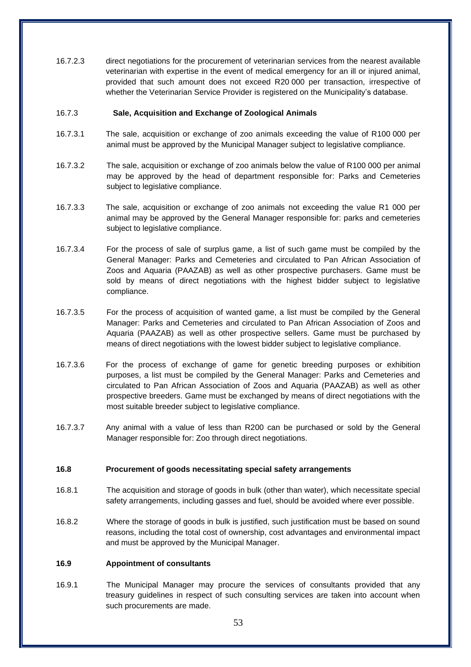16.7.2.3 direct negotiations for the procurement of veterinarian services from the nearest available veterinarian with expertise in the event of medical emergency for an ill or injured animal, provided that such amount does not exceed R20 000 per transaction, irrespective of whether the Veterinarian Service Provider is registered on the Municipality's database.

### 16.7.3 **Sale, Acquisition and Exchange of Zoological Animals**

- 16.7.3.1 The sale, acquisition or exchange of zoo animals exceeding the value of R100 000 per animal must be approved by the Municipal Manager subject to legislative compliance.
- 16.7.3.2 The sale, acquisition or exchange of zoo animals below the value of R100 000 per animal may be approved by the head of department responsible for: Parks and Cemeteries subject to legislative compliance.
- 16.7.3.3 The sale, acquisition or exchange of zoo animals not exceeding the value R1 000 per animal may be approved by the General Manager responsible for: parks and cemeteries subject to legislative compliance.
- 16.7.3.4 For the process of sale of surplus game, a list of such game must be compiled by the General Manager: Parks and Cemeteries and circulated to Pan African Association of Zoos and Aquaria (PAAZAB) as well as other prospective purchasers. Game must be sold by means of direct negotiations with the highest bidder subject to legislative compliance.
- 16.7.3.5 For the process of acquisition of wanted game, a list must be compiled by the General Manager: Parks and Cemeteries and circulated to Pan African Association of Zoos and Aquaria (PAAZAB) as well as other prospective sellers. Game must be purchased by means of direct negotiations with the lowest bidder subject to legislative compliance.
- 16.7.3.6 For the process of exchange of game for genetic breeding purposes or exhibition purposes, a list must be compiled by the General Manager: Parks and Cemeteries and circulated to Pan African Association of Zoos and Aquaria (PAAZAB) as well as other prospective breeders. Game must be exchanged by means of direct negotiations with the most suitable breeder subject to legislative compliance.
- 16.7.3.7 Any animal with a value of less than R200 can be purchased or sold by the General Manager responsible for: Zoo through direct negotiations.

## **16.8 Procurement of goods necessitating special safety arrangements**

- 16.8.1 The acquisition and storage of goods in bulk (other than water), which necessitate special safety arrangements, including gasses and fuel, should be avoided where ever possible.
- 16.8.2 Where the storage of goods in bulk is justified, such justification must be based on sound reasons, including the total cost of ownership, cost advantages and environmental impact and must be approved by the Municipal Manager.

## **16.9 Appointment of consultants**

16.9.1 The Municipal Manager may procure the services of consultants provided that any treasury guidelines in respect of such consulting services are taken into account when such procurements are made.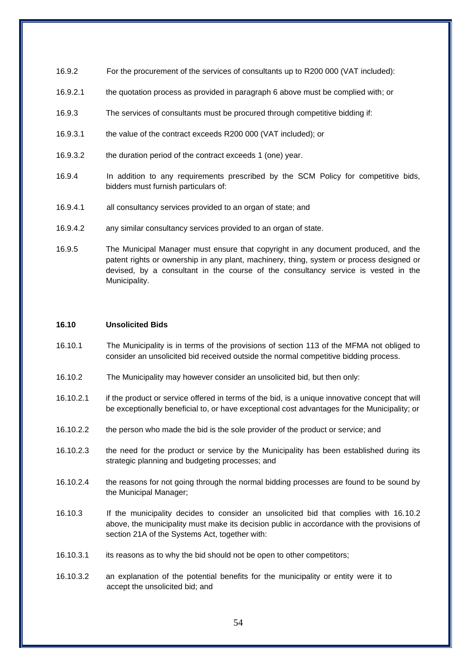- 16.9.2 For the procurement of the services of consultants up to R200 000 (VAT included):
- 16.9.2.1 the quotation process as provided in paragraph 6 above must be complied with; or
- 16.9.3 The services of consultants must be procured through competitive bidding if:
- 16.9.3.1 the value of the contract exceeds R200 000 (VAT included); or
- 16.9.3.2 the duration period of the contract exceeds 1 (one) year.
- 16.9.4 In addition to any requirements prescribed by the SCM Policy for competitive bids, bidders must furnish particulars of:
- 16.9.4.1 all consultancy services provided to an organ of state; and
- 16.9.4.2 any similar consultancy services provided to an organ of state.
- 16.9.5 The Municipal Manager must ensure that copyright in any document produced, and the patent rights or ownership in any plant, machinery, thing, system or process designed or devised, by a consultant in the course of the consultancy service is vested in the Municipality.

### **16.10 Unsolicited Bids**

- 16.10.1 The Municipality is in terms of the provisions of section 113 of the MFMA not obliged to consider an unsolicited bid received outside the normal competitive bidding process.
- 16.10.2 The Municipality may however consider an unsolicited bid, but then only:
- 16.10.2.1 if the product or service offered in terms of the bid, is a unique innovative concept that will be exceptionally beneficial to, or have exceptional cost advantages for the Municipality; or
- 16.10.2.2 the person who made the bid is the sole provider of the product or service; and
- 16.10.2.3 the need for the product or service by the Municipality has been established during its strategic planning and budgeting processes; and
- 16.10.2.4 the reasons for not going through the normal bidding processes are found to be sound by the Municipal Manager;
- 16.10.3 If the municipality decides to consider an unsolicited bid that complies with 16.10.2 above, the municipality must make its decision public in accordance with the provisions of section 21A of the Systems Act, together with:
- 16.10.3.1 its reasons as to why the bid should not be open to other competitors;
- 16.10.3.2 an explanation of the potential benefits for the municipality or entity were it to accept the unsolicited bid; and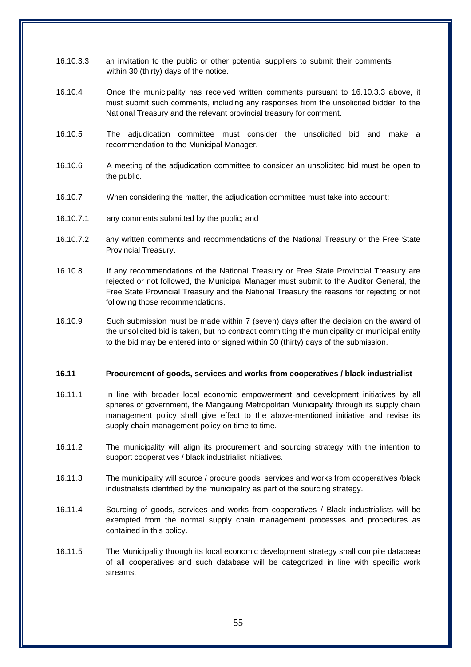- 16.10.3.3 an invitation to the public or other potential suppliers to submit their comments within 30 (thirty) days of the notice.
- 16.10.4 Once the municipality has received written comments pursuant to 16.10.3.3 above, it must submit such comments, including any responses from the unsolicited bidder, to the National Treasury and the relevant provincial treasury for comment.
- 16.10.5 The adjudication committee must consider the unsolicited bid and make a recommendation to the Municipal Manager.
- 16.10.6 A meeting of the adjudication committee to consider an unsolicited bid must be open to the public.
- 16.10.7 When considering the matter, the adjudication committee must take into account:
- 16.10.7.1 any comments submitted by the public; and
- 16.10.7.2 any written comments and recommendations of the National Treasury or the Free State Provincial Treasury.
- 16.10.8 If any recommendations of the National Treasury or Free State Provincial Treasury are rejected or not followed, the Municipal Manager must submit to the Auditor General, the Free State Provincial Treasury and the National Treasury the reasons for rejecting or not following those recommendations.
- 16.10.9 Such submission must be made within 7 (seven) days after the decision on the award of the unsolicited bid is taken, but no contract committing the municipality or municipal entity to the bid may be entered into or signed within 30 (thirty) days of the submission.

#### **16.11 Procurement of goods, services and works from cooperatives / black industrialist**

- 16.11.1 In line with broader local economic empowerment and development initiatives by all spheres of government, the Mangaung Metropolitan Municipality through its supply chain management policy shall give effect to the above-mentioned initiative and revise its supply chain management policy on time to time.
- 16.11.2 The municipality will align its procurement and sourcing strategy with the intention to support cooperatives / black industrialist initiatives.
- 16.11.3 The municipality will source / procure goods, services and works from cooperatives /black industrialists identified by the municipality as part of the sourcing strategy.
- 16.11.4 Sourcing of goods, services and works from cooperatives / Black industrialists will be exempted from the normal supply chain management processes and procedures as contained in this policy.
- 16.11.5 The Municipality through its local economic development strategy shall compile database of all cooperatives and such database will be categorized in line with specific work streams.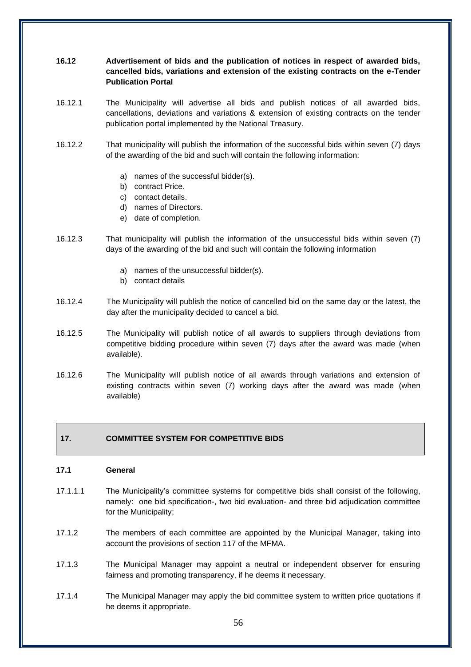# **16.12 Advertisement of bids and the publication of notices in respect of awarded bids, cancelled bids, variations and extension of the existing contracts on the e-Tender Publication Portal**

- 16.12.1 The Municipality will advertise all bids and publish notices of all awarded bids, cancellations, deviations and variations & extension of existing contracts on the tender publication portal implemented by the National Treasury.
- 16.12.2 That municipality will publish the information of the successful bids within seven (7) days of the awarding of the bid and such will contain the following information:
	- a) names of the successful bidder(s).
	- b) contract Price.
	- c) contact details.
	- d) names of Directors.
	- e) date of completion.
- 16.12.3 That municipality will publish the information of the unsuccessful bids within seven (7) days of the awarding of the bid and such will contain the following information
	- a) names of the unsuccessful bidder(s).
	- b) contact details
- 16.12.4 The Municipality will publish the notice of cancelled bid on the same day or the latest, the day after the municipality decided to cancel a bid.
- 16.12.5 The Municipality will publish notice of all awards to suppliers through deviations from competitive bidding procedure within seven (7) days after the award was made (when available).
- 16.12.6 The Municipality will publish notice of all awards through variations and extension of existing contracts within seven (7) working days after the award was made (when available)

# **17. COMMITTEE SYSTEM FOR COMPETITIVE BIDS**

#### **17.1 General**

- 17.1.1.1 The Municipality's committee systems for competitive bids shall consist of the following, namely: one bid specification-, two bid evaluation- and three bid adjudication committee for the Municipality;
- 17.1.2 The members of each committee are appointed by the Municipal Manager, taking into account the provisions of section 117 of the MFMA.
- 17.1.3 The Municipal Manager may appoint a neutral or independent observer for ensuring fairness and promoting transparency, if he deems it necessary.
- 17.1.4 The Municipal Manager may apply the bid committee system to written price quotations if he deems it appropriate.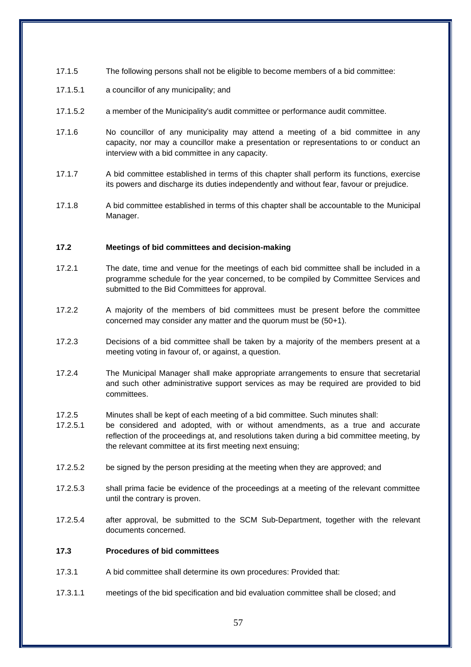- 17.1.5 The following persons shall not be eligible to become members of a bid committee:
- 17.1.5.1 a councillor of any municipality; and
- 17.1.5.2 a member of the Municipality's audit committee or performance audit committee.
- 17.1.6 No councillor of any municipality may attend a meeting of a bid committee in any capacity, nor may a councillor make a presentation or representations to or conduct an interview with a bid committee in any capacity.
- 17.1.7 A bid committee established in terms of this chapter shall perform its functions, exercise its powers and discharge its duties independently and without fear, favour or prejudice.
- 17.1.8 A bid committee established in terms of this chapter shall be accountable to the Municipal Manager.

## **17.2 Meetings of bid committees and decision-making**

- 17.2.1 The date, time and venue for the meetings of each bid committee shall be included in a programme schedule for the year concerned, to be compiled by Committee Services and submitted to the Bid Committees for approval.
- 17.2.2 A majority of the members of bid committees must be present before the committee concerned may consider any matter and the quorum must be (50+1).
- 17.2.3 Decisions of a bid committee shall be taken by a majority of the members present at a meeting voting in favour of, or against, a question.
- 17.2.4 The Municipal Manager shall make appropriate arrangements to ensure that secretarial and such other administrative support services as may be required are provided to bid committees.
- 17.2.5 Minutes shall be kept of each meeting of a bid committee. Such minutes shall:
- 17.2.5.1 be considered and adopted, with or without amendments, as a true and accurate reflection of the proceedings at, and resolutions taken during a bid committee meeting, by the relevant committee at its first meeting next ensuing;
- 17.2.5.2 be signed by the person presiding at the meeting when they are approved; and
- 17.2.5.3 shall prima facie be evidence of the proceedings at a meeting of the relevant committee until the contrary is proven.
- 17.2.5.4 after approval, be submitted to the SCM Sub-Department, together with the relevant documents concerned.

## **17.3 Procedures of bid committees**

- 17.3.1 A bid committee shall determine its own procedures: Provided that:
- 17.3.1.1 meetings of the bid specification and bid evaluation committee shall be closed; and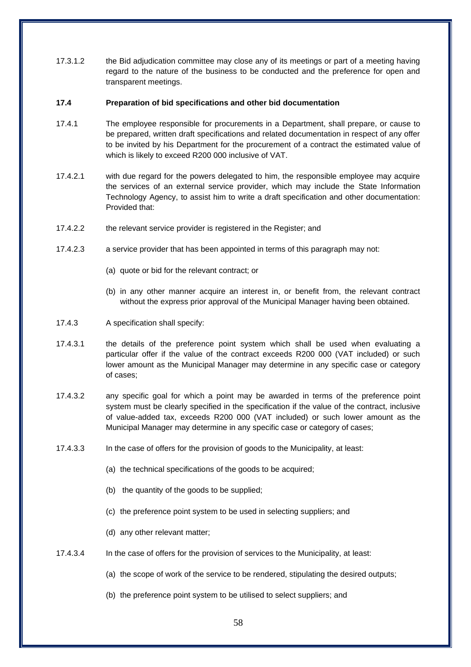17.3.1.2 the Bid adjudication committee may close any of its meetings or part of a meeting having regard to the nature of the business to be conducted and the preference for open and transparent meetings.

### **17.4 Preparation of bid specifications and other bid documentation**

- 17.4.1 The employee responsible for procurements in a Department, shall prepare, or cause to be prepared, written draft specifications and related documentation in respect of any offer to be invited by his Department for the procurement of a contract the estimated value of which is likely to exceed R200 000 inclusive of VAT.
- 17.4.2.1 with due regard for the powers delegated to him, the responsible employee may acquire the services of an external service provider, which may include the State Information Technology Agency, to assist him to write a draft specification and other documentation: Provided that:
- 17.4.2.2 the relevant service provider is registered in the Register; and
- 17.4.2.3 a service provider that has been appointed in terms of this paragraph may not:
	- (a) quote or bid for the relevant contract; or
	- (b) in any other manner acquire an interest in, or benefit from, the relevant contract without the express prior approval of the Municipal Manager having been obtained.
- 17.4.3 A specification shall specify:
- 17.4.3.1 the details of the preference point system which shall be used when evaluating a particular offer if the value of the contract exceeds R200 000 (VAT included) or such lower amount as the Municipal Manager may determine in any specific case or category of cases;
- 17.4.3.2 any specific goal for which a point may be awarded in terms of the preference point system must be clearly specified in the specification if the value of the contract, inclusive of value-added tax, exceeds R200 000 (VAT included) or such lower amount as the Municipal Manager may determine in any specific case or category of cases;
- 17.4.3.3 In the case of offers for the provision of goods to the Municipality, at least:
	- (a) the technical specifications of the goods to be acquired;
	- (b) the quantity of the goods to be supplied;
	- (c) the preference point system to be used in selecting suppliers; and
	- (d) any other relevant matter;
- 17.4.3.4 In the case of offers for the provision of services to the Municipality, at least:
	- (a) the scope of work of the service to be rendered, stipulating the desired outputs;
	- (b) the preference point system to be utilised to select suppliers; and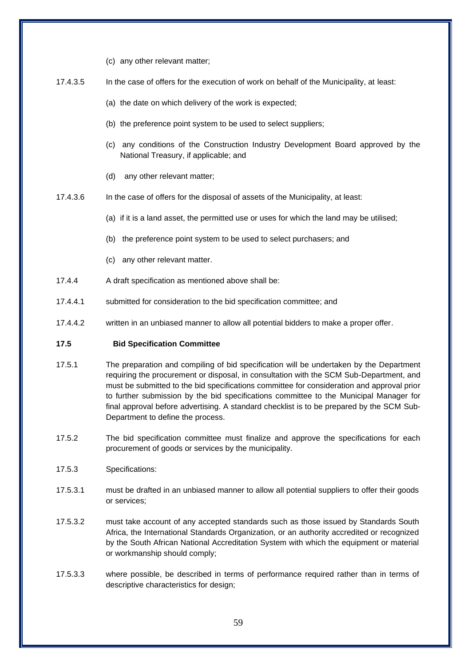(c) any other relevant matter;

17.4.3.5 In the case of offers for the execution of work on behalf of the Municipality, at least:

- (a) the date on which delivery of the work is expected;
- (b) the preference point system to be used to select suppliers;
- (c) any conditions of the Construction Industry Development Board approved by the National Treasury, if applicable; and
- (d) any other relevant matter;
- 17.4.3.6 In the case of offers for the disposal of assets of the Municipality, at least:
	- (a) if it is a land asset, the permitted use or uses for which the land may be utilised;
	- (b) the preference point system to be used to select purchasers; and
	- (c) any other relevant matter.
- 17.4.4 A draft specification as mentioned above shall be:
- 17.4.4.1 submitted for consideration to the bid specification committee; and
- 17.4.4.2 written in an unbiased manner to allow all potential bidders to make a proper offer.

### **17.5 Bid Specification Committee**

- 17.5.1 The preparation and compiling of bid specification will be undertaken by the Department requiring the procurement or disposal, in consultation with the SCM Sub-Department, and must be submitted to the bid specifications committee for consideration and approval prior to further submission by the bid specifications committee to the Municipal Manager for final approval before advertising. A standard checklist is to be prepared by the SCM Sub-Department to define the process.
- 17.5.2 The bid specification committee must finalize and approve the specifications for each procurement of goods or services by the municipality.
- 17.5.3 Specifications:
- 17.5.3.1 must be drafted in an unbiased manner to allow all potential suppliers to offer their goods or services;
- 17.5.3.2 must take account of any accepted standards such as those issued by Standards South Africa, the International Standards Organization, or an authority accredited or recognized by the South African National Accreditation System with which the equipment or material or workmanship should comply;
- 17.5.3.3 where possible, be described in terms of performance required rather than in terms of descriptive characteristics for design;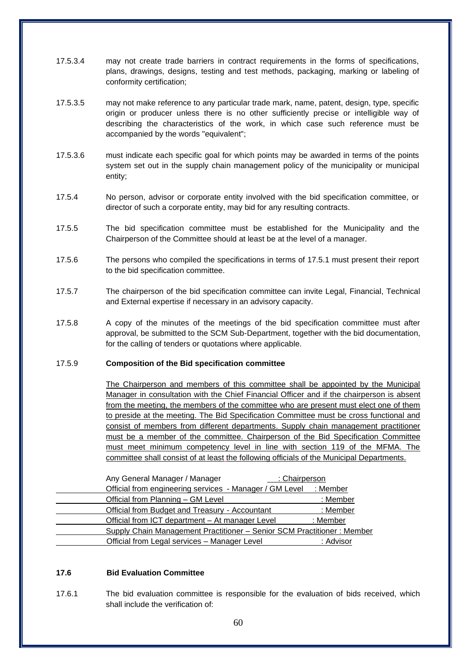- 17.5.3.4 may not create trade barriers in contract requirements in the forms of specifications, plans, drawings, designs, testing and test methods, packaging, marking or labeling of conformity certification;
- 17.5.3.5 may not make reference to any particular trade mark, name, patent, design, type, specific origin or producer unless there is no other sufficiently precise or intelligible way of describing the characteristics of the work, in which case such reference must be accompanied by the words "equivalent";
- 17.5.3.6 must indicate each specific goal for which points may be awarded in terms of the points system set out in the supply chain management policy of the municipality or municipal entity;
- 17.5.4 No person, advisor or corporate entity involved with the bid specification committee, or director of such a corporate entity, may bid for any resulting contracts.
- 17.5.5 The bid specification committee must be established for the Municipality and the Chairperson of the Committee should at least be at the level of a manager.
- 17.5.6 The persons who compiled the specifications in terms of 17.5.1 must present their report to the bid specification committee.
- 17.5.7 The chairperson of the bid specification committee can invite Legal, Financial, Technical and External expertise if necessary in an advisory capacity.
- 17.5.8 A copy of the minutes of the meetings of the bid specification committee must after approval, be submitted to the SCM Sub-Department, together with the bid documentation, for the calling of tenders or quotations where applicable.

#### 17.5.9 **Composition of the Bid specification committee**

The Chairperson and members of this committee shall be appointed by the Municipal Manager in consultation with the Chief Financial Officer and if the chairperson is absent from the meeting, the members of the committee who are present must elect one of them to preside at the meeting. The Bid Specification Committee must be cross functional and consist of members from different departments. Supply chain management practitioner must be a member of the committee. Chairperson of the Bid Specification Committee must meet minimum competency level in line with section 119 of the MFMA. The committee shall consist of at least the following officials of the Municipal Departments.

| Any General Manager / Manager<br>: Chairperson                         |  |
|------------------------------------------------------------------------|--|
| Official from engineering services - Manager / GM Level<br>: Member    |  |
| Official from Planning - GM Level<br>: Member                          |  |
| : Member<br>Official from Budget and Treasury - Accountant             |  |
| Official from ICT department - At manager Level<br>: Member            |  |
| Supply Chain Management Practitioner - Senior SCM Practitioner: Member |  |
| Official from Legal services - Manager Level<br>: Advisor              |  |

### **17.6 Bid Evaluation Committee**

17.6.1 The bid evaluation committee is responsible for the evaluation of bids received, which shall include the verification of: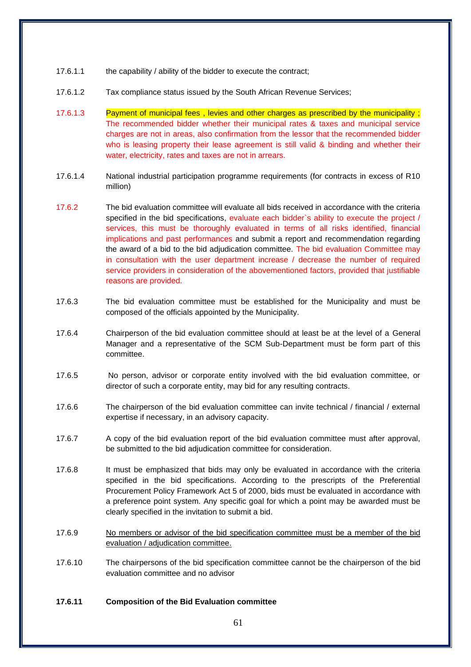- 17.6.1.1 the capability / ability of the bidder to execute the contract;
- 17.6.1.2 Tax compliance status issued by the South African Revenue Services;
- 17.6.1.3 Payment of municipal fees , levies and other charges as prescribed by the municipality ; The recommended bidder whether their municipal rates & taxes and municipal service charges are not in areas, also confirmation from the lessor that the recommended bidder who is leasing property their lease agreement is still valid & binding and whether their water, electricity, rates and taxes are not in arrears.
- 17.6.1.4 National industrial participation programme requirements (for contracts in excess of R10 million)
- 17.6.2 The bid evaluation committee will evaluate all bids received in accordance with the criteria specified in the bid specifications, evaluate each bidder's ability to execute the project / services, this must be thoroughly evaluated in terms of all risks identified, financial implications and past performances and submit a report and recommendation regarding the award of a bid to the bid adjudication committee. The bid evaluation Committee may in consultation with the user department increase / decrease the number of required service providers in consideration of the abovementioned factors, provided that justifiable reasons are provided.
- 17.6.3 The bid evaluation committee must be established for the Municipality and must be composed of the officials appointed by the Municipality.
- 17.6.4 Chairperson of the bid evaluation committee should at least be at the level of a General Manager and a representative of the SCM Sub-Department must be form part of this committee.
- 17.6.5 No person, advisor or corporate entity involved with the bid evaluation committee, or director of such a corporate entity, may bid for any resulting contracts.
- 17.6.6 The chairperson of the bid evaluation committee can invite technical / financial / external expertise if necessary, in an advisory capacity.
- 17.6.7 A copy of the bid evaluation report of the bid evaluation committee must after approval, be submitted to the bid adjudication committee for consideration.
- 17.6.8 It must be emphasized that bids may only be evaluated in accordance with the criteria specified in the bid specifications. According to the prescripts of the Preferential Procurement Policy Framework Act 5 of 2000, bids must be evaluated in accordance with a preference point system. Any specific goal for which a point may be awarded must be clearly specified in the invitation to submit a bid.
- 17.6.9 No members or advisor of the bid specification committee must be a member of the bid evaluation / adjudication committee.
- 17.6.10 The chairpersons of the bid specification committee cannot be the chairperson of the bid evaluation committee and no advisor

## **17.6.11 Composition of the Bid Evaluation committee**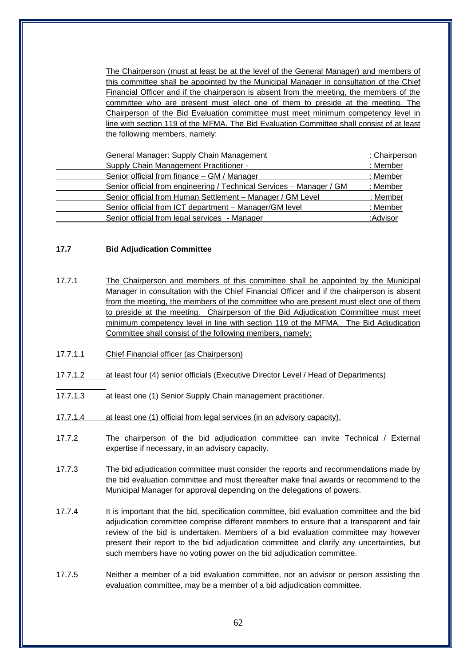| The Chairperson (must at least be at the level of the General Manager) and members of     |
|-------------------------------------------------------------------------------------------|
| this committee shall be appointed by the Municipal Manager in consultation of the Chief   |
| Financial Officer and if the chairperson is absent from the meeting, the members of the   |
| committee who are present must elect one of them to preside at the meeting. The           |
| Chairperson of the Bid Evaluation committee must meet minimum competency level in         |
| line with section 119 of the MFMA. The Bid Evaluation Committee shall consist of at least |
| the following members, namely:                                                            |

| General Manager: Supply Chain Management                             | : Chairperson |
|----------------------------------------------------------------------|---------------|
| Supply Chain Management Practitioner -                               | : Member      |
| Senior official from finance - GM / Manager                          | : Member      |
| Senior official from engineering / Technical Services - Manager / GM | : Member      |
| Senior official from Human Settlement - Manager / GM Level           | : Member      |
| Senior official from ICT department - Manager/GM level               | : Member      |
| Senior official from legal services - Manager                        | :Advisor      |

### **17.7 Bid Adjudication Committee**

- 17.7.1 The Chairperson and members of this committee shall be appointed by the Municipal Manager in consultation with the Chief Financial Officer and if the chairperson is absent from the meeting, the members of the committee who are present must elect one of them to preside at the meeting. Chairperson of the Bid Adjudication Committee must meet minimum competency level in line with section 119 of the MFMA. The Bid Adjudication Committee shall consist of the following members, namely:
- 17.7.1.1 Chief Financial officer (as Chairperson)
- 17.7.1.2 at least four (4) senior officials (Executive Director Level / Head of Departments)
- 17.7.1.3 at least one (1) Senior Supply Chain management practitioner.
- 17.7.1.4 at least one (1) official from legal services (in an advisory capacity).
- 17.7.2 The chairperson of the bid adjudication committee can invite Technical / External expertise if necessary, in an advisory capacity.
- 17.7.3 The bid adjudication committee must consider the reports and recommendations made by the bid evaluation committee and must thereafter make final awards or recommend to the Municipal Manager for approval depending on the delegations of powers.
- 17.7.4 It is important that the bid, specification committee, bid evaluation committee and the bid adjudication committee comprise different members to ensure that a transparent and fair review of the bid is undertaken. Members of a bid evaluation committee may however present their report to the bid adjudication committee and clarify any uncertainties, but such members have no voting power on the bid adjudication committee.
- 17.7.5 Neither a member of a bid evaluation committee, nor an advisor or person assisting the evaluation committee, may be a member of a bid adjudication committee.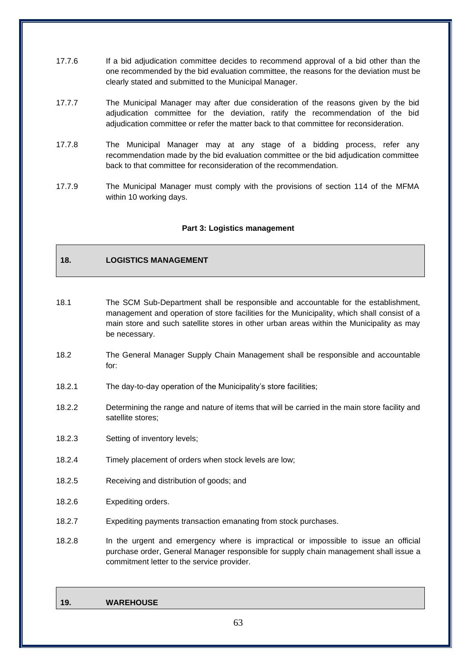- 17.7.6 If a bid adjudication committee decides to recommend approval of a bid other than the one recommended by the bid evaluation committee, the reasons for the deviation must be clearly stated and submitted to the Municipal Manager.
- 17.7.7 The Municipal Manager may after due consideration of the reasons given by the bid adjudication committee for the deviation, ratify the recommendation of the bid adjudication committee or refer the matter back to that committee for reconsideration.
- 17.7.8 The Municipal Manager may at any stage of a bidding process, refer any recommendation made by the bid evaluation committee or the bid adjudication committee back to that committee for reconsideration of the recommendation.
- 17.7.9 The Municipal Manager must comply with the provisions of section 114 of the MFMA within 10 working days.

### **Part 3: Logistics management**

# **18. LOGISTICS MANAGEMENT**

- 18.1 The SCM Sub-Department shall be responsible and accountable for the establishment, management and operation of store facilities for the Municipality, which shall consist of a main store and such satellite stores in other urban areas within the Municipality as may be necessary.
- 18.2 The General Manager Supply Chain Management shall be responsible and accountable for:
- 18.2.1 The day-to-day operation of the Municipality's store facilities;
- 18.2.2 Determining the range and nature of items that will be carried in the main store facility and satellite stores;
- 18.2.3 Setting of inventory levels;
- 18.2.4 Timely placement of orders when stock levels are low;
- 18.2.5 Receiving and distribution of goods; and
- 18.2.6 Expediting orders.
- 18.2.7 Expediting payments transaction emanating from stock purchases.
- 18.2.8 In the urgent and emergency where is impractical or impossible to issue an official purchase order, General Manager responsible for supply chain management shall issue a commitment letter to the service provider.

#### **19. WAREHOUSE**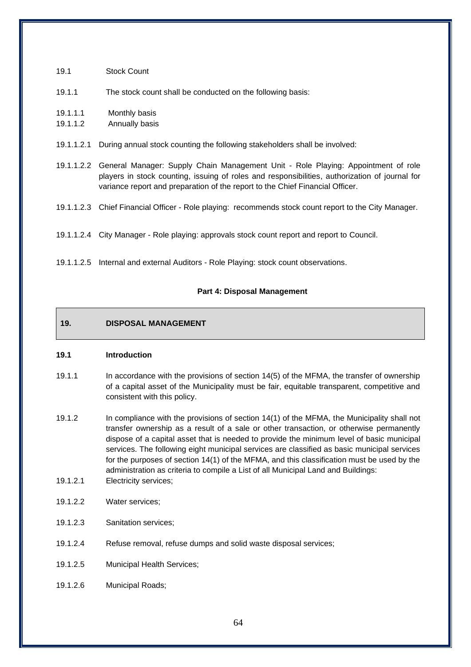| 19.1                 | <b>Stock Count</b>                                                                                                                                                                                                                                                              |
|----------------------|---------------------------------------------------------------------------------------------------------------------------------------------------------------------------------------------------------------------------------------------------------------------------------|
| 19.1.1               | The stock count shall be conducted on the following basis:                                                                                                                                                                                                                      |
| 19.1.1.1<br>19.1.1.2 | Monthly basis<br>Annually basis                                                                                                                                                                                                                                                 |
| 19.1.1.2.1           | During annual stock counting the following stakeholders shall be involved:                                                                                                                                                                                                      |
|                      | 19.1.1.2.2 General Manager: Supply Chain Management Unit - Role Playing: Appointment of role<br>players in stock counting, issuing of roles and responsibilities, authorization of journal for<br>variance report and preparation of the report to the Chief Financial Officer. |
|                      | 19.1.1.2.3 Chief Financial Officer - Role playing: recommends stock count report to the City Manager.                                                                                                                                                                           |
|                      | 19.1.1.2.4 City Manager - Role playing: approvals stock count report and report to Council.                                                                                                                                                                                     |
| 19.1.1.2.5           | Internal and external Auditors - Role Playing: stock count observations.                                                                                                                                                                                                        |

# **Part 4: Disposal Management**

# **19. DISPOSAL MANAGEMENT**

### **19.1 Introduction**

- 19.1.1 In accordance with the provisions of section 14(5) of the MFMA, the transfer of ownership of a capital asset of the Municipality must be fair, equitable transparent, competitive and consistent with this policy.
- 19.1.2 In compliance with the provisions of section 14(1) of the MFMA, the Municipality shall not transfer ownership as a result of a sale or other transaction, or otherwise permanently dispose of a capital asset that is needed to provide the minimum level of basic municipal services. The following eight municipal services are classified as basic municipal services for the purposes of section 14(1) of the MFMA, and this classification must be used by the administration as criteria to compile a List of all Municipal Land and Buildings:
- 19.1.2.1 Electricity services;
- 19.1.2.2 Water services;
- 19.1.2.3 Sanitation services;
- 19.1.2.4 Refuse removal, refuse dumps and solid waste disposal services;
- 19.1.2.5 Municipal Health Services;
- 19.1.2.6 Municipal Roads;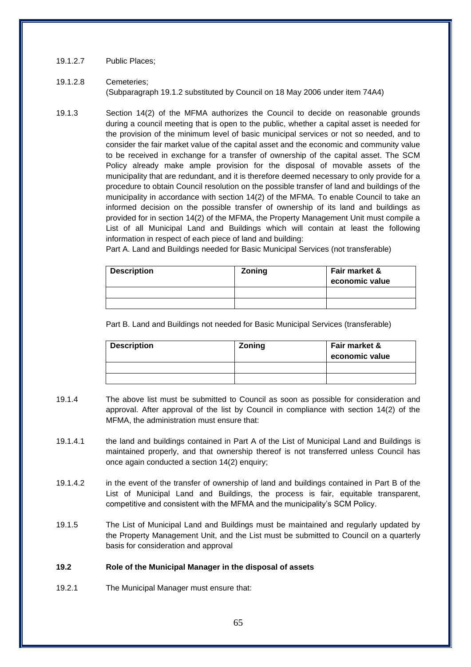## 19.1.2.7 Public Places;

# 19.1.2.8 Cemeteries; (Subparagraph 19.1.2 substituted by Council on 18 May 2006 under item 74A4)

19.1.3 Section 14(2) of the MFMA authorizes the Council to decide on reasonable grounds during a council meeting that is open to the public, whether a capital asset is needed for the provision of the minimum level of basic municipal services or not so needed, and to consider the fair market value of the capital asset and the economic and community value to be received in exchange for a transfer of ownership of the capital asset. The SCM Policy already make ample provision for the disposal of movable assets of the municipality that are redundant, and it is therefore deemed necessary to only provide for a procedure to obtain Council resolution on the possible transfer of land and buildings of the municipality in accordance with section 14(2) of the MFMA. To enable Council to take an informed decision on the possible transfer of ownership of its land and buildings as provided for in section 14(2) of the MFMA, the Property Management Unit must compile a List of all Municipal Land and Buildings which will contain at least the following information in respect of each piece of land and building:

Part A. Land and Buildings needed for Basic Municipal Services (not transferable)

| <b>Description</b> | Zoning | Fair market &<br>economic value |
|--------------------|--------|---------------------------------|
|                    |        |                                 |
|                    |        |                                 |

Part B. Land and Buildings not needed for Basic Municipal Services (transferable)

| <b>Description</b> | <b>Zoning</b> | Fair market &<br>economic value |
|--------------------|---------------|---------------------------------|
|                    |               |                                 |
|                    |               |                                 |

- 19.1.4 The above list must be submitted to Council as soon as possible for consideration and approval. After approval of the list by Council in compliance with section 14(2) of the MFMA, the administration must ensure that:
- 19.1.4.1 the land and buildings contained in Part A of the List of Municipal Land and Buildings is maintained properly, and that ownership thereof is not transferred unless Council has once again conducted a section 14(2) enquiry;
- 19.1.4.2 in the event of the transfer of ownership of land and buildings contained in Part B of the List of Municipal Land and Buildings, the process is fair, equitable transparent, competitive and consistent with the MFMA and the municipality's SCM Policy.
- 19.1.5 The List of Municipal Land and Buildings must be maintained and regularly updated by the Property Management Unit, and the List must be submitted to Council on a quarterly basis for consideration and approval

# **19.2 Role of the Municipal Manager in the disposal of assets**

19.2.1 The Municipal Manager must ensure that: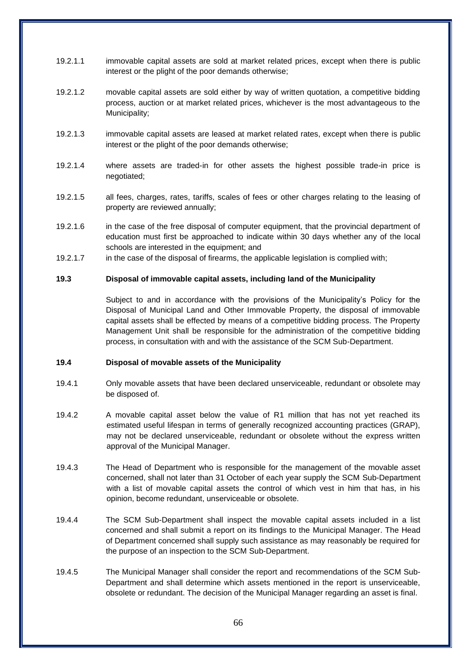- 19.2.1.1 immovable capital assets are sold at market related prices, except when there is public interest or the plight of the poor demands otherwise;
- 19.2.1.2 movable capital assets are sold either by way of written quotation, a competitive bidding process, auction or at market related prices, whichever is the most advantageous to the Municipality;
- 19.2.1.3 immovable capital assets are leased at market related rates, except when there is public interest or the plight of the poor demands otherwise;
- 19.2.1.4 where assets are traded-in for other assets the highest possible trade-in price is negotiated;
- 19.2.1.5 all fees, charges, rates, tariffs, scales of fees or other charges relating to the leasing of property are reviewed annually;
- 19.2.1.6 in the case of the free disposal of computer equipment, that the provincial department of education must first be approached to indicate within 30 days whether any of the local schools are interested in the equipment; and
- 19.2.1.7 in the case of the disposal of firearms, the applicable legislation is complied with;

#### **19.3 Disposal of immovable capital assets, including land of the Municipality**

Subject to and in accordance with the provisions of the Municipality's Policy for the Disposal of Municipal Land and Other Immovable Property, the disposal of immovable capital assets shall be effected by means of a competitive bidding process. The Property Management Unit shall be responsible for the administration of the competitive bidding process, in consultation with and with the assistance of the SCM Sub-Department.

#### **19.4 Disposal of movable assets of the Municipality**

- 19.4.1 Only movable assets that have been declared unserviceable, redundant or obsolete may be disposed of.
- 19.4.2 A movable capital asset below the value of R1 million that has not yet reached its estimated useful lifespan in terms of generally recognized accounting practices (GRAP), may not be declared unserviceable, redundant or obsolete without the express written approval of the Municipal Manager.
- 19.4.3 The Head of Department who is responsible for the management of the movable asset concerned, shall not later than 31 October of each year supply the SCM Sub-Department with a list of movable capital assets the control of which vest in him that has, in his opinion, become redundant, unserviceable or obsolete.
- 19.4.4 The SCM Sub-Department shall inspect the movable capital assets included in a list concerned and shall submit a report on its findings to the Municipal Manager. The Head of Department concerned shall supply such assistance as may reasonably be required for the purpose of an inspection to the SCM Sub-Department.
- 19.4.5 The Municipal Manager shall consider the report and recommendations of the SCM Sub-Department and shall determine which assets mentioned in the report is unserviceable, obsolete or redundant. The decision of the Municipal Manager regarding an asset is final.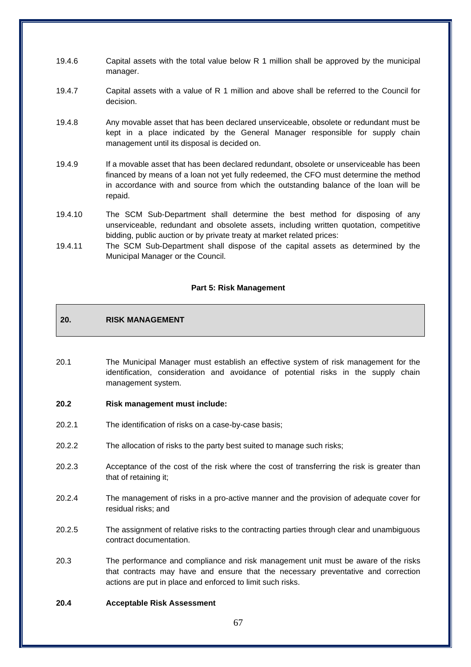- 19.4.6 Capital assets with the total value below R 1 million shall be approved by the municipal manager.
- 19.4.7 Capital assets with a value of R 1 million and above shall be referred to the Council for decision.
- 19.4.8 Any movable asset that has been declared unserviceable, obsolete or redundant must be kept in a place indicated by the General Manager responsible for supply chain management until its disposal is decided on.
- 19.4.9 If a movable asset that has been declared redundant, obsolete or unserviceable has been financed by means of a loan not yet fully redeemed, the CFO must determine the method in accordance with and source from which the outstanding balance of the loan will be repaid.
- 19.4.10 The SCM Sub-Department shall determine the best method for disposing of any unserviceable, redundant and obsolete assets, including written quotation, competitive bidding, public auction or by private treaty at market related prices:
- 19.4.11 The SCM Sub-Department shall dispose of the capital assets as determined by the Municipal Manager or the Council.

### **Part 5: Risk Management**

## **20. RISK MANAGEMENT**

- 20.1 The Municipal Manager must establish an effective system of risk management for the identification, consideration and avoidance of potential risks in the supply chain management system.
- **20.2 Risk management must include:**
- 20.2.1 The identification of risks on a case-by-case basis;
- 20.2.2 The allocation of risks to the party best suited to manage such risks;
- 20.2.3 Acceptance of the cost of the risk where the cost of transferring the risk is greater than that of retaining it;
- 20.2.4 The management of risks in a pro-active manner and the provision of adequate cover for residual risks; and
- 20.2.5 The assignment of relative risks to the contracting parties through clear and unambiguous contract documentation.
- 20.3 The performance and compliance and risk management unit must be aware of the risks that contracts may have and ensure that the necessary preventative and correction actions are put in place and enforced to limit such risks.

#### **20.4 Acceptable Risk Assessment**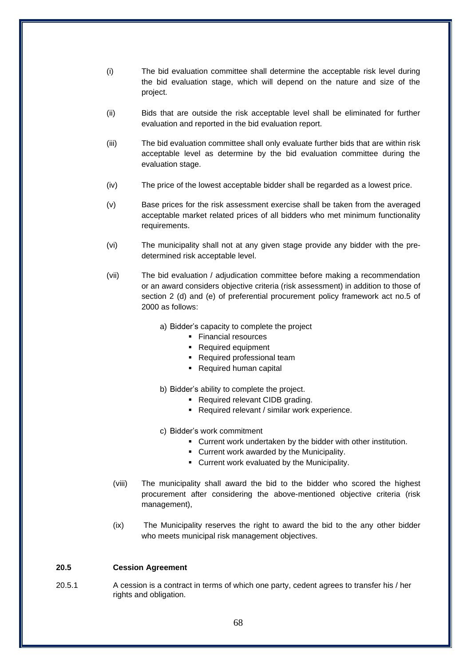- (i) The bid evaluation committee shall determine the acceptable risk level during the bid evaluation stage, which will depend on the nature and size of the project.
- (ii) Bids that are outside the risk acceptable level shall be eliminated for further evaluation and reported in the bid evaluation report.
- (iii) The bid evaluation committee shall only evaluate further bids that are within risk acceptable level as determine by the bid evaluation committee during the evaluation stage.
- (iv) The price of the lowest acceptable bidder shall be regarded as a lowest price.
- (v) Base prices for the risk assessment exercise shall be taken from the averaged acceptable market related prices of all bidders who met minimum functionality requirements.
- (vi) The municipality shall not at any given stage provide any bidder with the predetermined risk acceptable level.
- (vii) The bid evaluation / adjudication committee before making a recommendation or an award considers objective criteria (risk assessment) in addition to those of section 2 (d) and (e) of preferential procurement policy framework act no.5 of 2000 as follows:
	- a) Bidder's capacity to complete the project
		- Financial resources
		- Required equipment
		- Required professional team
		- Required human capital
	- b) Bidder's ability to complete the project.
		- Required relevant CIDB grading.
		- Required relevant / similar work experience.
	- c) Bidder's work commitment
		- Current work undertaken by the bidder with other institution.
		- Current work awarded by the Municipality.
		- Current work evaluated by the Municipality.
	- (viii) The municipality shall award the bid to the bidder who scored the highest procurement after considering the above-mentioned objective criteria (risk management),
	- (ix) The Municipality reserves the right to award the bid to the any other bidder who meets municipal risk management objectives.

## **20.5 Cession Agreement**

20.5.1 A cession is a contract in terms of which one party, cedent agrees to transfer his / her rights and obligation.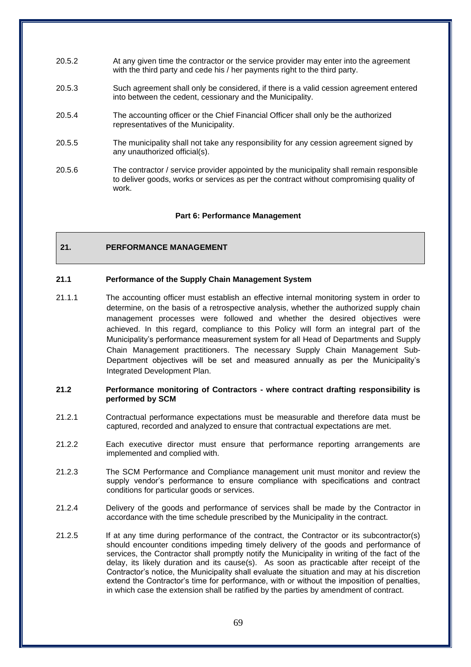- 20.5.2 At any given time the contractor or the service provider may enter into the agreement with the third party and cede his / her payments right to the third party.
- 20.5.3 Such agreement shall only be considered, if there is a valid cession agreement entered into between the cedent, cessionary and the Municipality.
- 20.5.4 The accounting officer or the Chief Financial Officer shall only be the authorized representatives of the Municipality.
- 20.5.5 The municipality shall not take any responsibility for any cession agreement signed by any unauthorized official(s).
- 20.5.6 The contractor / service provider appointed by the municipality shall remain responsible to deliver goods, works or services as per the contract without compromising quality of work.

#### **Part 6: Performance Management**

## **21. PERFORMANCE MANAGEMENT**

#### **21.1 Performance of the Supply Chain Management System**

21.1.1 The accounting officer must establish an effective internal monitoring system in order to determine, on the basis of a retrospective analysis, whether the authorized supply chain management processes were followed and whether the desired objectives were achieved. In this regard, compliance to this Policy will form an integral part of the Municipality's performance measurement system for all Head of Departments and Supply Chain Management practitioners. The necessary Supply Chain Management Sub-Department objectives will be set and measured annually as per the Municipality's Integrated Development Plan.

#### **21.2 Performance monitoring of Contractors - where contract drafting responsibility is performed by SCM**

- 21.2.1 Contractual performance expectations must be measurable and therefore data must be captured, recorded and analyzed to ensure that contractual expectations are met.
- 21.2.2 Each executive director must ensure that performance reporting arrangements are implemented and complied with.
- 21.2.3 The SCM Performance and Compliance management unit must monitor and review the supply vendor's performance to ensure compliance with specifications and contract conditions for particular goods or services.
- 21.2.4 Delivery of the goods and performance of services shall be made by the Contractor in accordance with the time schedule prescribed by the Municipality in the contract.
- 21.2.5 If at any time during performance of the contract, the Contractor or its subcontractor(s) should encounter conditions impeding timely delivery of the goods and performance of services, the Contractor shall promptly notify the Municipality in writing of the fact of the delay, its likely duration and its cause(s). As soon as practicable after receipt of the Contractor's notice, the Municipality shall evaluate the situation and may at his discretion extend the Contractor's time for performance, with or without the imposition of penalties, in which case the extension shall be ratified by the parties by amendment of contract.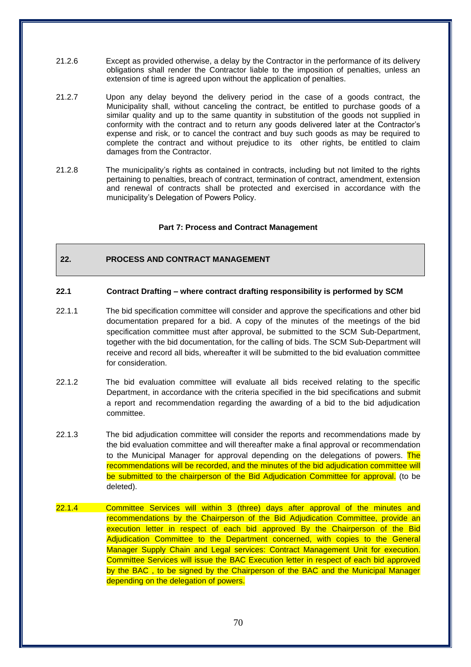- 21.2.6 Except as provided otherwise, a delay by the Contractor in the performance of its delivery obligations shall render the Contractor liable to the imposition of penalties, unless an extension of time is agreed upon without the application of penalties.
- 21.2.7 Upon any delay beyond the delivery period in the case of a goods contract, the Municipality shall, without canceling the contract, be entitled to purchase goods of a similar quality and up to the same quantity in substitution of the goods not supplied in conformity with the contract and to return any goods delivered later at the Contractor's expense and risk, or to cancel the contract and buy such goods as may be required to complete the contract and without prejudice to its other rights, be entitled to claim damages from the Contractor.
- 21.2.8 The municipality's rights as contained in contracts, including but not limited to the rights pertaining to penalties, breach of contract, termination of contract, amendment, extension and renewal of contracts shall be protected and exercised in accordance with the municipality's Delegation of Powers Policy.

### **Part 7: Process and Contract Management**

# **22. PROCESS AND CONTRACT MANAGEMENT**

#### **22.1 Contract Drafting – where contract drafting responsibility is performed by SCM**

- 22.1.1 The bid specification committee will consider and approve the specifications and other bid documentation prepared for a bid. A copy of the minutes of the meetings of the bid specification committee must after approval, be submitted to the SCM Sub-Department, together with the bid documentation, for the calling of bids. The SCM Sub-Department will receive and record all bids, whereafter it will be submitted to the bid evaluation committee for consideration.
- 22.1.2 The bid evaluation committee will evaluate all bids received relating to the specific Department, in accordance with the criteria specified in the bid specifications and submit a report and recommendation regarding the awarding of a bid to the bid adjudication committee.
- 22.1.3 The bid adjudication committee will consider the reports and recommendations made by the bid evaluation committee and will thereafter make a final approval or recommendation to the Municipal Manager for approval depending on the delegations of powers. The recommendations will be recorded, and the minutes of the bid adjudication committee will be submitted to the chairperson of the Bid Adjudication Committee for approval. (to be deleted).
- 22.1.4 Committee Services will within 3 (three) days after approval of the minutes and recommendations by the Chairperson of the Bid Adjudication Committee, provide an execution letter in respect of each bid approved By the Chairperson of the Bid Adjudication Committee to the Department concerned, with copies to the General Manager Supply Chain and Legal services: Contract Management Unit for execution. Committee Services will issue the BAC Execution letter in respect of each bid approved by the BAC , to be signed by the Chairperson of the BAC and the Municipal Manager depending on the delegation of powers.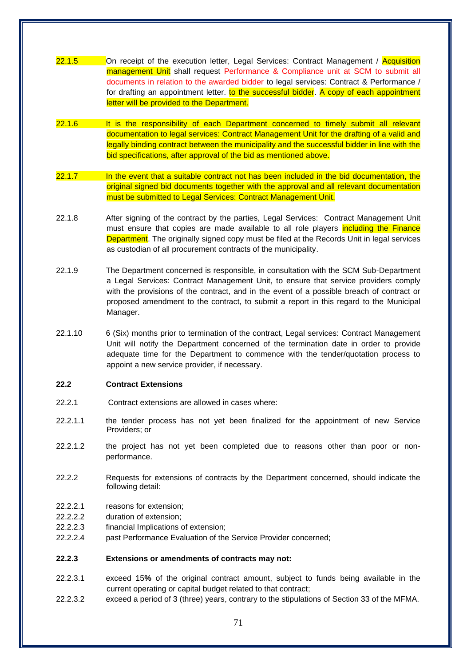- 22.1.5 **On receipt of the execution letter, Legal Services: Contract Management / Acquisition** management Unit shall request Performance & Compliance unit at SCM to submit all documents in relation to the awarded bidder to legal services: Contract & Performance / for drafting an appointment letter. to the successful bidder. A copy of each appointment letter will be provided to the Department.
- 22.1.6 It is the responsibility of each Department concerned to timely submit all relevant documentation to legal services: Contract Management Unit for the drafting of a valid and legally binding contract between the municipality and the successful bidder in line with the bid specifications, after approval of the bid as mentioned above.
- 22.1.7 In the event that a suitable contract not has been included in the bid documentation, the original signed bid documents together with the approval and all relevant documentation must be submitted to Legal Services: Contract Management Unit.
- 22.1.8 After signing of the contract by the parties, Legal Services: Contract Management Unit must ensure that copies are made available to all role players including the Finance Department. The originally signed copy must be filed at the Records Unit in legal services as custodian of all procurement contracts of the municipality.
- 22.1.9 The Department concerned is responsible, in consultation with the SCM Sub-Department a Legal Services: Contract Management Unit, to ensure that service providers comply with the provisions of the contract, and in the event of a possible breach of contract or proposed amendment to the contract, to submit a report in this regard to the Municipal Manager.
- 22.1.10 6 (Six) months prior to termination of the contract, Legal services: Contract Management Unit will notify the Department concerned of the termination date in order to provide adequate time for the Department to commence with the tender/quotation process to appoint a new service provider, if necessary.

#### **22.2 Contract Extensions**

- 22.2.1 Contract extensions are allowed in cases where:
- 22.2.1.1 the tender process has not yet been finalized for the appointment of new Service Providers; or
- 22.2.1.2 the project has not yet been completed due to reasons other than poor or nonperformance.
- 22.2.2 Requests for extensions of contracts by the Department concerned, should indicate the following detail:
- 22.2.2.1 reasons for extension;
- 22.2.2.2 duration of extension;
- 22.2.2.3 financial Implications of extension;
- 22.2.2.4 past Performance Evaluation of the Service Provider concerned;

### **22.2.3 Extensions or amendments of contracts may not:**

- 22.2.3.1 exceed 15**%** of the original contract amount, subject to funds being available in the current operating or capital budget related to that contract;
- 22.2.3.2 exceed a period of 3 (three) years, contrary to the stipulations of Section 33 of the MFMA.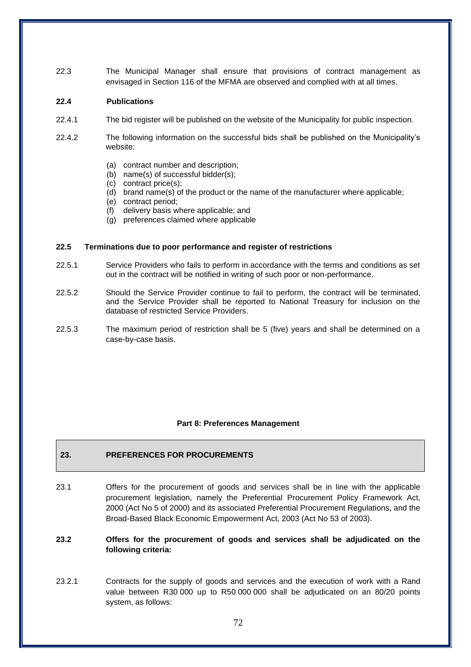22.3 The Municipal Manager shall ensure that provisions of contract management as envisaged in Section 116 of the MFMA are observed and complied with at all times.

### **22.4 Publications**

- 22.4.1 The bid register will be published on the website of the Municipality for public inspection.
- 22.4.2 The following information on the successful bids shall be published on the Municipality's website:
	- (a) contract number and description;
	- (b) name(s) of successful bidder(s);
	- (c) contract price(s);
	- (d) brand name(s) of the product or the name of the manufacturer where applicable;
	- (e) contract period;
	- (f) delivery basis where applicable; and
	- (g) preferences claimed where applicable

### **22.5 Terminations due to poor performance and register of restrictions**

- 22.5.1 Service Providers who fails to perform in accordance with the terms and conditions as set out in the contract will be notified in writing of such poor or non-performance.
- 22.5.2 Should the Service Provider continue to fail to perform, the contract will be terminated, and the Service Provider shall be reported to National Treasury for inclusion on the database of restricted Service Providers.
- 22.5.3 The maximum period of restriction shall be 5 (five) years and shall be determined on a case-by-case basis.

#### **Part 8: Preferences Management**

## **23. PREFERENCES FOR PROCUREMENTS**

- 23.1 Offers for the procurement of goods and services shall be in line with the applicable procurement legislation, namely the Preferential Procurement Policy Framework Act, 2000 (Act No 5 of 2000) and its associated Preferential Procurement Regulations, and the Broad-Based Black Economic Empowerment Act, 2003 (Act No 53 of 2003).
- **23.2 Offers for the procurement of goods and services shall be adjudicated on the following criteria:**
- 23.2.1 Contracts for the supply of goods and services and the execution of work with a Rand value between R30 000 up to R50 000 000 shall be adjudicated on an 80/20 points system, as follows: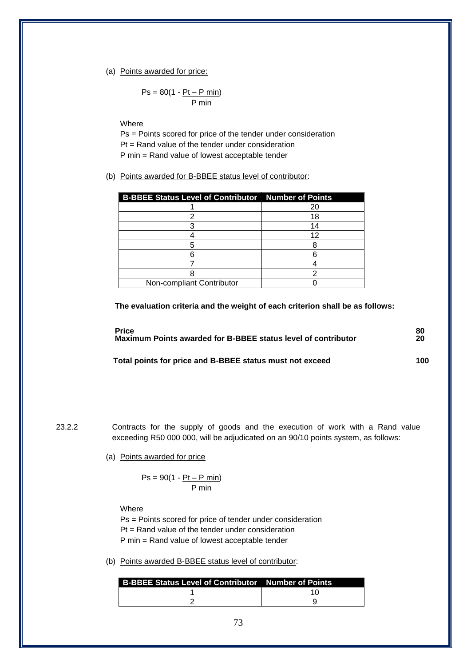#### (a) Points awarded for price:

$$
Ps = 80(1 - \underline{Pt - P \text{ min}})
$$
  
P min

Where

Ps = Points scored for price of the tender under consideration Pt = Rand value of the tender under consideration P min = Rand value of lowest acceptable tender

(b) Points awarded for B-BBEE status level of contributor:

| <b>B-BBEE Status Level of Contributor Number of Points</b> |    |
|------------------------------------------------------------|----|
|                                                            | 20 |
|                                                            | 18 |
|                                                            |    |
|                                                            | 12 |
|                                                            |    |
|                                                            |    |
|                                                            |    |
|                                                            |    |
| Non-compliant Contributor                                  |    |

**The evaluation criteria and the weight of each criterion shall be as follows:**

| <b>Price</b>                                                  | 80  |
|---------------------------------------------------------------|-----|
| Maximum Points awarded for B-BBEE status level of contributor | 20  |
| Total points for price and B-BBEE status must not exceed      | 100 |

23.2.2 Contracts for the supply of goods and the execution of work with a Rand value exceeding R50 000 000, will be adjudicated on an 90/10 points system, as follows:

(a) Points awarded for price

$$
Ps = 90(1 - \frac{Pt - P \text{ min}}{P \text{ min}})
$$

Where

Ps = Points scored for price of tender under consideration Pt = Rand value of the tender under consideration P min = Rand value of lowest acceptable tender

(b) Points awarded B-BBEE status level of contributor: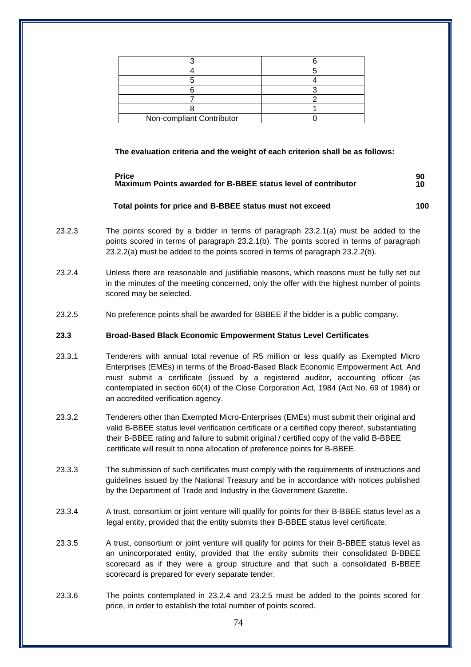| Non-compliant Contributor |  |
|---------------------------|--|

**The evaluation criteria and the weight of each criterion shall be as follows:**

#### **Price 90 Maximum Points awarded for B-BBEE status level of contributor 10**

## **Total points for price and B-BBEE status must not exceed 100**

- 
- 23.2.3 The points scored by a bidder in terms of paragraph 23.2.1(a) must be added to the points scored in terms of paragraph 23.2.1(b). The points scored in terms of paragraph 23.2.2(a) must be added to the points scored in terms of paragraph 23.2.2(b).
- 23.2.4 Unless there are reasonable and justifiable reasons, which reasons must be fully set out in the minutes of the meeting concerned, only the offer with the highest number of points scored may be selected.
- 23.2.5 No preference points shall be awarded for BBBEE if the bidder is a public company.

# **23.3 Broad-Based Black Economic Empowerment Status Level Certificates**

- 23.3.1 Tenderers with annual total revenue of R5 million or less qualify as Exempted Micro Enterprises (EMEs) in terms of the Broad-Based Black Economic Empowerment Act. And must submit a certificate (issued by a registered auditor, accounting officer (as contemplated in section 60(4) of the Close Corporation Act, 1984 (Act No. 69 of 1984) or an accredited verification agency.
- 23.3.2 Tenderers other than Exempted Micro-Enterprises (EMEs) must submit their original and valid B-BBEE status level verification certificate or a certified copy thereof, substantiating their B-BBEE rating and failure to submit original / certified copy of the valid B-BBEE certificate will result to none allocation of preference points for B-BBEE.
- 23.3.3 The submission of such certificates must comply with the requirements of instructions and guidelines issued by the National Treasury and be in accordance with notices published by the Department of Trade and Industry in the Government Gazette.
- 23.3.4 A trust, consortium or joint venture will qualify for points for their B-BBEE status level as a legal entity, provided that the entity submits their B-BBEE status level certificate.
- 23.3.5 A trust, consortium or joint venture will qualify for points for their B-BBEE status level as an unincorporated entity, provided that the entity submits their consolidated B-BBEE scorecard as if they were a group structure and that such a consolidated B-BBEE scorecard is prepared for every separate tender.
- 23.3.6 The points contemplated in 23.2.4 and 23.2.5 must be added to the points scored for price, in order to establish the total number of points scored.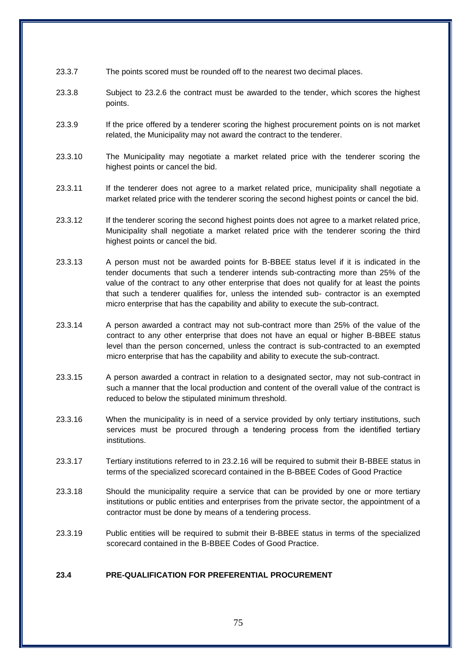- 23.3.7 The points scored must be rounded off to the nearest two decimal places.
- 23.3.8 Subject to 23.2.6 the contract must be awarded to the tender, which scores the highest points.
- 23.3.9 If the price offered by a tenderer scoring the highest procurement points on is not market related, the Municipality may not award the contract to the tenderer.
- 23.3.10 The Municipality may negotiate a market related price with the tenderer scoring the highest points or cancel the bid.
- 23.3.11 If the tenderer does not agree to a market related price, municipality shall negotiate a market related price with the tenderer scoring the second highest points or cancel the bid.
- 23.3.12 If the tenderer scoring the second highest points does not agree to a market related price, Municipality shall negotiate a market related price with the tenderer scoring the third highest points or cancel the bid.
- 23.3.13 A person must not be awarded points for B-BBEE status level if it is indicated in the tender documents that such a tenderer intends sub-contracting more than 25% of the value of the contract to any other enterprise that does not qualify for at least the points that such a tenderer qualifies for, unless the intended sub- contractor is an exempted micro enterprise that has the capability and ability to execute the sub-contract.
- 23.3.14 A person awarded a contract may not sub-contract more than 25% of the value of the contract to any other enterprise that does not have an equal or higher B-BBEE status level than the person concerned, unless the contract is sub-contracted to an exempted micro enterprise that has the capability and ability to execute the sub-contract.
- 23.3.15 A person awarded a contract in relation to a designated sector, may not sub-contract in such a manner that the local production and content of the overall value of the contract is reduced to below the stipulated minimum threshold.
- 23.3.16 When the municipality is in need of a service provided by only tertiary institutions, such services must be procured through a tendering process from the identified tertiary institutions.
- 23.3.17 Tertiary institutions referred to in 23.2.16 will be required to submit their B-BBEE status in terms of the specialized scorecard contained in the B-BBEE Codes of Good Practice
- 23.3.18 Should the municipality require a service that can be provided by one or more tertiary institutions or public entities and enterprises from the private sector, the appointment of a contractor must be done by means of a tendering process.
- 23.3.19 Public entities will be required to submit their B-BBEE status in terms of the specialized scorecard contained in the B-BBEE Codes of Good Practice.

## **23.4 PRE-QUALIFICATION FOR PREFERENTIAL PROCUREMENT**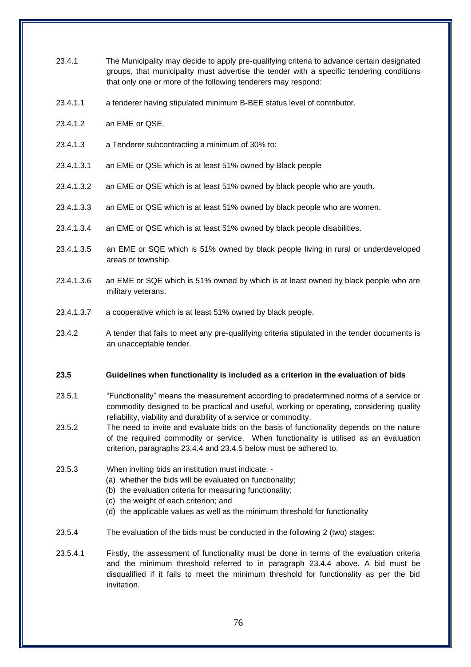- 23.4.1 The Municipality may decide to apply pre-qualifying criteria to advance certain designated groups, that municipality must advertise the tender with a specific tendering conditions that only one or more of the following tenderers may respond:
- 23.4.1.1 a tenderer having stipulated minimum B-BEE status level of contributor.
- 23.4.1.2 an EME or QSE.
- 23.4.1.3 a Tenderer subcontracting a minimum of 30% to:
- 23.4.1.3.1 an EME or QSE which is at least 51% owned by Black people
- 23.4.1.3.2 an EME or QSE which is at least 51% owned by black people who are youth.
- 23.4.1.3.3 an EME or QSE which is at least 51% owned by black people who are women.
- 23.4.1.3.4 an EME or QSE which is at least 51% owned by black people disabilities.
- 23.4.1.3.5 an EME or SQE which is 51% owned by black people living in rural or underdeveloped areas or township.
- 23.4.1.3.6 an EME or SQE which is 51% owned by which is at least owned by black people who are military veterans.
- 23.4.1.3.7 a cooperative which is at least 51% owned by black people.
- 23.4.2 A tender that fails to meet any pre-qualifying criteria stipulated in the tender documents is an unacceptable tender.

#### **23.5 Guidelines when functionality is included as a criterion in the evaluation of bids**

- 23.5.1 "Functionality" means the measurement according to predetermined norms of a service or commodity designed to be practical and useful, working or operating, considering quality reliability, viability and durability of a service or commodity.
- 23.5.2 The need to invite and evaluate bids on the basis of functionality depends on the nature of the required commodity or service. When functionality is utilised as an evaluation criterion, paragraphs 23.4.4 and 23.4.5 below must be adhered to.
- 23.5.3 When inviting bids an institution must indicate:
	- (a) whether the bids will be evaluated on functionality;
	- (b) the evaluation criteria for measuring functionality;
	- (c) the weight of each criterion; and
	- (d) the applicable values as well as the minimum threshold for functionality
- 23.5.4 The evaluation of the bids must be conducted in the following 2 (two) stages:
- 23.5.4.1 Firstly, the assessment of functionality must be done in terms of the evaluation criteria and the minimum threshold referred to in paragraph 23.4.4 above. A bid must be disqualified if it fails to meet the minimum threshold for functionality as per the bid invitation.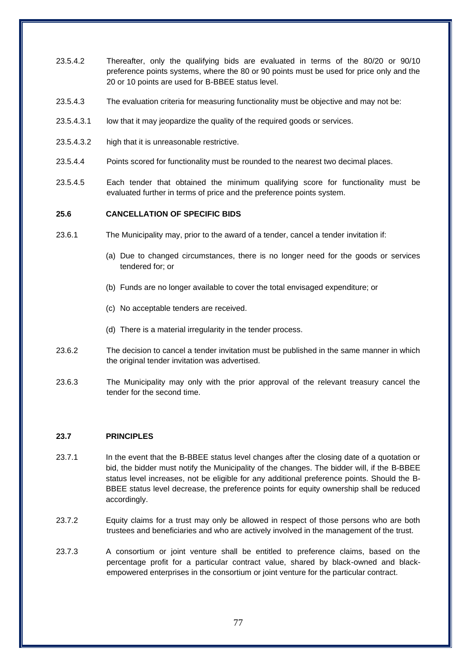- 23.5.4.2 Thereafter, only the qualifying bids are evaluated in terms of the 80/20 or 90/10 preference points systems, where the 80 or 90 points must be used for price only and the 20 or 10 points are used for B-BBEE status level.
- 23.5.4.3 The evaluation criteria for measuring functionality must be objective and may not be:
- 23.5.4.3.1 low that it may jeopardize the quality of the required goods or services.
- 23.5.4.3.2 high that it is unreasonable restrictive.
- 23.5.4.4 Points scored for functionality must be rounded to the nearest two decimal places.
- 23.5.4.5 Each tender that obtained the minimum qualifying score for functionality must be evaluated further in terms of price and the preference points system.

### **25.6 CANCELLATION OF SPECIFIC BIDS**

- 23.6.1 The Municipality may, prior to the award of a tender, cancel a tender invitation if:
	- (a) Due to changed circumstances, there is no longer need for the goods or services tendered for; or
	- (b) Funds are no longer available to cover the total envisaged expenditure; or
	- (c) No acceptable tenders are received.
	- (d) There is a material irregularity in the tender process.
- 23.6.2 The decision to cancel a tender invitation must be published in the same manner in which the original tender invitation was advertised.
- 23.6.3 The Municipality may only with the prior approval of the relevant treasury cancel the tender for the second time.

#### **23.7 PRINCIPLES**

- 23.7.1 In the event that the B-BBEE status level changes after the closing date of a quotation or bid, the bidder must notify the Municipality of the changes. The bidder will, if the B-BBEE status level increases, not be eligible for any additional preference points. Should the B-BBEE status level decrease, the preference points for equity ownership shall be reduced accordingly.
- 23.7.2 Equity claims for a trust may only be allowed in respect of those persons who are both trustees and beneficiaries and who are actively involved in the management of the trust.
- 23.7.3 A consortium or joint venture shall be entitled to preference claims, based on the percentage profit for a particular contract value, shared by black-owned and blackempowered enterprises in the consortium or joint venture for the particular contract.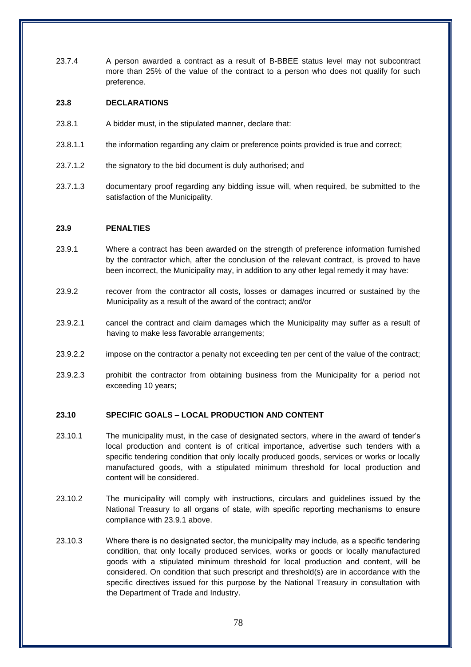23.7.4 A person awarded a contract as a result of B-BBEE status level may not subcontract more than 25% of the value of the contract to a person who does not qualify for such preference.

# **23.8 DECLARATIONS**

- 23.8.1 A bidder must, in the stipulated manner, declare that:
- 23.8.1.1 the information regarding any claim or preference points provided is true and correct;
- 23.7.1.2 the signatory to the bid document is duly authorised; and
- 23.7.1.3 documentary proof regarding any bidding issue will, when required, be submitted to the satisfaction of the Municipality.

#### **23.9 PENALTIES**

- 23.9.1 Where a contract has been awarded on the strength of preference information furnished by the contractor which, after the conclusion of the relevant contract, is proved to have been incorrect, the Municipality may, in addition to any other legal remedy it may have:
- 23.9.2 recover from the contractor all costs, losses or damages incurred or sustained by the Municipality as a result of the award of the contract; and/or
- 23.9.2.1 cancel the contract and claim damages which the Municipality may suffer as a result of having to make less favorable arrangements;
- 23.9.2.2 impose on the contractor a penalty not exceeding ten per cent of the value of the contract;
- 23.9.2.3 prohibit the contractor from obtaining business from the Municipality for a period not exceeding 10 years;

## **23.10 SPECIFIC GOALS – LOCAL PRODUCTION AND CONTENT**

- 23.10.1 The municipality must, in the case of designated sectors, where in the award of tender's local production and content is of critical importance, advertise such tenders with a specific tendering condition that only locally produced goods, services or works or locally manufactured goods, with a stipulated minimum threshold for local production and content will be considered.
- 23.10.2 The municipality will comply with instructions, circulars and guidelines issued by the National Treasury to all organs of state, with specific reporting mechanisms to ensure compliance with 23.9.1 above.
- 23.10.3 Where there is no designated sector, the municipality may include, as a specific tendering condition, that only locally produced services, works or goods or locally manufactured goods with a stipulated minimum threshold for local production and content, will be considered. On condition that such prescript and threshold(s) are in accordance with the specific directives issued for this purpose by the National Treasury in consultation with the Department of Trade and Industry.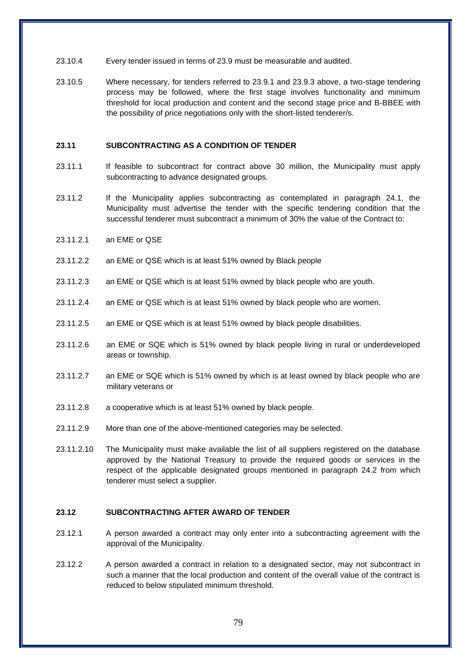- 23.10.4 Every tender issued in terms of 23.9 must be measurable and audited.
- 23.10.5 Where necessary, for tenders referred to 23.9.1 and 23.9.3 above, a two-stage tendering process may be followed, where the first stage involves functionality and minimum threshold for local production and content and the second stage price and B-BBEE with the possibility of price negotiations only with the short-listed tenderer/s.

#### **23.11 SUBCONTRACTING AS A CONDITION OF TENDER**

- 23.11.1 If feasible to subcontract for contract above 30 million, the Municipality must apply subcontracting to advance designated groups.
- 23.11.2 If the Municipality applies subcontracting as contemplated in paragraph 24.1, the Municipality must advertise the tender with the specific tendering condition that the successful tenderer must subcontract a minimum of 30% the value of the Contract to:
- 23.11.2.1 an EME or QSE
- 23.11.2.2 an EME or QSE which is at least 51% owned by Black people
- 23.11.2.3 an EME or QSE which is at least 51% owned by black people who are youth.
- 23.11.2.4 an EME or QSE which is at least 51% owned by black people who are women.
- 23.11.2.5 an EME or QSE which is at least 51% owned by black people disabilities.
- 23.11.2.6 an EME or SQE which is 51% owned by black people living in rural or underdeveloped areas or township.
- 23.11.2.7 an EME or SQE which is 51% owned by which is at least owned by black people who are military veterans or
- 23.11.2.8 a cooperative which is at least 51% owned by black people.
- 23.11.2.9 More than one of the above-mentioned categories may be selected.
- 23.11.2.10 The Municipality must make available the list of all suppliers registered on the database approved by the National Treasury to provide the required goods or services in the respect of the applicable designated groups mentioned in paragraph 24.2 from which tenderer must select a supplier.

### **23.12 SUBCONTRACTING AFTER AWARD OF TENDER**

- 23.12.1 A person awarded a contract may only enter into a subcontracting agreement with the approval of the Municipality.
- 23.12.2 A person awarded a contract in relation to a designated sector, may not subcontract in such a manner that the local production and content of the overall value of the contract is reduced to below stipulated minimum threshold.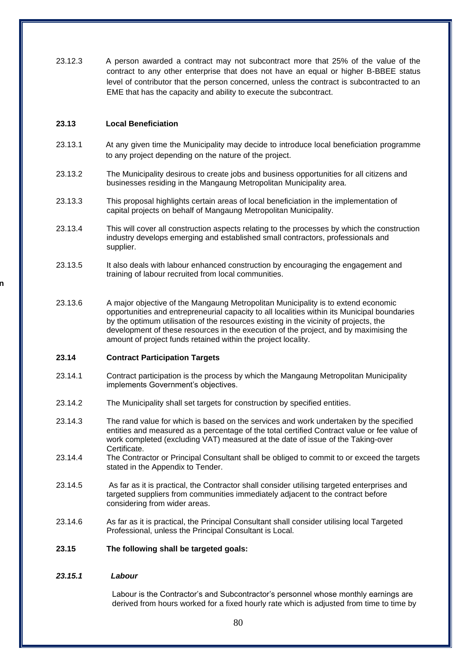23.12.3 A person awarded a contract may not subcontract more that 25% of the value of the contract to any other enterprise that does not have an equal or higher B-BBEE status level of contributor that the person concerned, unless the contract is subcontracted to an EME that has the capacity and ability to execute the subcontract.

### **23.13 Local Beneficiation**

**23.13.2.1.1.1.1.1 Contractor Participation**

- 23.13.1 At any given time the Municipality may decide to introduce local beneficiation programme to any project depending on the nature of the project.
- 23.13.2 The Municipality desirous to create jobs and business opportunities for all citizens and businesses residing in the Mangaung Metropolitan Municipality area.
- 23.13.3 This proposal highlights certain areas of local beneficiation in the implementation of capital projects on behalf of Mangaung Metropolitan Municipality.
- 23.13.4 This will cover all construction aspects relating to the processes by which the construction industry develops emerging and established small contractors, professionals and supplier.
- 23.13.5 It also deals with labour enhanced construction by encouraging the engagement and training of labour recruited from local communities.
- 23.13.6 A major objective of the Mangaung Metropolitan Municipality is to extend economic opportunities and entrepreneurial capacity to all localities within its Municipal boundaries by the optimum utilisation of the resources existing in the vicinity of projects, the development of these resources in the execution of the project, and by maximising the amount of project funds retained within the project locality.

#### **23.14 Contract Participation Targets**

- 23.14.1 Contract participation is the process by which the Mangaung Metropolitan Municipality implements Government's objectives.
- 23.14.2 The Municipality shall set targets for construction by specified entities.
- 23.14.3 The rand value for which is based on the services and work undertaken by the specified entities and measured as a percentage of the total certified Contract value or fee value of work completed (excluding VAT) measured at the date of issue of the Taking-over Certificate.
- 23.14.4 The Contractor or Principal Consultant shall be obliged to commit to or exceed the targets stated in the Appendix to Tender.
- 23.14.5 As far as it is practical, the Contractor shall consider utilising targeted enterprises and targeted suppliers from communities immediately adjacent to the contract before considering from wider areas.
- 23.14.6 As far as it is practical, the Principal Consultant shall consider utilising local Targeted Professional, unless the Principal Consultant is Local.

#### **23.15 The following shall be targeted goals:**

#### *23.15.1 Labour*

Labour is the Contractor's and Subcontractor's personnel whose monthly earnings are derived from hours worked for a fixed hourly rate which is adjusted from time to time by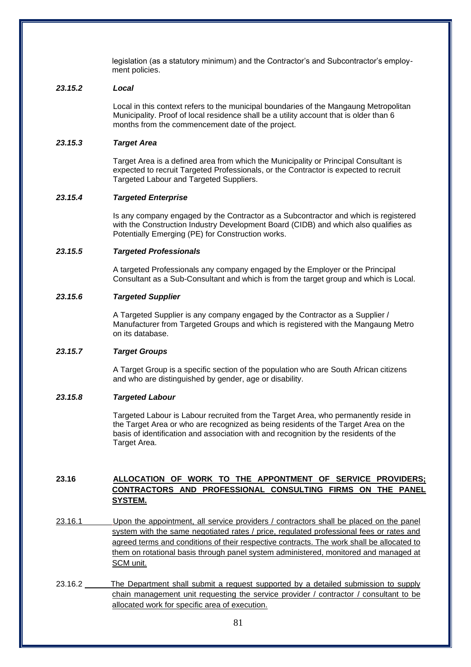legislation (as a statutory minimum) and the Contractor's and Subcontractor's employment policies.

### *23.15.2 Local*

Local in this context refers to the municipal boundaries of the Mangaung Metropolitan Municipality. Proof of local residence shall be a utility account that is older than 6 months from the commencement date of the project.

### *23.15.3 Target Area*

Target Area is a defined area from which the Municipality or Principal Consultant is expected to recruit Targeted Professionals, or the Contractor is expected to recruit Targeted Labour and Targeted Suppliers.

### *23.15.4 Targeted Enterprise*

Is any company engaged by the Contractor as a Subcontractor and which is registered with the Construction Industry Development Board (CIDB) and which also qualifies as Potentially Emerging (PE) for Construction works.

### *23.15.5 Targeted Professionals*

A targeted Professionals any company engaged by the Employer or the Principal Consultant as a Sub-Consultant and which is from the target group and which is Local.

### *23.15.6 Targeted Supplier*

A Targeted Supplier is any company engaged by the Contractor as a Supplier / Manufacturer from Targeted Groups and which is registered with the Mangaung Metro on its database.

# *23.15.7 Target Groups*

A Target Group is a specific section of the population who are South African citizens and who are distinguished by gender, age or disability.

# *23.15.8 Targeted Labour*

Targeted Labour is Labour recruited from the Target Area, who permanently reside in the Target Area or who are recognized as being residents of the Target Area on the basis of identification and association with and recognition by the residents of the Target Area.

# **23.16 ALLOCATION OF WORK TO THE APPONTMENT OF SERVICE PROVIDERS; CONTRACTORS AND PROFESSIONAL CONSULTING FIRMS ON THE PANEL SYSTEM.**

- 23.16.1 Upon the appointment, all service providers / contractors shall be placed on the panel system with the same negotiated rates / price, regulated professional fees or rates and agreed terms and conditions of their respective contracts. The work shall be allocated to them on rotational basis through panel system administered, monitored and managed at SCM unit.
- 23.16.2 The Department shall submit a request supported by a detailed submission to supply chain management unit requesting the service provider / contractor / consultant to be allocated work for specific area of execution.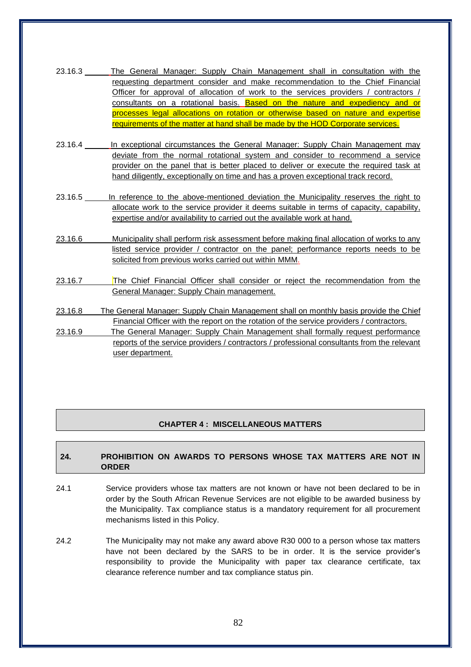| 23.16.3 | The General Manager: Supply Chain Management shall in consultation with the                 |
|---------|---------------------------------------------------------------------------------------------|
|         | requesting department consider and make recommendation to the Chief Financial               |
|         | Officer for approval of allocation of work to the services providers / contractors /        |
|         | consultants on a rotational basis. Based on the nature and expediency and or                |
|         | processes legal allocations on rotation or otherwise based on nature and expertise          |
|         | requirements of the matter at hand shall be made by the HOD Corporate services.             |
| 23.16.4 | In exceptional circumstances the General Manager: Supply Chain Management may               |
|         | deviate from the normal rotational system and consider to recommend a service               |
|         | provider on the panel that is better placed to deliver or execute the required task at      |
|         | hand diligently, exceptionally on time and has a proven exceptional track record.           |
|         |                                                                                             |
| 23.16.5 | In reference to the above-mentioned deviation the Municipality reserves the right to        |
|         | allocate work to the service provider it deems suitable in terms of capacity, capability,   |
|         | expertise and/or availability to carried out the available work at hand.                    |
| 23.16.6 | Municipality shall perform risk assessment before making final allocation of works to any   |
|         | listed service provider / contractor on the panel; performance reports needs to be          |
|         | solicited from previous works carried out within MMM.                                       |
|         |                                                                                             |
| 23.16.7 | The Chief Financial Officer shall consider or reject the recommendation from the            |
|         | General Manager: Supply Chain management.                                                   |
|         |                                                                                             |
| 23.16.8 | The General Manager: Supply Chain Management shall on monthly basis provide the Chief       |
|         | Financial Officer with the report on the rotation of the service providers / contractors.   |
| 23.16.9 | The General Manager: Supply Chain Management shall formally request performance             |
|         | reports of the service providers / contractors / professional consultants from the relevant |
|         | user department.                                                                            |

# **CHAPTER 4 : MISCELLANEOUS MATTERS**

# **24. PROHIBITION ON AWARDS TO PERSONS WHOSE TAX MATTERS ARE NOT IN ORDER**

- 24.1 Service providers whose tax matters are not known or have not been declared to be in order by the South African Revenue Services are not eligible to be awarded business by the Municipality. Tax compliance status is a mandatory requirement for all procurement mechanisms listed in this Policy.
- 24.2 The Municipality may not make any award above R30 000 to a person whose tax matters have not been declared by the SARS to be in order. It is the service provider's responsibility to provide the Municipality with paper tax clearance certificate, tax clearance reference number and tax compliance status pin.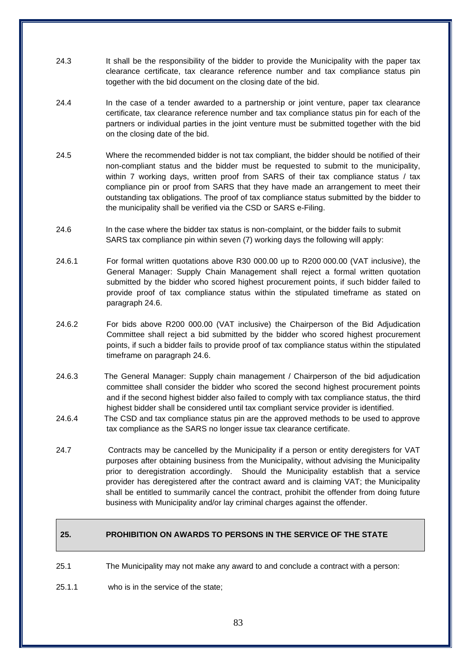- 24.3 It shall be the responsibility of the bidder to provide the Municipality with the paper tax clearance certificate, tax clearance reference number and tax compliance status pin together with the bid document on the closing date of the bid.
- 24.4 In the case of a tender awarded to a partnership or joint venture, paper tax clearance certificate, tax clearance reference number and tax compliance status pin for each of the partners or individual parties in the joint venture must be submitted together with the bid on the closing date of the bid.
- 24.5 Where the recommended bidder is not tax compliant, the bidder should be notified of their non-compliant status and the bidder must be requested to submit to the municipality, within 7 working days, written proof from SARS of their tax compliance status / tax compliance pin or proof from SARS that they have made an arrangement to meet their outstanding tax obligations. The proof of tax compliance status submitted by the bidder to the municipality shall be verified via the CSD or SARS e-Filing.
- 24.6 In the case where the bidder tax status is non-complaint, or the bidder fails to submit SARS tax compliance pin within seven (7) working days the following will apply:
- 24.6.1 For formal written quotations above R30 000.00 up to R200 000.00 (VAT inclusive), the General Manager: Supply Chain Management shall reject a formal written quotation submitted by the bidder who scored highest procurement points, if such bidder failed to provide proof of tax compliance status within the stipulated timeframe as stated on paragraph 24.6.
- 24.6.2 For bids above R200 000.00 (VAT inclusive) the Chairperson of the Bid Adjudication Committee shall reject a bid submitted by the bidder who scored highest procurement points, if such a bidder fails to provide proof of tax compliance status within the stipulated timeframe on paragraph 24.6.
- 24.6.3 The General Manager: Supply chain management / Chairperson of the bid adjudication committee shall consider the bidder who scored the second highest procurement points and if the second highest bidder also failed to comply with tax compliance status, the third highest bidder shall be considered until tax compliant service provider is identified.
- 24.6.4 The CSD and tax compliance status pin are the approved methods to be used to approve tax compliance as the SARS no longer issue tax clearance certificate.
- 24.7 Contracts may be cancelled by the Municipality if a person or entity deregisters for VAT purposes after obtaining business from the Municipality, without advising the Municipality prior to deregistration accordingly. Should the Municipality establish that a service provider has deregistered after the contract award and is claiming VAT; the Municipality shall be entitled to summarily cancel the contract, prohibit the offender from doing future business with Municipality and/or lay criminal charges against the offender.

# **25. PROHIBITION ON AWARDS TO PERSONS IN THE SERVICE OF THE STATE**

- 25.1 The Municipality may not make any award to and conclude a contract with a person:
- 25.1.1 who is in the service of the state;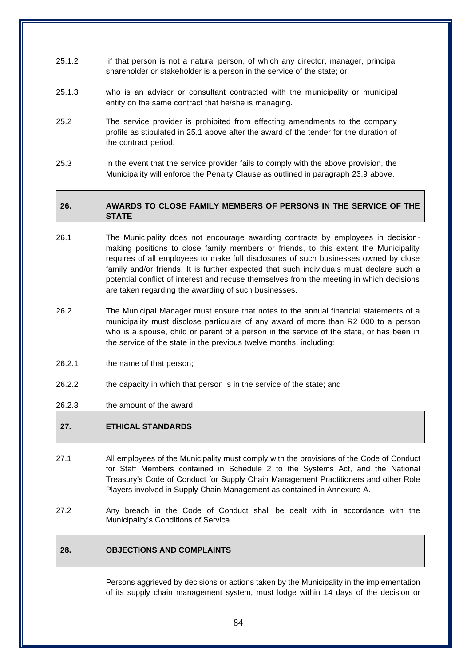- 25.1.2 if that person is not a natural person, of which any director, manager, principal shareholder or stakeholder is a person in the service of the state; or
- 25.1.3 who is an advisor or consultant contracted with the municipality or municipal entity on the same contract that he/she is managing.
- 25.2 The service provider is prohibited from effecting amendments to the company profile as stipulated in 25.1 above after the award of the tender for the duration of the contract period.
- 25.3 In the event that the service provider fails to comply with the above provision, the Municipality will enforce the Penalty Clause as outlined in paragraph 23.9 above.

# **26. AWARDS TO CLOSE FAMILY MEMBERS OF PERSONS IN THE SERVICE OF THE STATE**

- 26.1 The Municipality does not encourage awarding contracts by employees in decisionmaking positions to close family members or friends, to this extent the Municipality requires of all employees to make full disclosures of such businesses owned by close family and/or friends. It is further expected that such individuals must declare such a potential conflict of interest and recuse themselves from the meeting in which decisions are taken regarding the awarding of such businesses.
- 26.2 The Municipal Manager must ensure that notes to the annual financial statements of a municipality must disclose particulars of any award of more than R2 000 to a person who is a spouse, child or parent of a person in the service of the state, or has been in the service of the state in the previous twelve months, including:
- 26.2.1 the name of that person;
- 26.2.2 the capacity in which that person is in the service of the state; and
- 26.2.3 the amount of the award.

## **27. ETHICAL STANDARDS**

- 27.1 All employees of the Municipality must comply with the provisions of the Code of Conduct for Staff Members contained in Schedule 2 to the Systems Act, and the National Treasury's Code of Conduct for Supply Chain Management Practitioners and other Role Players involved in Supply Chain Management as contained in Annexure A.
- 27.2 Any breach in the Code of Conduct shall be dealt with in accordance with the Municipality's Conditions of Service.

# **28. OBJECTIONS AND COMPLAINTS**

Persons aggrieved by decisions or actions taken by the Municipality in the implementation of its supply chain management system, must lodge within 14 days of the decision or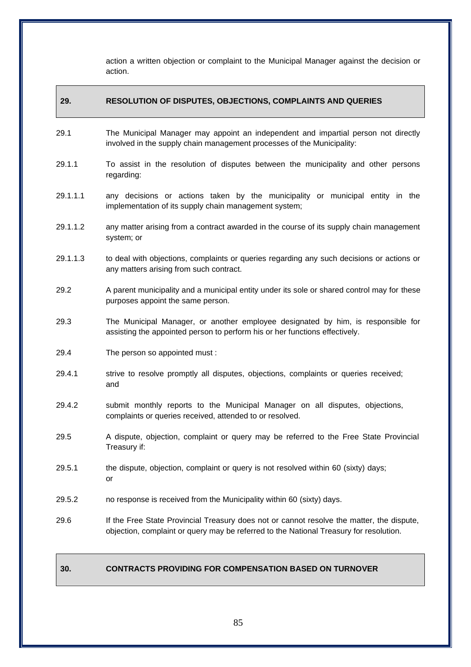action a written objection or complaint to the Municipal Manager against the decision or action.

# **29. RESOLUTION OF DISPUTES, OBJECTIONS, COMPLAINTS AND QUERIES**

- 29.1 The Municipal Manager may appoint an independent and impartial person not directly involved in the supply chain management processes of the Municipality:
- 29.1.1 To assist in the resolution of disputes between the municipality and other persons regarding:
- 29.1.1.1 any decisions or actions taken by the municipality or municipal entity in the implementation of its supply chain management system;
- 29.1.1.2 any matter arising from a contract awarded in the course of its supply chain management system; or
- 29.1.1.3 to deal with objections, complaints or queries regarding any such decisions or actions or any matters arising from such contract.
- 29.2 A parent municipality and a municipal entity under its sole or shared control may for these purposes appoint the same person.
- 29.3 The Municipal Manager, or another employee designated by him, is responsible for assisting the appointed person to perform his or her functions effectively.
- 29.4 The person so appointed must :
- 29.4.1 strive to resolve promptly all disputes, objections, complaints or queries received; and
- 29.4.2 submit monthly reports to the Municipal Manager on all disputes, objections, complaints or queries received, attended to or resolved.
- 29.5 A dispute, objection, complaint or query may be referred to the Free State Provincial Treasury if:
- 29.5.1 the dispute, objection, complaint or query is not resolved within 60 (sixty) days; or
- 29.5.2 no response is received from the Municipality within 60 (sixty) days.
- 29.6 If the Free State Provincial Treasury does not or cannot resolve the matter, the dispute, objection, complaint or query may be referred to the National Treasury for resolution.

## **30. CONTRACTS PROVIDING FOR COMPENSATION BASED ON TURNOVER**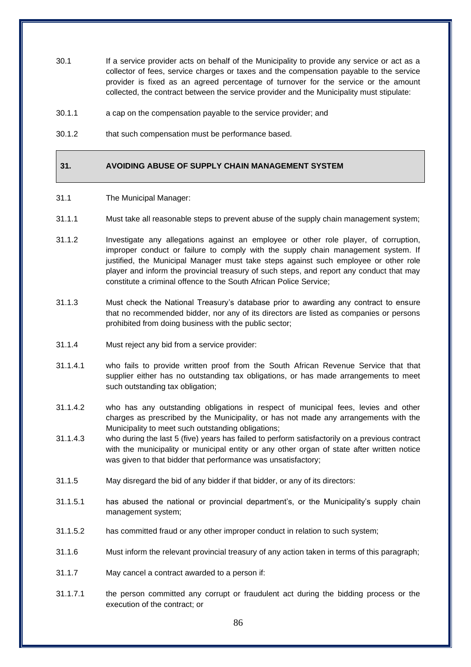- 30.1 If a service provider acts on behalf of the Municipality to provide any service or act as a collector of fees, service charges or taxes and the compensation payable to the service provider is fixed as an agreed percentage of turnover for the service or the amount collected, the contract between the service provider and the Municipality must stipulate:
- 30.1.1 a cap on the compensation payable to the service provider; and
- 30.1.2 that such compensation must be performance based.

## **31. AVOIDING ABUSE OF SUPPLY CHAIN MANAGEMENT SYSTEM**

- 31.1 The Municipal Manager:
- 31.1.1 Must take all reasonable steps to prevent abuse of the supply chain management system;
- 31.1.2 Investigate any allegations against an employee or other role player, of corruption, improper conduct or failure to comply with the supply chain management system. If justified, the Municipal Manager must take steps against such employee or other role player and inform the provincial treasury of such steps, and report any conduct that may constitute a criminal offence to the South African Police Service;
- 31.1.3 Must check the National Treasury's database prior to awarding any contract to ensure that no recommended bidder, nor any of its directors are listed as companies or persons prohibited from doing business with the public sector;
- 31.1.4 Must reject any bid from a service provider:
- 31.1.4.1 who fails to provide written proof from the South African Revenue Service that that supplier either has no outstanding tax obligations, or has made arrangements to meet such outstanding tax obligation;
- 31.1.4.2 who has any outstanding obligations in respect of municipal fees, levies and other charges as prescribed by the Municipality, or has not made any arrangements with the Municipality to meet such outstanding obligations;
- 31.1.4.3 who during the last 5 (five) years has failed to perform satisfactorily on a previous contract with the municipality or municipal entity or any other organ of state after written notice was given to that bidder that performance was unsatisfactory;
- 31.1.5 May disregard the bid of any bidder if that bidder, or any of its directors:
- 31.1.5.1 has abused the national or provincial department's, or the Municipality's supply chain management system;
- 31.1.5.2 has committed fraud or any other improper conduct in relation to such system;
- 31.1.6 Must inform the relevant provincial treasury of any action taken in terms of this paragraph;
- 31.1.7 May cancel a contract awarded to a person if:
- 31.1.7.1 the person committed any corrupt or fraudulent act during the bidding process or the execution of the contract; or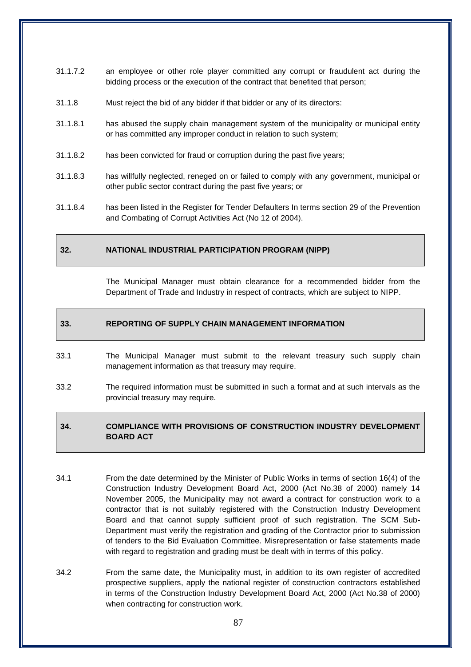- 31.1.7.2 an employee or other role player committed any corrupt or fraudulent act during the bidding process or the execution of the contract that benefited that person;
- 31.1.8 Must reject the bid of any bidder if that bidder or any of its directors:
- 31.1.8.1 has abused the supply chain management system of the municipality or municipal entity or has committed any improper conduct in relation to such system;
- 31.1.8.2 has been convicted for fraud or corruption during the past five years;
- 31.1.8.3 has willfully neglected, reneged on or failed to comply with any government, municipal or other public sector contract during the past five years; or
- 31.1.8.4 has been listed in the Register for Tender Defaulters In terms section 29 of the Prevention and Combating of Corrupt Activities Act (No 12 of 2004).

## **32. NATIONAL INDUSTRIAL PARTICIPATION PROGRAM (NIPP)**

The Municipal Manager must obtain clearance for a recommended bidder from the Department of Trade and Industry in respect of contracts, which are subject to NIPP.

#### **33. REPORTING OF SUPPLY CHAIN MANAGEMENT INFORMATION**

- 33.1 The Municipal Manager must submit to the relevant treasury such supply chain management information as that treasury may require.
- 33.2 The required information must be submitted in such a format and at such intervals as the provincial treasury may require.

## **34. COMPLIANCE WITH PROVISIONS OF CONSTRUCTION INDUSTRY DEVELOPMENT BOARD ACT**

- 34.1 From the date determined by the Minister of Public Works in terms of section 16(4) of the Construction Industry Development Board Act, 2000 (Act No.38 of 2000) namely 14 November 2005, the Municipality may not award a contract for construction work to a contractor that is not suitably registered with the Construction Industry Development Board and that cannot supply sufficient proof of such registration. The SCM Sub-Department must verify the registration and grading of the Contractor prior to submission of tenders to the Bid Evaluation Committee. Misrepresentation or false statements made with regard to registration and grading must be dealt with in terms of this policy.
- 34.2 From the same date, the Municipality must, in addition to its own register of accredited prospective suppliers, apply the national register of construction contractors established in terms of the Construction Industry Development Board Act, 2000 (Act No.38 of 2000) when contracting for construction work.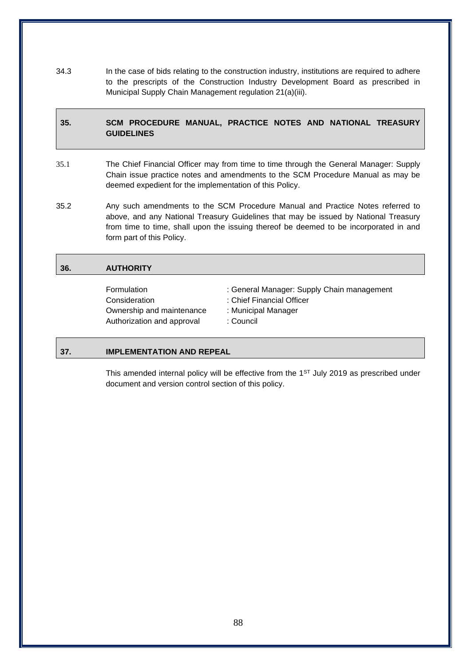34.3 In the case of bids relating to the construction industry, institutions are required to adhere to the prescripts of the Construction Industry Development Board as prescribed in Municipal Supply Chain Management regulation 21(a)(iii).

# **35. SCM PROCEDURE MANUAL, PRACTICE NOTES AND NATIONAL TREASURY GUIDELINES**

- 35.1 The Chief Financial Officer may from time to time through the General Manager: Supply Chain issue practice notes and amendments to the SCM Procedure Manual as may be deemed expedient for the implementation of this Policy.
- 35.2 Any such amendments to the SCM Procedure Manual and Practice Notes referred to above, and any National Treasury Guidelines that may be issued by National Treasury from time to time, shall upon the issuing thereof be deemed to be incorporated in and form part of this Policy.

# **36. AUTHORITY**

Consideration : Chief Financial Officer Ownership and maintenance : Municipal Manager Authorization and approval : Council

Formulation : General Manager: Supply Chain management

- 
- 
- 

## **37. IMPLEMENTATION AND REPEAL**

This amended internal policy will be effective from the  $1<sup>ST</sup>$  July 2019 as prescribed under document and version control section of this policy.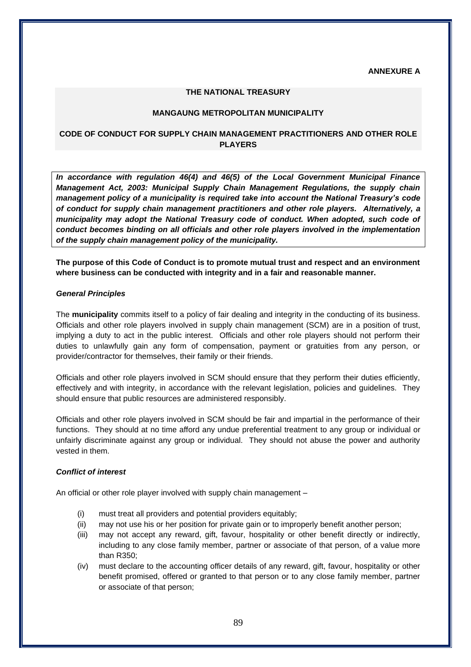**ANNEXURE A**

### **THE NATIONAL TREASURY**

#### **MANGAUNG METROPOLITAN MUNICIPALITY**

# **CODE OF CONDUCT FOR SUPPLY CHAIN MANAGEMENT PRACTITIONERS AND OTHER ROLE PLAYERS**

*In accordance with regulation 46(4) and 46(5) of the Local Government Municipal Finance Management Act, 2003: Municipal Supply Chain Management Regulations, the supply chain management policy of a municipality is required take into account the National Treasury's code of conduct for supply chain management practitioners and other role players. Alternatively, a municipality may adopt the National Treasury code of conduct. When adopted, such code of conduct becomes binding on all officials and other role players involved in the implementation of the supply chain management policy of the municipality.* 

**The purpose of this Code of Conduct is to promote mutual trust and respect and an environment where business can be conducted with integrity and in a fair and reasonable manner.**

#### *General Principles*

The **municipality** commits itself to a policy of fair dealing and integrity in the conducting of its business. Officials and other role players involved in supply chain management (SCM) are in a position of trust, implying a duty to act in the public interest. Officials and other role players should not perform their duties to unlawfully gain any form of compensation, payment or gratuities from any person, or provider/contractor for themselves, their family or their friends.

Officials and other role players involved in SCM should ensure that they perform their duties efficiently, effectively and with integrity, in accordance with the relevant legislation, policies and guidelines. They should ensure that public resources are administered responsibly.

Officials and other role players involved in SCM should be fair and impartial in the performance of their functions. They should at no time afford any undue preferential treatment to any group or individual or unfairly discriminate against any group or individual. They should not abuse the power and authority vested in them.

### *Conflict of interest*

An official or other role player involved with supply chain management –

- (i) must treat all providers and potential providers equitably;
- (ii) may not use his or her position for private gain or to improperly benefit another person;
- (iii) may not accept any reward, gift, favour, hospitality or other benefit directly or indirectly, including to any close family member, partner or associate of that person, of a value more than R350;
- (iv) must declare to the accounting officer details of any reward, gift, favour, hospitality or other benefit promised, offered or granted to that person or to any close family member, partner or associate of that person;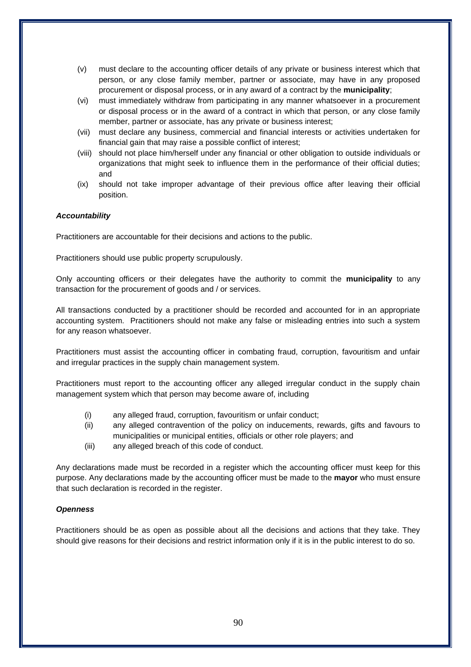- (v) must declare to the accounting officer details of any private or business interest which that person, or any close family member, partner or associate, may have in any proposed procurement or disposal process, or in any award of a contract by the **municipality**;
- (vi) must immediately withdraw from participating in any manner whatsoever in a procurement or disposal process or in the award of a contract in which that person, or any close family member, partner or associate, has any private or business interest;
- (vii) must declare any business, commercial and financial interests or activities undertaken for financial gain that may raise a possible conflict of interest;
- (viii) should not place him/herself under any financial or other obligation to outside individuals or organizations that might seek to influence them in the performance of their official duties; and
- (ix) should not take improper advantage of their previous office after leaving their official position.

## *Accountability*

Practitioners are accountable for their decisions and actions to the public.

Practitioners should use public property scrupulously.

Only accounting officers or their delegates have the authority to commit the **municipality** to any transaction for the procurement of goods and / or services.

All transactions conducted by a practitioner should be recorded and accounted for in an appropriate accounting system. Practitioners should not make any false or misleading entries into such a system for any reason whatsoever.

Practitioners must assist the accounting officer in combating fraud, corruption, favouritism and unfair and irregular practices in the supply chain management system.

Practitioners must report to the accounting officer any alleged irregular conduct in the supply chain management system which that person may become aware of, including

- (i) any alleged fraud, corruption, favouritism or unfair conduct;
- (ii) any alleged contravention of the policy on inducements, rewards, gifts and favours to municipalities or municipal entities, officials or other role players; and
- (iii) any alleged breach of this code of conduct.

Any declarations made must be recorded in a register which the accounting officer must keep for this purpose. Any declarations made by the accounting officer must be made to the **mayor** who must ensure that such declaration is recorded in the register.

## *Openness*

Practitioners should be as open as possible about all the decisions and actions that they take. They should give reasons for their decisions and restrict information only if it is in the public interest to do so.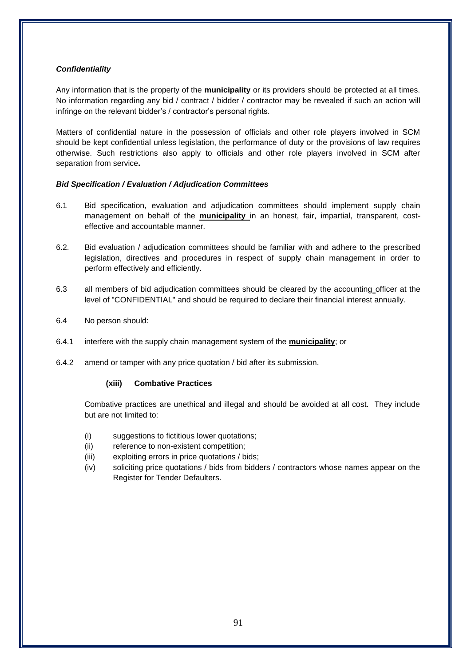## *Confidentiality*

Any information that is the property of the **municipality** or its providers should be protected at all times. No information regarding any bid / contract / bidder / contractor may be revealed if such an action will infringe on the relevant bidder's / contractor's personal rights.

Matters of confidential nature in the possession of officials and other role players involved in SCM should be kept confidential unless legislation, the performance of duty or the provisions of law requires otherwise. Such restrictions also apply to officials and other role players involved in SCM after separation from service**.**

### *Bid Specification / Evaluation / Adjudication Committees*

- 6.1 Bid specification, evaluation and adjudication committees should implement supply chain management on behalf of the **municipality** in an honest, fair, impartial, transparent, costeffective and accountable manner.
- 6.2. Bid evaluation / adjudication committees should be familiar with and adhere to the prescribed legislation, directives and procedures in respect of supply chain management in order to perform effectively and efficiently.
- 6.3 all members of bid adjudication committees should be cleared by the accounting officer at the level of "CONFIDENTIAL" and should be required to declare their financial interest annually.
- 6.4 No person should:
- 6.4.1 interfere with the supply chain management system of the **municipality**; or
- 6.4.2 amend or tamper with any price quotation / bid after its submission.

#### **(xiii) Combative Practices**

Combative practices are unethical and illegal and should be avoided at all cost. They include but are not limited to:

- (i) suggestions to fictitious lower quotations;
- (ii) reference to non-existent competition;
- (iii) exploiting errors in price quotations / bids;
- (iv) soliciting price quotations / bids from bidders / contractors whose names appear on the Register for Tender Defaulters.